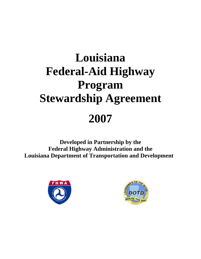# **Louisiana Federal-Aid Highway Program Stewardship Agreement 2007**

**Developed in Partnership by the Federal Highway Administration and the Louisiana Department of Transportation and Development** 



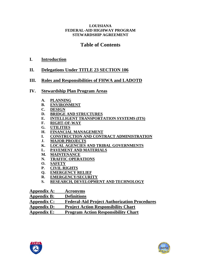# **Table of Contents**

# **I. [Introduction](#page-2-0)**

# **II. [Delegations Under TITLE 23 SECTION 106](#page-3-0)**

# **III. [Roles and Responsibilities of FHWA and LADOTD](#page-5-0)**

# **IV. [Stewardship Plan Program Areas](#page-9-0)**

- **A. [PLANNING](#page-10-0)**
- **B. [ENVIRONMENT](#page-16-0)**
- **C. [DESIGN](#page-22-0)**
- **D. [BRIDGE AND STRUCTURES](#page-29-0)**
- **E. [INTELLIGENT TRANSPORTATION SYSTEMS \(ITS\)](#page-34-0)**
- **F. [RIGHT-OF-WAY](#page-39-0)**
- **G. [UTILITIES](#page-44-0)**
- **H. [FINANCIAL MANAGEMENT](#page-47-0)**
- **I. [CONSTRUCTION AND CONTRACT ADMINISTRATION](#page-51-0)**
- **J. [MAJOR PROJECTS](#page-60-0)**
- **K. [LOCAL AGENCIES AND TRIBAL GOVERNMENTS](#page-67-0)**
- **L. [PAVEMENT AND MATERIALS](#page-71-0)**
- **M. [MAINTENANCE](#page-75-0)**
- **N. [TRAFFIC OPERATIONS](#page-78-0)**
- **O. [SAFETY](#page-82-0)**
- **P. [CIVIL RIGHTS](#page-91-0)**
- **Q. [EMERGENCY RELIEF](#page-94-0)**
- **R. [EMERGENCY/SECURITY](#page-98-0)**
- **S. [RESEARCH, DEVELOPMENT AND TECHNOLOGY](#page-100-0)**

| Appendix A:        | <b>Acronyms</b>                                     |
|--------------------|-----------------------------------------------------|
| <b>Appendix B:</b> | <b>Definitions</b>                                  |
| Appendix C:        | <b>Federal-Aid Project Authorization Procedures</b> |
| Appendix D:        | <b>Project Action Responsibility Chart</b>          |
| <b>Appendix E:</b> | <b>Program Action Responsibility Chart</b>          |



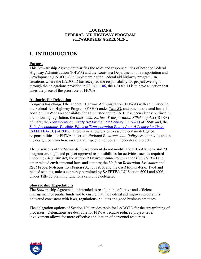# <span id="page-2-0"></span>**I. INTRODUCTION**

## **Purpose**

This Stewardship Agreement clarifies the roles and responsibilities of both the Federal Highway Administration (FHWA) and the Louisiana Department of Transportation and Development (LADOTD) in implementing the Federal aid highway program. In situations where the LADOTD has accepted the responsibility for project oversight through the delegations provided in  $23 \text{ USC } 106$ , the LADOTD is to have an action that takes the place of the prior role of FHWA.

## **Authority for Delegation**

Congress has charged the Federal Highway Administration (FHWA) with administering the Federal-Aid Highway Program (FAHP) under *[Title 23](http://www.access.gpo.gov/uscode/title23/title23.html)*, and other associated laws. In addition, FHWA's responsibility for administering the FAHP has been clearly outlined in the following legislation: the *Intermodal Surface Transportation Efficiency Act* (ISTEA) of 1991; the *[Transportation Equity Act for the 21st Century](http://www.fhwa.dot.gov/tea21/index.htm)* (TEA-21) of 1998; and, the *[Safe, Accountable, Flexible, Efficient Transportation Equity Act: A Legacy for Users](http://www.fhwa.dot.gov/safetealu/index.htm)*  [\(SAFETEA-LU\) of 2005.](http://www.fhwa.dot.gov/safetealu/index.htm) These laws allow States to assume certain delegated responsibilities for FHWA in certain *National Environmental Policy Act* approvals and in the design, construction, award and inspection of certain Federal-aid projects.

The provisions of the Stewardship Agreement do not modify the FHWA's non-*Title 23* program oversight and project approval responsibilities for activities such as required under the *Clean Air Act;* the *National Environmental Policy Act of 1969 (NEPA)* and other related environmental laws and statutes; the *Uniform Relocation Assistance and Real Property Acquisition Policies Act* of 1970; and the *Civil Rights Act* of 1964 and related statutes, unless expressly permitted by SAFETEA-LU Section 6004 and 6005. Under Title 23 planning functions cannot be delegated.

## **Stewardship Expectations**

The Stewardship Agreement is intended to result in the effective and efficient management of public funds and to ensure that the Federal aid highway program is delivered consistent with laws, regulations, policies and good business practices.

The delegation options of Section 106 are desirable for LADOTD for the streamlining of processes. Delegations are desirable for FHWA because reduced project-level involvement allows for more effective application of personnel resources.



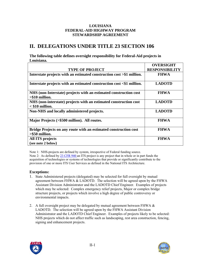# <span id="page-3-0"></span>**II. DELEGATIONS UNDER TITLE 23 SECTION 106**

**The following table defines oversight responsibility for Federal-Aid projects in Louisiana.** 

|                                                                                        | <b>OVERSIGHT</b>      |
|----------------------------------------------------------------------------------------|-----------------------|
| <b>TYPE OF PROJECT</b>                                                                 | <b>RESPONSIBILITY</b> |
| Interstate projects with an estimated construction cost >\$1 million.                  | <b>FHWA</b>           |
| Interstate projects with an estimated construction cost <\$1 million.                  | <b>LADOTD</b>         |
| NHS (non-Interstate) projects with an estimated construction cost<br>$> $10$ million.  | <b>FHWA</b>           |
| NHS (non-interstate) projects with an estimated construction cost<br>$<$ \$10 million. | <b>LADOTD</b>         |
| Non-NHS and locally administered projects.                                             | <b>LADOTD</b>         |
| Major Projects (>\$500 million). All routes.                                           | <b>FHWA</b>           |
| Bridge Projects on any route with an estimated construction cost<br>$>$ \$50 million.  | <b>FHWA</b>           |
| <b>All ITS projects</b><br>(see note 2 below)                                          | <b>FHWA</b>           |

Note 1: NHS-projects are defined by system, irrespective of Federal funding source. Note 2: As defined by [23 CFR 940 a](http://www.access.gpo.gov/nara/cfr/waisidx_03/23cfrv1_03.html)n ITS project is any project that in whole or in part funds the acquisition of technologies or systems of technologies that provide or significantly contribute to the provision of one or more ITS User Services as defined in the National ITS Architecture.

#### **Exceptions:**

- 1. State Administered projects (delegated) may be selected for full oversight by mutual agreement between FHWA & LADOTD. The selection will be agreed upon by the FHWA Assistant Division Administrator and the LADOTD Chief Engineer. Examples of projects which may be selected: Complex emergency relief projects, Major or complex bridge structure projects, or projects which involve a high degree of public controversy or environmental impacts.
- 2. A full oversight project may be delegated by mutual agreement between FHWA  $\&$ LADOTD. The selection will be agreed upon by the FHWA Assistant Division Administrator and the LADOTD Chief Engineer. Examples of projects likely to be selected: NHS projects which do not affect traffic such as landscaping, rest area construction, fencing, signing and enhancement projects.

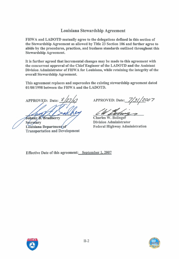# **Louisiana Stewardship Agreement**

FHWA and LADOTD mutually agree to the delegations defined in this section of the Stewardship Agreement as allowed by Title 23 Section **106** and further agree to abide by the procedures, practices, and business standards outlined throughout this Stewardship Agreement.

It is further agreed that incremental changes may be made to this agreement with the concurrent approval of the Chief Engineer of the LADOTD and the Assistant Division Administrator of FHWA for Louisiana, while retaining the integrity of the overall Stewardship Agreement.

This agreement replaces and supercedes the existing stewardship agreement dated **01/08/1998** between the FHWA and the LADOTD.

Johnny B. Bradberry

**Secretary** Louisiana Department of Transportation and Development

APPROVED: Date:  $\frac{\frac{8}{27}}{07}$  APPROVED: Date: 7/31/2007

**Charles W. Bolinger** 

Division Administrator Federal Highway Administration

Effective Date of this agreement: September **1,2007** 



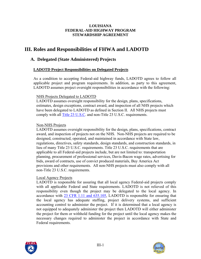# <span id="page-5-0"></span>**III. Roles and Responsibilities of FHWA and LADOTD**

# **A. Delegated (State Administered) Projects**

### **LADOTD Project Responsibilities on Delegated Projects**

As a condition to accepting Federal-aid highway funds, LADOTD agrees to follow all applicable project and program requirements. In addition, as party to this agreement, LADOTD assumes project oversight responsibilities in accordance with the following:

#### NHS Projects Delegated to LADOTD

LADOTD assumes oversight responsibility for the design, plans, specifications, estimates, design exceptions, contract award, and inspection of all NHS projects which have been delegated to LADOTD as defined in Section II. All NHS projects must comply with all [Title 23 U.S.C](http://www.access.gpo.gov/uscode/title23/title23.html). and non-Title 23 U.S.C. requirements.

### Non-NHS Projects

LADOTD assumes oversight responsibility for the design, plans, specifications, contract award, and inspection of projects not on the NHS. Non-NHS projects are required to be designed, constructed, operated, and maintained in accordance with State law, regulations, directives, safety standards, design standards, and construction standards, in lieu of many Title 23 U.S.C. requirements. Title 23 U.S.C. requirements that are applicable to all Federal-aid projects include, but are not limited to: transportation planning, procurement of professional services, Davis-Bacon wage rates, advertising for bids, award of contracts, use of convict produced materials, Buy America Act provisions and other requirements. All non-NHS projects must also comply with all non-Title 23 U.S.C. requirements.

## Local Agency Projects

LADOTD is responsible for assuring that all local agency Federal-aid projects comply with all applicable Federal and State requirements. LADOTD is not relieved of this responsibility even though the project may be delegated to the local agency. In accordance with [23 CFR 1.11 and 635.105](http://www.access.gpo.gov/nara/cfr/waisidx_03/23cfrv1_03.html), LADOTD is responsible for ensuring that the local agency has adequate staffing, project delivery systems, and sufficient accounting control to administer the project. If it is determined that a local agency is not equipped to adequately administer the project then LADOTD will either administer the project for them or withhold funding for the project until the local agency makes the necessary changes required to administer the project in accordance with State and Federal requirements.



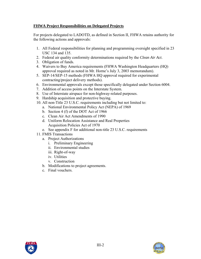## **FHWA Project Responsibilities on Delegated Projects**

For projects delegated to LADOTD, as defined in Section II, FHWA retains authority for the following actions and approvals:

- 1. All Federal responsibilities for planning and programming oversight specified in 23 USC 134 and 135.
- 2. Federal air quality conformity determinations required by the *Clean Air Act*.
- 3. Obligation of funds.
- 4. Waivers to Buy America requirements (FHWA Washington Headquarters (HQ) approval required as noted in Mr. Horne's July 3, 2003 memorandum).
- 5. SEP-14/SEP-15 methods (FHWA HQ approval required for experimental contracting/project delivery methods).
- 6. Environmental approvals except those specifically delegated under Section 6004.
- 7. Addition of access points on the Interstate System.
- 8. Use of Interstate airspace for non-highway-related purposes.
- 9. Hardship acquisition and protective buying.
- 10. All non-Title 23 U.S.C. requirements including but not limited to:
	- a. National Environmental Policy Act (NEPA) of 1969
	- b. Section 4 (f) of the DOT Act of 1966
	- c. Clean Air Act Amendments of 1990
	- d. Uniform Relocation Assistance and Real Properties Acquisition Policies Act of 1970
	- e. See appendix F for additional non-title 23 U.S.C. requirements
- 11. FMIS Transactions
	- a. Project Authorizations
		- i. Preliminary Engineering
		- ii. Environmental studies
		- iii. Right-of-way
		- iv. Utilities
		- v. Construction
	- b. Modifications to project agreements.
	- c. Final vouchers.



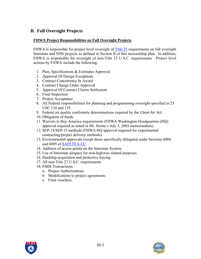# **B. Full Oversight Projects**

## **FHWA Project Responsibilities on Full Oversight Projects**

FHWA is responsible for project level oversight of [Title 23](http://www.access.gpo.gov/uscode/title23/title23.html) requirements on full oversight Interstate and NHS projects as defined in Section II of this stewardship plan. In addition, FHWA is responsible for oversight of non-Title 23 U.S.C. requirements. Project level actions by FHWA include the following:

- 1. Plan, Specifications & Estimates Approval
- 2. Approval Of Design Exceptions
- 3. Contract Concurrence In Award
- 4. Contract Change Order Approval
- 5. Approval Of Contract Claims Settlement
- 6. Final Inspection
- 7. Project Acceptance
- 8. All Federal responsibilities for planning and programming oversight specified in 23 USC 134 and 135.
- 9. Federal air quality conformity determinations required by the *Clean Air Act*.
- 10. Obligation of funds.
- 11. Waivers to Buy America requirements (FHWA Washington Headquarters (HQ) approval required as noted in Mr. Horne's July 3, 2003 memorandum).
- 12. SEP-14/SEP-15 methods (FHWA HQ approval required for experimental contracting/project delivery methods).
- 13. Environmental approvals except those specifically delegated under Sections 6004 and 6005 of [SAFETEA-LU.](http://www.fhwa.dot.gov/safetealu/index.htm)
- 14. Addition of access points on the Interstate System.
- 15. Use of Interstate airspace for non-highway-related purposes.
- 16. Hardship acquisition and protective buying.
- 17. All non-Title 23 U.S.C. requirements
- 18. FMIS Transactions
	- a. Project Authorizations
	- b. Modifications to project agreements.
	- c. Final vouchers.



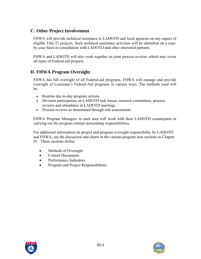# **C. Other Project Involvement**

FHWA will provide technical assistance to LADOTD and local agencies on any aspect of eligible Title 23 projects. Such technical assistance activities will be identified on a caseby-case basis in consultation with LADOTD and other interested partners.

FHWA and LADOTD will also work together on joint process reviews which may cover all types of Federal-aid projects.

# **D. FHWA Program Oversight**

FHWA has full oversight of all Federal-aid programs. FHWA will manage and provide oversight of Louisiana's Federal-Aid programs in various ways. The methods used will be:

- Routine day-to-day program actions.
- Division participation on LADOTD task forces, research committees, process reviews and attendance at LADOTD meetings.
- Process reviews as determined through risk assessments.

FHWA Program Managers in each area will work with their LADOTD counterparts in carrying out the program related stewardship responsibilities.

For additional information on project and program oversight responsibility by LADOTD and FHWA, see the discussion and charts in the various program area sections in Chapter IV. These sections define:

- Methods of Oversight
- Control Documents
- Performance Indicators
- Program and Project Responsibilities



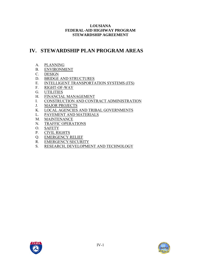# <span id="page-9-0"></span>**IV. STEWARDSHIP PLAN PROGRAM AREAS**

- A. [PLANNING](#page-10-0)
- B. [ENVIRONMENT](#page-16-0)
- C. [DESIGN](#page-22-0)
- D. [BRIDGE AND STRUCTURES](#page-29-0)
- E. [INTELLIGENT TRANSPORTATION SYSTEMS \(ITS\)](#page-34-0)
- F. [RIGHT-OF-WAY](#page-39-0)
- G. [UTILITIES](#page-44-0)
- H. [FINANCIAL MANAGEMENT](#page-47-0)
- I. [CONSTRUCTION AND CONTRACT ADMINISTRATION](#page-51-0)
- J. [MAJOR PROJECTS](#page-60-0)
- K. [LOCAL AGENCIES AND TRIBAL GOVERNMENTS](#page-67-0)
- L. [PAVEMENT AND MATERIALS](#page-71-0)
- M. [MAINTENANCE](#page-75-0)
- N. [TRAFFIC OPERATIONS](#page-78-0)
- O. [SAFETY](#page-82-0)
- P. [CIVIL RIGHTS](#page-91-0)
- Q. [EMERGENCY RELIEF](#page-94-0)
- R. [EMERGENCY/SECURITY](#page-98-0)
- S. [RESEARCH, DEVELOPMENT AND TECHNOLOGY](#page-100-0)

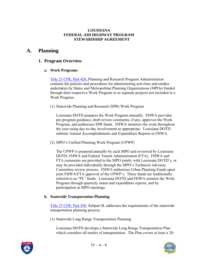# <span id="page-10-0"></span>**A. Planning**

# **1. Program Overview**

#### **a. Work Programs**

[Title 23 CFR, Part 420, P](http://www.access.gpo.gov/nara/cfr/waisidx_03/23cfrv1_03.html)lanning and Research Program Administration contains the policies and procedures for administering activities and studies undertaken by States and Metropolitan Planning Organizations (MPOs) funded through their respective Work Program or as separate projects not included in a Work Program.

(1) Statewide Planning and Research (SPR) Work Program

Louisiana DOTD prepares the Work Program annually. FHWA provides pre-program guidance, draft review comments, if any, approves the Work Program, and authorizes SPR funds. FHWA monitors the work throughout the year using day-to-day involvement as appropriate. Louisiana DOTD submits Annual Accomplishments and Expenditure Reports to FHWA.

(2) MPO's Unified Planning Work Program (UPWP)

The UPWP is prepared annually by each MPO and reviewed by Louisiana DOTD, FHWA and Federal Transit Administration (FTA). FHWA and FTA comments are provided to the MPO jointly with Louisiana DOTD's, or may be provided individually through the MPO's Technical Advisory Committee review process. FHWA authorizes Urban Planning Funds upon joint FHWA/FTA approval of the UPWP's. These funds are traditionally referred to as "PL" funds. Louisiana DOTD and FHWA monitor the Work Program through quarterly status and expenditure reports, and by participation in MPO meetings.

#### **b. Statewide Transportation Planning**

[Title 23 CFR, Part 450,](http://www.access.gpo.gov/nara/cfr/waisidx_03/23cfrv1_03.html) Subpart B, addresses the requirements of the statewide transportation planning process.

(1) Statewide Long Range Transportation Planning

Louisiana DOTD develops a Statewide Long Range Transportation Plan which considers all modes of transportation. The Plan covers at least a 20-



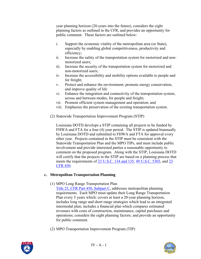year planning horizon (20-years into the future), considers the eight planning factors as outlined in the CFR, and provides an opportunity for public comment. These factors are outlined below:

- i. Support the economic vitality of the metropolitan area (or State), especially by enabling global competitiveness, productivity and efficiency;
- ii. Increase the safety of the transportation system for motorized and nonmotorized users;
- iii. Increase the security of the transportation system for motorized and non-motorized users;
- iv. Increase the accessibility and mobility options available to people and for freight;
- v. Protect and enhance the environment, promote energy conservation, and improve quality of life
- vi. Enhance the integration and connectivity of the transportation system, across and between modes, for people and freight;
- vii. Promote efficient system management and operation; and
- viii. Emphasize the preservation of the existing transportation system.
- (2) Statewide Transportation Improvement Program (STIP)

Louisiana DOTD develops a STIP containing all projects to be funded by FHWA and FTA for a four (4) year period. The STIP is updated biannually by Louisiana DOTD and submitted to FHWA and FTA for approval every other year. Projects contained in the STIP must be consistent with the Statewide Transportation Plan and the MPO TIPs, and must include public involvement and provide interested parties a reasonable opportunity to comment on the proposed program. Along with the STIP, Louisiana DOTD will certify that the projects in the STIP are based on a planning process that meets the requirements of [23 U.S.C. 134 and 135](http://www.access.gpo.gov/uscode/title23/title23.html), [49 U.S.C. 5303](http://www.access.gpo.gov/uscode/title49/title49.html), and [23](http://www.access.gpo.gov/nara/cfr/waisidx_03/23cfrv1_03.html)  [CFR 450.](http://www.access.gpo.gov/nara/cfr/waisidx_03/23cfrv1_03.html)

#### **c. Metropolitan Transportation Planning**

- (1) MPO Long Range Transportation Plan
	- [Title 23, CFR Part 450, Subpart C](http://www.access.gpo.gov/nara/cfr/waisidx_03/23cfrv1_03.html), addresses metropolitan planning requirements. Each MPO must update their Long Range Transportation Plan every 5 years which: covers at least a 20-year planning horizon, includes long range and short range strategies which lead to an integrated intermodal plan; includes a financial plan which compares estimated revenues with costs of construction, maintenance, capital purchases and operations; considers the eight planning factors; and provide an opportunity for public comment.
- (2) MPO Transportation Improvement Program (TIP)

IV - A - 1



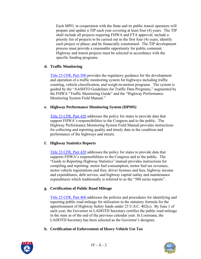Each MPO, in cooperation with the State and its public transit operators will prepare and update a TIP each year covering at least four (4) years. The TIP shall include all projects requiring FHWA and FTA approval; include a priority list of projects to be carried out in the first four (4) years; identify each project or phase; and be financially constrained. The TIP development process must provide a reasonable opportunity for public comment. Highway and transit projects must be selected in accordance with the specific funding programs.

#### **d. Traffic Monitoring**

[Title 23 CFR, Part 500](http://www.access.gpo.gov/nara/cfr/waisidx_03/23cfrv1_03.html) provides the regulatory guidance for the development and operation of a traffic monitoring system for highways including traffic counting, vehicle classification, and weigh-in-motion programs. The system is guided by the "AASHTO Guidelines for Traffic Data Programs," augmented by the FHWA "Traffic Monitoring Guide" and the "Highway Performance Monitoring System Field Manual."

#### **e. Highway Performance Monitoring System (HPMS)**

[Title 23 CFR, Part 420](http://www.access.gpo.gov/nara/cfr/waisidx_03/23cfrv1_03.html) addresses the policy for states to provide data that support FHWA's responsibilities to the Congress and to the public. The Highway Performance Monitoring System Field Manual provides instructions for collecting and reporting quality and timely data in the condition and performance of the highways and streets.

#### **f. Highway Statistics Reports**

[Title 23 CFR, Part 420](http://www.access.gpo.gov/nara/cfr/waisidx_03/23cfrv1_03.html) addresses the policy for states to provide data that supports FHWA's responsibilities to the Congress and to the public. The "Guide to Reporting Highway Statistics" manual provides instructions for compiling and reporting: motor fuel consumption, motor fuel tax revenues, motor vehicle registrations and fees, driver licenses and fees, highway income and expenditures, debt service, and highway capital outlay and maintenance expenditures which traditionally is referred to as the "500 series reports".

## **g. Certification of Public Road Mileage**

[Title 23 CFR, Part 460 a](http://www.access.gpo.gov/nara/cfr/waisidx_03/23cfrv1_03.html)ddresses the policies and procedures for identifying and reporting public road mileage for utilization in the statutory formula for the apportionment of Highway Safety funds under 23 U.S.C. 402(c). By June 1 of each year, the Governor or LADOTD Secretary certifies the public road mileage in the state as of the end of the previous calendar year. In Louisiana, the LADOTD Secretary has been selected as the Governor's designee.

**h. Certification of Enforcement of Heavy Vehicle Use Tax** 



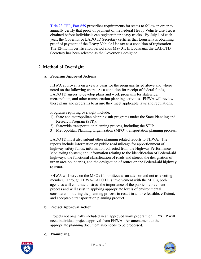[Title 23 CFR, Part 659](http://www.access.gpo.gov/nara/cfr/waisidx_03/23cfrv1_03.html) prescribes requirements for states to follow in order to annually certify that proof of payment of the Federal Heavy Vehicle Use Tax is obtained before individuals can register their heavy trucks. By July 1 of each year, the Governor or LADOTD Secretary certifies that Louisiana is obtaining proof of payment of the Heavy Vehicle Use tax as a condition of registration. The 12-month certification period ends May 31. In Louisiana, the LADOTD Secretary has been selected as the Governor's designee.

# **2. Method of Oversight**

### **a. Program Approval Actions**

FHWA approval is on a yearly basis for the programs listed above and where noted on the following chart. As a condition for receipt of federal funds, LADOTD agrees to develop plans and work programs for statewide, metropolitan, and other transportation planning activities. FHWA will review these plans and programs to assure they meet applicable laws and regulations.

Programs requiring oversight include:

- 1) State and metropolitan planning sub-programs under the State Planning and Research Program (SPR).
- 2) Statewide transportation planning process, including the STIP.
- 3) Metropolitan Planning Organization (MPO) transportation planning process.

LADOTD must also submit other planning related reports to FHWA. The reports include information on public road mileage for apportionment of highway safety funds; information collected from the Highway Performance Monitoring System; and information relating to the identification of Federal-aid highways, the functional classification of roads and streets, the designation of urban area boundaries, and the designation of routes on the Federal-aid highway systems.

FHWA will serve on the MPOs Committees as an advisor and not as a voting member. Through FHWA/LADOTD's involvement with the MPOs, both agencies will continue to stress the importance of the public involvement process and will assist in applying appropriate levels of environmental consideration during the planning process to result in a more feasible, efficient, and acceptable transportation planning product.

#### **b. Project Approval Action**

Projects not originally included in an approved work program or TIP/STIP will need individual project approval from FHWA. An amendment to the appropriate planning document also needs to be processed.

#### **c. Monitoring**

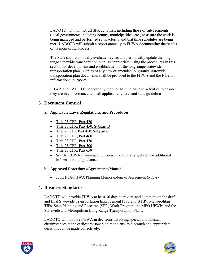LADOTD will monitor all SPR activities, including those of sub-recipients (local governments including county, municipalities, etc.) to assure the work is being managed and performed satisfactorily and that time schedules are being met. LADOTD will submit a report annually to FHWA documenting the results of its monitoring process.

The State shall continually evaluate, revise, and periodically update the longrange statewide transportation plan, as appropriate, using the procedures in this section for development and establishment of the long-range statewide transportation plan. Copies of any new or amended long-range statewide transportation plan documents shall be provided to the FHWA and the FTA for informational purposes.

FHWA and LADOTD periodically monitor MPO plans and activities to ensure they are in conformance with all applicable federal and state guidelines.

# **3. Document Control**

- **a. Applicable Laws, Regulations, and Procedures** 
	- [Title 23 CFR, Part 420](http://www.access.gpo.gov/nara/cfr/waisidx_03/23cfrv1_03.html)
	- [Title 23 CFR, Part 450, Subpart B](http://www.access.gpo.gov/nara/cfr/waisidx_03/23cfrv1_03.html)
	- [Title 23 CFR Part 450, Subpart C](http://www.access.gpo.gov/nara/cfr/waisidx_03/23cfrv1_03.html)
	- [Title 23 CFR, Part 460](http://www.access.gpo.gov/nara/cfr/waisidx_03/23cfrv1_03.html)
	- [Title 23 CFR, Part 470](http://www.access.gpo.gov/nara/cfr/waisidx_03/23cfrv1_03.html)
	- [Title 23 CFR, Part 500](http://www.access.gpo.gov/nara/cfr/waisidx_03/23cfrv1_03.html)
	- [Title 23 CFR, Part 659](http://www.access.gpo.gov/nara/cfr/waisidx_03/23cfrv1_03.html)
	- See the [FHWA Planning, Environment and Realty website](http://www.fhwa.dot.gov/hep/index.htm) for additional information and guidance.

## **b. Approved Procedures/Agreements/Manual**

• Joint FTA/FHWA Planning Memorandum of Agreement (MOA)

# **4. Business Standards**

LADOTD will provide FHWA at least 30 days to review and comment on the draft and final Statewide Transportation Improvement Program (STIP), Metropolitan TIPs, State Planning and Research (SPR) Work Program, the MPO UPWPs and the Statewide and Metropolitan Long Range Transportation Plans.

LADOTD will involve FHWA in decisions involving special and unusual circumstances at the earliest reasonable time to ensure thorough and appropriate decisions can be made collectively.



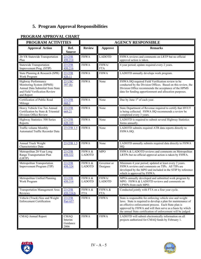# **5. Program Approval Responsibilities**

| PROGRAM ACTIVITIES                                                                                                                 |                                            | <b>AGENCY RESPONSIBLE</b> |                         |                                                                                                                                                                                                                                                                                                                 |
|------------------------------------------------------------------------------------------------------------------------------------|--------------------------------------------|---------------------------|-------------------------|-----------------------------------------------------------------------------------------------------------------------------------------------------------------------------------------------------------------------------------------------------------------------------------------------------------------|
| <b>Approval Action</b>                                                                                                             | Ref.<br><b>Source</b>                      | <b>Review</b>             | <b>Approve</b>          | <b>Remarks</b>                                                                                                                                                                                                                                                                                                  |
| 20-YR Statewide Transportation<br>Plan                                                                                             | <b>23 CFR</b><br>450.214                   | <b>FHWA</b>               | <b>LADOTD</b>           | FHWA reviews and comments on LRTP but no official<br>approval action is taken.                                                                                                                                                                                                                                  |
| <b>Statewide Transportation</b><br>Improvement Prog. (STIP)                                                                        | <b>23 CFR</b><br>450.216                   | <b>FHWA</b>               | FHWA/<br><b>FTA</b>     | 4 year period; update required every 2 years.                                                                                                                                                                                                                                                                   |
| State Planning & Research (SPR)<br>Work Program                                                                                    | <b>23 CFR</b><br>420.11                    | <b>FHWA</b>               | <b>FHWA</b>             | LADOTD annually develops work program.                                                                                                                                                                                                                                                                          |
| Highway Performance<br>Monitoring System (HPMS)<br>Annual Data Submittal from State<br>and Field Verification Review<br>and Report | <b>23 USC</b><br>307(h)                    | <b>FHWA</b>               | None                    | FHWA HQ required Field Verification review to be<br>conducted by the Division Offices. Based on this review, the<br>Division Office recommends the acceptance of the HPMS<br>data for funding apportionment and allocation purposes.                                                                            |
| Certification of Public Road<br>Mileage                                                                                            | <b>23 CFR</b><br>460.3                     | <b>FHWA</b>               | None                    | Due by June 1 <sup>st</sup> of each year.                                                                                                                                                                                                                                                                       |
| Heavy Vehicle Use Tax Annual<br>Certification by State & Triennial<br>Division Office Review                                       | <b>23 CFR</b><br>669.21                    | <b>FHWA</b>               | None                    | State Department of Revenue required to certify that HVUT<br>is being collected. FHWA HQ recommends a review be<br>completed every 3 years.                                                                                                                                                                     |
| Highway Statistics: 500 Series<br>Reports                                                                                          | <b>23 CFR</b><br>420.105                   | <b>FHWA</b>               | None                    | LADOTD is required to submit several Highway Statistics<br>forms annually.                                                                                                                                                                                                                                      |
| <b>Traffic volume Monthly</b><br>Automated Traffic Recorder Data                                                                   | 23 CFR 1.5                                 | <b>FHWA</b>               | None                    | LADOTD submits required ATR data reports directly to<br>FHWA HQ.                                                                                                                                                                                                                                                |
| Annual Truck Weight<br>Characteristics Data                                                                                        | 23 CFR 1.5                                 | <b>FHWA</b>               | None                    | LADOTD annually submits required data directly to FHWA<br>HQ.                                                                                                                                                                                                                                                   |
| Metropolitan 20-Year Long<br>Range Transportation Plan<br>(LRTP)                                                                   | <b>23 CFR</b><br>450.322                   | FHWA &<br><b>LADOTD</b>   | <b>MPO</b>              | FHWA & LADOTD reviews and comments on Metropolitan<br>LRTPs but no official approval action is taken by FHWA.                                                                                                                                                                                                   |
| Metropolitan Transportation<br>Improvement Program (TIP)                                                                           | <b>23 CFR</b><br>450.324                   | FHWA &<br><b>LADOTD</b>   | Governor or<br>Designee | Minimum 4 year period; updated at least every 2 years.<br>FHWA reviews and comments on TIPs. All TIPs are<br>developed by the MPO and included in the STIP by reference<br>which is approved by FHWA.                                                                                                           |
| Metropolitan Unified Planning<br>Work Program                                                                                      | <b>23 CFR</b><br>450.314                   | FHWA &<br><b>LADOTD</b>   | FHWA/<br><b>LADOTD</b>  | MPOs annually developed and submitted work program by<br>MPO. FHWA & LADOTD reviews and comments on<br>UPWPs from each MPO.                                                                                                                                                                                     |
| <b>Transportation Management Area</b><br>Reviews                                                                                   | <b>23 CFR</b><br>450.334.b                 | FHWA &<br><b>FTA</b>      | FHWA &<br><b>FTA</b>    | Conducted jointly with FTA on a four year cycle.                                                                                                                                                                                                                                                                |
| Vehicle (Truck) Size and Weight<br><b>Enforcement Certification</b>                                                                | <b>23 CFR</b><br>Part 657                  | <b>FHWA</b>               | <b>FHWA</b>             | State is responsible for enforcing vehicle size and weight<br>laws. State is required to develop a plan for maintenance of<br>an effective enforcement process. Each State plan is<br>approved by FHWA and will then serve as a basis by which<br>the annual State certification of enforcement will be judged. |
| CMAQ Annual Report                                                                                                                 | <b>CMAQ</b><br>Interim<br>Guidance<br>2006 | <b>FHWA</b>               | <b>FHWA</b>             | LADOTD will submit electronically information on all<br>projects authorized for CMAQ funds by February 1.                                                                                                                                                                                                       |

# **PROGRAM APPROVAL CHART**



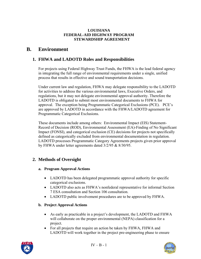# <span id="page-16-0"></span>**B. Environment**

# **1. FHWA and LADOTD Roles and Responsibilities**

For projects using Federal Highway Trust Funds, the FHWA is the lead federal agency in integrating the full range of environmental requirements under a single, unified process that results in effective and sound transportation decisions.

Under current law and regulation, FHWA may delegate responsibility to the LADOTD for activities to address the various environmental laws, Executive Orders, and regulations, but it may not delegate environmental approval authority. Therefore the LADOTD is obligated to submit most environmental documents to FHWA for approval. The exception being Programmatic Categorical Exclusions (PCE). PCE's are approved by LADOTD in accordance with the FHWA/LADOTD agreement for Programmatic Categorical Exclusions.

These documents include among others: Environmental Impact (EIS) Statement-Record of Decision (ROD), Environmental Assessment (EA)-Finding of No Significant Impact (FONSI), and categorical exclusion (CE) decisions for projects not specifically defined as categorically excluded from environmental documentation in regulation. LADOTD processes Programmatic Category Agreements projects given prior approval by FHWA under letter agreements dated 3/2/95 & 8/30/95.

# **2. Methods of Oversight**

#### **a. Program Approval Actions**

- LADOTD has been delegated programmatic approval authority for specific categorical exclusions.
- LADOTD also acts as FHWA's nonfederal representative for informal Section 7 ESA consultation and Section 106 consultation.
- LADOTD public involvement procedures are to be approved by FHWA.

## **b. Project Approval Actions**

- As early as practicable in a project's development, the LADOTD and FHWA will collaborate on the proper environmental (NEPA) classification for a project.
- For all projects that require an action be taken by FHWA, FHWA and LADOTD will work together in the project pre-engineering phase to ensure



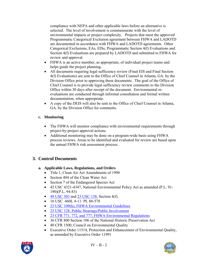compliance with NEPA and other applicable laws before an alternative is selected. The level of involvement is commensurate with the level of environmental impacts or project complexity. Projects that meet the approved Programmatic Categorical Exclusion agreement between FHWA and LADOTD are documented in accordance with FHWA and LADOTD agreements. Other Categorical Exclusions, EAs, EISs, Programmatic Section 4(f) Evaluations and Section 4(f) Evaluations are prepared by LADOTD and submitted to FHWA for review and approval.

- FHWA is an active member, as appropriate, of individual project teams and helps guide the project planning.
- All documents requiring legal sufficiency review (Final EIS and Final Section 4(f) Evaluations) are sent to the Office of Chief Counsel in Atlanta, GA. by the Division Office prior to approving these documents. The goal of the Office of Chief Counsel is to provide legal sufficiency review comments to the Division Office within 30 days after receipt of the document. Environmental reevaluations are conducted through informal consultation and formal written documentation, when appropriate.
- A copy of the DEIS will also be sent to the Office of Chief Counsel in Atlanta, GA. by the Division Office for comments.

## **c. Monitoring**

- The FHWA will monitor compliance with environmental requirements through project-by-project approval actions.
- Additional monitoring may be done on a program-wide basis using FHWA process reviews. Areas to be identified and evaluated for review are based upon the annual FHWA risk assessment process.

# **3. Control Documents**

# **a. Applicable Laws, Regulations, and Orders**

- Title 1, Clean Air Act Amendments of 1990
- Section 404 of the Clean Water Act
- Section 7 of the Endangered Species Act
- 42 USC 4321-4347, National Environmental Policy Act as amended (P.L. 91- 190)(P.L. 94-83)
- $\bullet$  [49 USC 303](http://www.access.gpo.gov/uscode/title49/title49.html) and [23 USC 138,](http://www.access.gpo.gov/uscode/title23/title23.html) Section 4(f).
- 16 USC 460L 4-11: PL 88-578
- [23 USC 109\(h\), FHWA Environmental Guidelines](http://www.access.gpo.gov/uscode/title23/title23.html)
- [23 USC 128, Public Hearings/Public Involvement](http://www.access.gpo.gov/uscode/title23/title23.html)
- [23 CFR 771, 772, and 777, FHWA Environmental Regulations](http://www.access.gpo.gov/nara/cfr/waisidx_03/23cfrv1_03.html)
- 36 CFR 800 Section 106 of the National Historic Preservation Act
- 40 CFR 1500, Council on Environmental Quality
- Executive Order 11514, Protection and Enhancement of Environmental Quality, as amended by Executive Order 11991



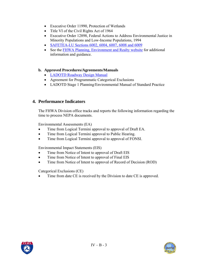- Executive Order 11990, Protection of Wetlands
- Title VI of the Civil Rights Act of 1964
- Executive Order 12898, Federal Actions to Address Environmental Justice in Minority Populations and Low-Income Populations, 1994
- [SAFETEA-LU Sections 6002, 6004, 6007, 6008 and 6009](http://www.fhwa.dot.gov/hep/safetealu.htm)
- See the [FHWA Planning, Environment and Realty website](http://www.fhwa.dot.gov/hep/index.htm) for additional information and guidance.
- **b. Approved Procedures/Agreements/Manuals** 
	- [LADOTD Roadway Design Manual](http://www.dotd.louisiana.gov/highways/project_devel/design/standardforms.asp)
	- Agreement for Programmatic Categorical Exclusions
	- LADOTD Stage 1 Planning/Environmental Manual of Standard Practice

## **4. Performance Indicators**

The FHWA Division office tracks and reports the following information regarding the time to process NEPA documents.

Environmental Assessments (EA)

- Time from Logical Termini approval to approval of Draft EA.
- Time from Logical Termini approval to Public Hearing.
- Time from Logical Termini approval to approval of FONSI.

Environmental Impact Statements (EIS)

- Time from Notice of Intent to approval of Draft EIS
- Time from Notice of Intent to approval of Final EIS
- Time from Notice of Intent to approval of Record of Decision (ROD)

Categorical Exclusions (CE)

Time from date CE is received by the Division to date CE is approved.



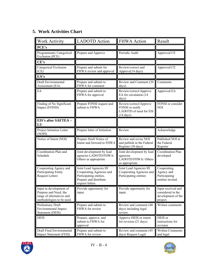# **5. Work Activities Chart**

| <b>Work Activity</b>                                                                                       | <b>LADOTD</b> Action                                                                                                        | <b>FHWA</b> Action                                                                         | Result                                                                    |
|------------------------------------------------------------------------------------------------------------|-----------------------------------------------------------------------------------------------------------------------------|--------------------------------------------------------------------------------------------|---------------------------------------------------------------------------|
| PCE's                                                                                                      |                                                                                                                             |                                                                                            |                                                                           |
| Programmatic Categorical<br>Exclusion (PCE)                                                                | Prepare and Approve                                                                                                         | Periodic Audit                                                                             | Approved CE                                                               |
| CE's                                                                                                       |                                                                                                                             |                                                                                            |                                                                           |
| Categorical Exclusion<br>(CE)                                                                              | Prepare and submit for<br>FHWA review and approval                                                                          | Review/correct and<br>Approve(14 days)                                                     | Approved CE                                                               |
| EA's                                                                                                       |                                                                                                                             |                                                                                            |                                                                           |
| Draft Environmental<br>Assessment (EA)                                                                     | Prepare and submit to<br>FHWA for comment                                                                                   | Review and Comment (30<br>days)                                                            | Comments                                                                  |
| EA                                                                                                         | Prepare and submit to<br>FHWA for approval                                                                                  | Review/correct/Approve<br>EA for circulation (14<br>days)                                  | Approved EA                                                               |
| Finding of No Significant<br>Impact (FONSI)                                                                | Prepare FONSI request and<br>submit to FHWA                                                                                 | Review/correct/Approve<br>FONSI or notify<br>LADOTD of need for EIS<br>$(14 \text{ days})$ | FONSI or consider<br><b>NOI</b>                                           |
| EIS's after SAFTEA -<br>LU                                                                                 |                                                                                                                             |                                                                                            |                                                                           |
| Project Initiation Letter<br>(NOPI)                                                                        | Prepare letter of Initiation                                                                                                | Review                                                                                     | Acknowledge                                                               |
| Notice of Intent (NOI)                                                                                     | Prepare Draft Notice of<br>Intent and forward to FHWA                                                                       | Review and revise NOI<br>and publish in the Federal<br>Register (30 days)                  | Published NOI in<br>the Federal<br>Register                               |
| Coordination Plan and<br>Schedule                                                                          | Joint development by lead<br>agencies LADOTD/FHWA/<br>Others as appropriate                                                 | Joint development by lead<br>agencies<br>LADOTD/FHWA/ Others<br>as appropriate             | Coordination Plan<br>developed                                            |
| Cooperating Agency and<br>Participating Entity<br><b>Request Letters</b>                                   | Joint Lead Agencies ID<br>Cooperating Agencies and<br>Participating entities.<br>Prepare and distribute<br>request letters. | Joint Lead Agencies ID<br>Cooperating Agencies and<br>Participating entities               | Cooperating<br>Agency and<br>Participating<br>entities invited.           |
| Input in development of<br>Purpose and Need, the<br>range of alternatives and<br>methodologies to be used. | Provide opportunity for<br>input.                                                                                           | Provide opportunity for<br>input.                                                          | Input received and<br>considered in the<br>development of the<br>project. |
| Preliminary Draft<br><b>Environmental Impact</b><br>Statement (DEIS)                                       | Prepare and submit to<br>FHWA for review                                                                                    | Review and comment (40<br>days) including legal<br>review.                                 | Written comments                                                          |
| <b>DEIS</b>                                                                                                | Prepare, approve, and<br>submit to FHWA for<br>approval                                                                     | Approve DEIS or return<br>for revision (21 days)                                           | DEIS or<br>instructions for<br>revision                                   |
| Draft Final Environmental<br>Impact Statement (FEIS)                                                       | Prepare and submit to<br>FHWA for review                                                                                    | Review and comment (45<br>days) Request Legal                                              | Written Comments<br>and legal                                             |



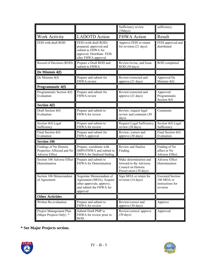|                                                                         |                                                                                                                            | Sufficiency review<br>(30 days)                                                                    | sufficiency.                                                          |
|-------------------------------------------------------------------------|----------------------------------------------------------------------------------------------------------------------------|----------------------------------------------------------------------------------------------------|-----------------------------------------------------------------------|
| Work Activity                                                           | <b>LADOTD</b> Action                                                                                                       | <b>FHWA Action</b>                                                                                 | Result                                                                |
| FEIS with draft ROD                                                     | FEIS (with draft ROD)<br>prepared, approved and<br>submit to FHWA for<br>approval. Distribute FEIS<br>after FHWA approval. | Approve FEIS or return<br>for revision (21 days)                                                   | FEIS approved and<br>distributed                                      |
| Record of Decision (ROD)                                                | Prepare a Draft ROD and<br>submit to FHWA                                                                                  | Review/revise, and Issue<br>ROD (30 days)                                                          | ROD completed                                                         |
| De Minimis 4(f)                                                         |                                                                                                                            |                                                                                                    |                                                                       |
| De Minimis 4(f)                                                         | Prepare and submit for<br>FHWA review                                                                                      | Review/corrected and<br>approve (21 days)                                                          | Approved De<br>Minimis 4(f)                                           |
| Programmatic 4(f)                                                       |                                                                                                                            |                                                                                                    |                                                                       |
| Programmatic Section 4(f)<br>Evaluation                                 | Prepare and submit for<br>FHWA review                                                                                      | Review/corrected and<br>approve (21 days)                                                          | Approved<br>Programmatic<br>Section $4(f)$                            |
| <b>Section 4(f)</b>                                                     |                                                                                                                            |                                                                                                    |                                                                       |
| Draft Section 4(f)<br>Evaluation                                        | Prepare and submit to<br>FHWA for review                                                                                   | Review, request legal<br>review and comment (30<br>days)                                           | Comments                                                              |
| Section 4(f) Legal<br>Sufficiency                                       | Prepare and submit to<br>FHWA for review                                                                                   | Request Legal Sufficiency<br>review (30 days)                                                      | Section 4(f) Legal<br>Sufficiency                                     |
| Final Section 4(f)<br>Evaluation                                        | Prepare and submit for<br>FHWA approval                                                                                    | Review, correct and<br>approve (30 days)                                                           | Final Section 4(f)<br>Evaluation                                      |
| <b>Section 106</b>                                                      |                                                                                                                            |                                                                                                    |                                                                       |
| Findings of No Historic<br>Properties Affected and No<br>Adverse Effect | Prepare, coordinate with<br>SHPO/FHWA and submit to<br>FHWA for finalized finding.                                         | Review and finalize<br>Finding.                                                                    | Finding of No<br>affect or No<br>Adverse Effect.                      |
| Section 106 Adverse Effect<br>Determination                             | Prepare and submit to<br>FHWA for Determination                                                                            | Make determination and<br>forward to the Advisory<br>Council on Historic<br>Preservation (30 days) | <b>Adverse Effect</b><br>Determination                                |
| Section 106 Memorandum<br>of Agreement                                  | Negotiate Memorandum of<br>Agreement (MOA), Acquire<br>other approvals, approve,<br>and submit the FHWA for<br>approval    | Sign MOA or return for<br>revision (14 days)                                                       | <b>Executed Section</b><br>106 MOA or<br>instructions for<br>revision |
| <b>Other Activities</b>                                                 |                                                                                                                            |                                                                                                    |                                                                       |
| Written Re-evaluation                                                   | Prepare and submit to<br>FHWA for review                                                                                   | Review/correct and<br>approve (30 days)                                                            | Approve                                                               |
| Project Management Plan<br>(Major Projects Only) *                      | Submit Draft PMP to<br>FHWA for review prior to<br>ROD.                                                                    | Review/correct/ approve<br>$(30 \text{ days})$                                                     | Approved                                                              |

**\* See Major Projects section.** 



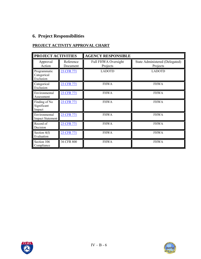# **6. Project Responsibilities**

# **PROJECT ACTIVITY APPROVAL CHART**

| PROJECT ACTIVITIES                       |                       | <b>AGENCY RESPONSIBLE</b>              |                                            |  |
|------------------------------------------|-----------------------|----------------------------------------|--------------------------------------------|--|
| Approval<br>Action                       | Reference<br>Document | <b>Full FHWA Oversight</b><br>Projects | State Administered (Delegated)<br>Projects |  |
| Programmatic<br>Categorical<br>Exclusion | 23 CFR 771            | <b>LADOTD</b>                          | <b>LADOTD</b>                              |  |
| Categorical<br>Exclusion                 | 23 CFR 771            | <b>FHWA</b>                            | <b>FHWA</b>                                |  |
| Environmental<br>Assessment              | 23 CFR 771            | <b>FHWA</b>                            | <b>FHWA</b>                                |  |
| Finding of No<br>Significant<br>Impact   | 23 CFR 771            | <b>FHWA</b>                            | <b>FHWA</b>                                |  |
| Environmental<br>Impact Statement        | 23 CFR 771            | <b>FHWA</b>                            | <b>FHWA</b>                                |  |
| Record of<br>Decision                    | 23 CFR 771            | <b>FHWA</b>                            | <b>FHWA</b>                                |  |
| Section $4(f)$<br>Evaluation             | 23 CFR 771            | <b>FHWA</b>                            | <b>FHWA</b>                                |  |
| Section 106<br>Compliance                | 36 CFR 800            | <b>FHWA</b>                            | <b>FHWA</b>                                |  |



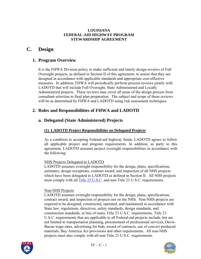# <span id="page-22-0"></span>**C. Design**

# **1. Program Overview**

It is the FHWA Division policy to make sufficient and timely design reviews of Full Oversight projects, as defined in Section II of this agreement, to assure that they are designed in accordance with applicable standards and appropriate cost-effective measures. In addition, FHWA will periodically perform process reviews jointly with LADOTD that will include Full Oversight, State Administered and Locally Administered projects. These reviews may cover all areas of the design process from consultant selection to final plan preparation. The subject and scope of these reviews will be as determined by FHWA and LADOTD using risk assessment techniques.

# **2. Roles and Responsibilities of FHWA and LADOTD**

# **a. Delegated (State Administered) Projects**

# **(1) LADOTD Project Responsibilities on Delegated Projects**

As a condition to accepting Federal-aid highway funds, LADOTD agrees to follow all applicable project and program requirements. In addition, as party to this agreement, LADOTD assumes project oversight responsibilities in accordance with the following:

## NHS Projects Delegated to LADOTD

LADOTD assumes oversight responsibility for the design, plans, specifications, estimates, design exceptions, contract award, and inspection of all NHS projects which have been delegated to LADOTD as defined in Section II. All NHS projects must comply with all [Title 23 U.S.C.](http://www.access.gpo.gov/uscode/title23/title23.html) and non-Title 23 U.S.C. requirements.

#### Non-NHS Projects

LADOTD assumes oversight responsibility for the design, plans, specifications, contract award, and inspection of projects not on the NHS. Non-NHS projects are required to be designed, constructed, operated, and maintained in accordance with State law, regulations, directives, safety standards, design standards, and construction standards, in lieu of many Title 23 U.S.C. requirements. Title 23 U.S.C. requirements that are applicable to all Federal-aid projects include, but are not limited to transportation planning, procurement of professional services, Davis-Bacon wage rates, advertising for bids, award of contracts, use of convict produced materials, Buy America Act provisions and other requirements. All non-NHS projects must also comply with all non-Title 23 U.S.C. requirements.



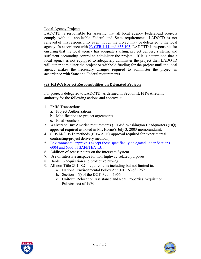### Local Agency Projects

LADOTD is responsible for assuring that all local agency Federal-aid projects comply with all applicable Federal and State requirements. LADOTD is not relieved of this responsibility even though the project may be delegated to the local agency. In accordance with [23 CFR 1.11 and 635.105](http://www.access.gpo.gov/nara/cfr/waisidx_03/23cfrv1_03.html), LADOTD is responsible for ensuring that the local agency has adequate staffing, project delivery systems, and sufficient accounting control to administer the project. If it is determined that a local agency is not equipped to adequately administer the project then LADOTD will either administer the project or withhold funding for the project until the local agency makes the necessary changes required to administer the project in accordance with State and Federal requirements.

### **(2) FHWA Project Responsibilities on Delegated Projects**

For projects delegated to LADOTD, as defined in Section II, FHWA retains authority for the following actions and approvals:

- 1. FMIS Transactions
	- a. Project Authorizations
	- b. Modifications to project agreements.
	- c. Final vouchers.
- 3. Waivers to Buy America requirements (FHWA Washington Headquarters (HQ) approval required as noted in Mr. Horne's July 3, 2003 memorandum).
- 4. SEP-14/SEP-15 methods (FHWA HQ approval required for experimental contracting/project delivery methods).
- 5. [Environmental approvals except those specifically delegated under Sections](http://www.fhwa.dot.gov/safetealu/index.htm)  [6004 and 6005 of SAFETEA-LU.](http://www.fhwa.dot.gov/safetealu/index.htm)
- 6. Addition of access points on the Interstate System.
- 7. Use of Interstate airspace for non-highway-related purposes.
- 8. Hardship acquisition and protective buying.
- 9. All non-Title 23 U.S.C. requirements including but not limited to:
	- a. National Environmental Policy Act (NEPA) of 1969
		- b. Section 4 (f) of the DOT Act of 1966
		- c. Uniform Relocation Assistance and Real Properties Acquisition Policies Act of 1970



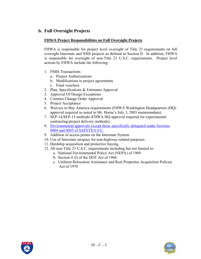# **b. Full Oversight Projects**

#### **FHWA Project Responsibilities on Full Oversight Projects**

FHWA is responsible for project level oversight of Title 23 requirements on full oversight Interstate and NHS projects as defined in Section II. In addition, FHWA is responsible for oversight of non-Title 23 U.S.C. requirements. Project level actions by FHWA include the following:

- 1. FMIS Transactions
	- a. Project Authorizations
	- b. Modifications to project agreements
	- c. Final vouchers
- 2. Plan, Specifications & Estimates Approval
- 3. Approval Of Design Exceptions
- 4. Contract Change Order Approval
- 5. Project Acceptance
- 6. Waivers to Buy America requirements (FHWA Washington Headquarters (HQ) approval required as noted in Mr. Horne's July 3, 2003 memorandum).
- 7. SEP-14/SEP-15 methods (FHWA HQ approval required for experimental contracting/project delivery methods).
- 8. [Environmental approvals except those specifically delegated under Sections](http://www.fhwa.dot.gov/safetealu/index.htm)  [6004 and 6005 of SAFETEA-LU.](http://www.fhwa.dot.gov/safetealu/index.htm)
- 9. Addition of access points on the Interstate System.
- 10. Use of Interstate airspace for non-highway-related purposes.
- 11. Hardship acquisition and protective buying.
- 12. All non-Title 23 U.S.C. requirements including but not limited to:
	- a. National Environmental Policy Act (NEPA) of 1969
	- b. Section 4 (f) of the DOT Act of 1966
	- c. Uniform Relocation Assistance and Real Properties Acquisition Policies Act of 1970



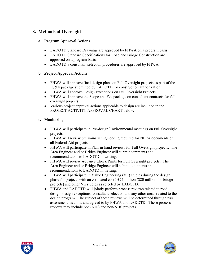# **3. Methods of Oversight**

#### **a. Program Approval Actions**

- LADOTD Standard Drawings are approved by FHWA on a program basis.
- LADOTD Standard Specifications for Road and Bridge Construction are approved on a program basis.
- LADOTD's consultant selection procedures are approved by FHWA.

### **b. Project Approval Actions**

- FHWA will approve final design plans on Full Oversight projects as part of the PS&E package submitted by LADOTD for construction authorization.
- FHWA will approve Design Exceptions on Full Oversight Projects.
- FHWA will approve the Scope and Fee package on consultant contracts for full oversight projects.
- Various project approval actions applicable to design are included in the PROJECT ACTIVITY APPROVAL CHART below.

## **c. Monitoring**

- FHWA will participate in Pre-design/Environmental meetings on Full Oversight projects.
- FHWA will review preliminary engineering required for NEPA documents on all Federal-Aid projects.
- FHWA will participate in Plan-in-hand reviews for Full Oversight projects. The Area Engineer and or Bridge Engineer will submit comments and recommendations to LADOTD in writing.
- FHWA will review Advance Check Prints for Full Oversight projects. The Area Engineer and or Bridge Engineer will submit comments and recommendations to LADOTD in writing.
- FHWA will participate in Value Engineering (VE) studies during the design phase for projects with an estimated cost >\$25 million (\$20 million for bridge projects) and other VE studies as selected by LADOTD.
- FHWA and LADOTD will jointly perform process reviews related to road design, design exceptions, consultant selection and any other areas related to the design program. The subject of these reviews will be determined through risk assessment methods and agreed to by FHWA and LADOTD. These process reviews may include both NHS and non-NHS projects.



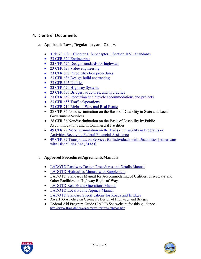# **4. Control Documents**

### **a. Applicable Laws, Regulations, and Orders**

- [Title 23 USC, Chapter 1, Subchapter I, Section 109 Standards](http://www.access.gpo.gov/nara/cfr/waisidx_03/23cfrv1_03.html)
- [23 CFR 620 Engineering](http://www.access.gpo.gov/nara/cfr/waisidx_03/23cfrv1_03.html)
- [23 CFR 625 Design standards for highways](http://www.access.gpo.gov/nara/cfr/waisidx_03/23cfrv1_03.html)
- [23 CFR 627 Value engineering](http://www.access.gpo.gov/nara/cfr/waisidx_03/23cfrv1_03.html)
- [23 CFR 630 Preconstruction procedures](http://www.access.gpo.gov/nara/cfr/waisidx_03/23cfrv1_03.html)
- [23 CFR 636 Design-build contracting](http://www.access.gpo.gov/nara/cfr/waisidx_03/23cfrv1_03.html)
- [23 CFR 645 Utilities](http://www.access.gpo.gov/nara/cfr/waisidx_03/23cfrv1_03.html)
- [23 CFR 470 Highway Systems](http://www.access.gpo.gov/nara/cfr/waisidx_03/23cfrv1_03.html)
- [23 CFR 650 Bridges, structures, and hydraulics](http://www.access.gpo.gov/nara/cfr/waisidx_03/23cfrv1_03.html)
- [23 CFR 652 Pedestrian and bicycle accommodations and projects](http://www.access.gpo.gov/nara/cfr/waisidx_03/23cfrv1_03.html)
- [23 CFR 655 Traffic Operations](http://www.access.gpo.gov/nara/cfr/waisidx_03/23cfrv1_03.html)
- [23 CFR 710 Right-of Way and Real Estate](http://www.access.gpo.gov/nara/cfr/waisidx_03/23cfrv1_03.html)
- 28 CFR 35 Nondiscrimination on the Basis of Disability in State and Local Government Services
- 28 CFR 36 Nondiscrimination on the Basis of Disability by Public Accommodations and in Commercial Facilities
- [49 CFR 27 Nondiscrimination on the Basis of Disability in Programs or](http://ecfr.gpoaccess.gov/cgi/t/text/text-idx?sid=bc334d5af026b402621f9a9efdf8b739&c=ecfr&tpl=/ecfrbrowse/Title49/49cfrv1_02.tpl)  [Activities Receiving Federal Financial Assistance](http://ecfr.gpoaccess.gov/cgi/t/text/text-idx?sid=bc334d5af026b402621f9a9efdf8b739&c=ecfr&tpl=/ecfrbrowse/Title49/49cfrv1_02.tpl)
- 49 CFR 37 Transportation Services for Individuals with Disabilities [Americans] [with Disabilities Act \(ADA\)\]](http://ecfr.gpoaccess.gov/cgi/t/text/text-idx?sid=bc334d5af026b402621f9a9efdf8b739&c=ecfr&tpl=/ecfrbrowse/Title49/49cfrv1_02.tpl)

## **b. Approved Procedures/Agreements/Manuals**

- [LADOTD Roadway Design Procedures and Details Manual](http://www.dotd.louisiana.gov/highways/project_devel/design/standardforms.asp)
- [LADOTD Hydraulics Manual with Supplement](http://www.dotd.louisiana.gov/highways/project_devel/design/standardforms.asp)
- LADOTD Standards Manual for Accommodating of Utilities, Driveways and Other Facilities on Highway Right-of-Way.
- [LADOTD Real Estate Operations Manual](http://www.dotd.louisiana.gov/highways/project_devel/realestate/manual.asp)
- [LADOTD Local Public Agency Manual](http://www.dotd.louisiana.gov/highways/project_devel/realestate/manual.asp)
- [LADOTD Standard Specifications for Roads and Bridges](http://www.dotd.louisiana.gov/doclist.asp?ID=52)
- AASHTO A Policy on Geometric Design of Highways and Bridges
- Federal Aid Program Guide (FAPG) See website for this guidance. <http://www.fhwa.dot.gov/legsregs/directives/fapgtoc.htm>



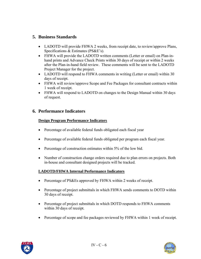# **5. Business Standards**

- LADOTD will provide FHWA 2 weeks, from receipt date, to review/approve Plans, Specifications & Estimates (PS&E's).
- FHWA will provide the LADOTD written comments (Letter or email) on Plan-inhand prints and Advance Check Prints within 30 days of receipt or within 2 weeks after the Plan-in-hand field review. These comments will be sent to the LADOTD Project Manager for the project.
- LADOTD will respond to FHWA comments in writing (Letter or email) within 30 days of receipt.
- FHWA will review/approve Scope and Fee Packages for consultant contracts within 1 week of receipt.
- FHWA will respond to LADOTD on changes to the Design Manual within 30 days of request.

# **6. Performance Indicators**

## **Design Program Performance Indicators**

- Percentage of available federal funds obligated each fiscal year
- Percentage of available federal funds obligated per program each fiscal year.
- Percentage of construction estimates within 5% of the low bid.
- Number of construction change orders required due to plan errors on projects. Both in-house and consultant designed projects will be tracked.

# **LADOTD/FHWA Internal Performance Indicators**

- Percentage of PS&Es approved by FHWA within 2 weeks of receipt.
- Percentage of project submittals in which FHWA sends comments to DOTD within 30 days of receipt.
- Percentage of project submittals in which DOTD responds to FHWA comments within 30 days of receipt.
- Percentage of scope and fee packages reviewed by FHWA within 1 week of receipt.



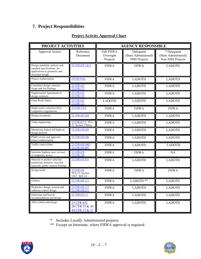# **7. Project Responsibilities**

| PROJECT ACTIVITIES                                                                                                   |                                                         | <b>AGENCY RESPONSIBLE</b>                 |                                                          |                                                         |  |
|----------------------------------------------------------------------------------------------------------------------|---------------------------------------------------------|-------------------------------------------|----------------------------------------------------------|---------------------------------------------------------|--|
| Approval Action                                                                                                      | Reference<br>Document                                   | <b>Full FHWA</b><br>Oversight<br>Projects | Delegated<br>(State Administered)<br><b>NHS Projects</b> | * Delegated<br>(State Administered)<br>Non-NHS Projects |  |
| Design standards, policies and<br>standard specifications, for<br>applications to geometric and<br>structural design | 23 CFR 625.1 & 2                                        | <b>FHWA</b>                               | <b>FHWA</b>                                              | <b>LADOTD</b>                                           |  |
| Project Authorization                                                                                                | 23CFR 630A                                              | <b>FHWA</b>                               | <b>LADOTD</b>                                            | <b>LADOTD</b>                                           |  |
| Consultant design contracts -<br>Scope and Fee Package                                                               | 23 CFR 625<br>23 CFR 172                                | <b>FHWA</b>                               | <b>LADOTD</b>                                            | <b>LADOTD</b>                                           |  |
| Supplemental Agreements to<br>design contracts                                                                       | 23 CFR 625<br>23 CFR 172                                | <b>FHWA</b>                               | <b>LADOTD</b>                                            | <b>LADOTD</b>                                           |  |
| Extra Work Orders                                                                                                    | 23 CFR 625<br>23 CFR 172                                | <b>LADOTD</b>                             | <b>LADOTD</b>                                            | <b>LADOTD</b>                                           |  |
| Single source selection (Non-<br>competitive negotiation)                                                            | 23 CFR 172.5                                            | <b>FHWA</b>                               | <b>FHWA</b>                                              | <b>FHWA</b>                                             |  |
| Design exceptions                                                                                                    | 23 CFR 625.3(f)                                         | <b>FHWA</b>                               | <b>LADOTD</b>                                            | <b>LADOTD</b>                                           |  |
| Value engineering                                                                                                    | 23 CFR 627.5, TEA-<br>$\overline{21}$ , Section 1305(e) | <b>FHWA</b>                               | <b>LADOTD</b>                                            | <b>LADOTD</b>                                           |  |
| Monitoring federal-aid highway<br>design projects                                                                    | 23 CFR 630.205                                          | <b>FHWA</b>                               | <b>LADOTD</b>                                            | <b>LADOTD</b>                                           |  |
| PS&E review and approval /<br>project authorization                                                                  | 23 CFR 630.106                                          | <b>FHWA</b>                               | <b>LADOTD</b>                                            | <b>LADOTD</b>                                           |  |
| Traffic control plans                                                                                                | 23 CFR 630.1002<br>23 CFR 655.601                       | <b>FHWA</b>                               | <b>LADOTD</b>                                            | <b>LADOTD</b>                                           |  |
| Interstate highway new, revised,<br>or temporary access                                                              | 23 CFR 470<br>23 CFR 710                                | <b>FHWA</b>                               | <b>FHWA</b>                                              | NA                                                      |  |
| Material or product selection:<br>proprietary products, recycled<br>materials, public interest findings              | 23 CFR 635.411                                          | <b>FHWA</b>                               | <b>LADOTD</b>                                            | <b>LADOTD</b>                                           |  |
| Design-build                                                                                                         | 23 CFR 636<br>TEA-21, Section<br>1307, SEP-14           | <b>FHWA</b>                               | <b>FHWA</b>                                              | <b>FHWA</b>                                             |  |
| Utilities                                                                                                            | 23 CFR 645.113                                          | <b>FHWA</b>                               | LADOTD <sup>**</sup>                                     | <b>LADOTD</b>                                           |  |
| Hydraulics design, erosion and<br>sediment control design                                                            | 23 CFR 650.115<br>23 CFR 650.211                        | <b>FHWA</b>                               | <b>LADOTD</b>                                            | <b>LADOTD</b>                                           |  |
| Pedestrian and bicycle<br>accommodations and design                                                                  | 23 CFR 652.13                                           | <b>FHWA</b>                               | <b>LADOTD</b>                                            | <b>LADOTD</b>                                           |  |
| ADA criteria and design                                                                                              | 23 CFR 652<br>28 CFR 35 & 36<br>49 CFR 27 & 37          | <b>FHWA</b>                               | <b>LADOTD</b>                                            | <b>LADOTD</b>                                           |  |

\* Includes Locally Administered projects.

\*\* Except on Interstate, where FHWA approval is required.



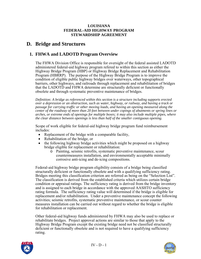# <span id="page-29-0"></span>**D. Bridge and Structures**

# **1. FHWA and LADOTD Program Overview**

The FHWA Division Office is responsible for oversight of the federal assisted LADOTD administered federal-aid highway program refered to within this section as either the Highway Bridge Program (HBP) or Highway Bridge Replacement and Rehabilitation Program (HBRRP). The purpose of the Highway Bridge Program is to improve the condition of eligible public highway bridges over waterways, other topographical barriers, other highways, and railroads through replacement and rehabilitation of bridges that the LADOTD and FHWA determine are structurally deficient or functionally obsolete and through systematic preventive maintenance of bridges.

*Definition: A bridge as referenced within this section is a structure including supports erected over a depression or an obstruction, such as water, highway, or railway, and having a track or passage for carrying traffic or other moving loads, and having an opening measured along the center of the roadway of more than 20 feet between under copings of abutments or spring lines or arches, or extreme ends of openings for multiple boxes; it may also include multiple pipes, where the clear distance between openings is less than half of the smaller contiguous opening.* 

Scope of work eligible for federal-aid highway bridge program fund reimbursement includes:

- Replacement of the bridge with a comparable facility,
- Rehabilitation of the bridge, or
- the following highway bridge activities which might be proposed on a highway bridge eligible for replacement or rehabilitation:
	- o Painting, seismic retrofits, systematic preventive maintenance, scour countermeasures installation, and environmentally acceptable minimally corrosive anti-icing and de-icing compositions.

Federal-aid highway bridge program eligibility consists of a bridge being classified structurally deficient or functionally obsolete and with a qualifying sufficiency rating. Bridges meeting this classification criterion are referred as being on the "Selection List". The classification is derived from the established criteria which utilizes certain bridge condition or appraisal ratings. The sufficiency rating is derived from the bridge inventory and is assigned to each bridge in accordance with the approved AASHTO sufficiency rating formula. The sufficiency rating value will determined if the bridge is eligible for replacement and/or rehabilitation. Under a preventive maintenance concept the following activities; seismic retrofits, systematic preventive maintenance, or scour counter measures installation can be carried out without regard to whether the bridge is eligible for rehabilitation or replacement.

Other federal-aid highway funds administered by FHWA may also be used to replace or rehabilitate bridges. Project approval actions are similar to those that apply to the Highway Bridge Program except the existing bridge need not be classified structurally deficient or functionally obsolete and is not required to have a qualifying sufficiency rating.



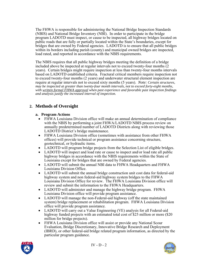The FHWA is responsible for administering the National Bridge Inspection Standards (NBIS) and National Bridge Inventory (NBI). In order to participate in the bridge program LADOTD must inspect, or cause to be inspected, all highway bridges located on public roads that are fully or partially located within the State's boundaries, except for bridges that are owned by Federal agencies. LADOTD is to ensure that all public bridges within its borders including parish (county) and municipal owned bridges are inspected, load rated, and reported in accordance with the NBIS requirements.

The NBIS requires that all public highway bridges meeting the definition of a bridge included above be inspected at regular intervals not to exceed twenty-four months (2 years). Certain bridges might require inspection at less than twenty-four months intervals based on LADOTD established criteria. Fractural critical members require inspection not to exceed twenty-four months (2 years) and underwater structural element inspection are require at regular intervals not to exceed sixty months (5 years). *Note: Certain structures, may be inspected at greater than twenty-four month intervals, not to exceed forty-eight months, with written formal FHWA approval when past experience and favorable past inspection findings and analysis justify the increased interval of inspection.* 

# **2. Methods of Oversight**

#### **a. Program Actions**

- FHWA Louisiana Division office will make an annual determination of compliance with the NBIS by performing a joint FHWA/LADOTD NBIS process review on annually predetermined number of LADOTD Districts along with reviewing those LADOTD District's bridge maintenance.
- FHWA Louisiana Division office (sometimes with assistance from other FHWA offices) will provide technical or program assistance concerning structure, geotechnical, or hydraulic items.
- LADOTD will program bridge projects from the Selection List of eligible bridges.
- LADOTD will inspect and load rate or cause to inspect and/or load rate all public highway bridges in accordance with the NBIS requirements within the State of Louisiana except for bridges that are owned by Federal agencies.
- LADOTD will submit the annual NBI data to FHWA Headquarters and FHWA Louisiana Division Office.
- LADOTD will submit the annual bridge construction unit cost data for federal-aid highway system and non federal-aid highway system bridges to the FHWA Louisiana Division Office for review. The FHWA Louisiana Division office will review and submit the information to the FHWA Headquarters.
- LADOTD will administer and manage the highway bridge program. FHWA Louisiana Division office will provide program assistance.
- LADOTD will manage the non-Federal-aid highway (off the state maintained system) bridge replacement or rehabilitation program. FHWA Louisiana Division office will provide program assistance.
- LADOTD will carry out a Value Engineering (VE) analysis for all Federal-aid highway funded projects with an estimated total cost of \$25 million or more (\$20) million for bridge projects).
- FHWA Louisiana Division office will assist or provide any National Scour Evaluation, Bridge Discretionary, Innovative Bridge Research and Deployment (IBRD), or other federal-aid bridge related program information, as directed by the particular program guidance.



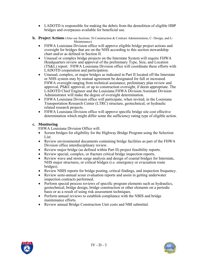- LADOTD is responsible for making the debris from the demolition of eligible HBP bridges and overpasses available for beneficial use.
- **b. Project Actions** (Also see Sections: H-Construction & Contract Administration, C- Design, and L-Maintenance)
	- FHWA Louisiana Division office will approve eligible bridge project actions and oversight for bridges that are on the NHS according to this section stewardship chart and/or as defined in Section II.
	- Unusual or complex bridge projects on the Interstate System will require FHWA Headquarters review and approval of the preliminary Type, Size, and Location (TS&L) report. FHWA Louisiana Division office will coordinate these efforts with LADOTD cooperation and participation.
	- Unusual, complex, or major bridges as indicated in Part II located off the Interstate or NHS system may by mutual agreement be designated for full or increased FHWA oversight ranging from technical assistance, preliminary plan review and approval, PS&E approval, or up to construction oversight, if deem appropriate. The LADOTD Chief Engineer and the Louisiana FHWA Division Assistant Division Administrator will make the degree of oversight determination.
	- FHWA Louisiana Division office will participate, when invited, in the Louisiana Transportation Research Center (LTRC) structure, geotechnical, or hydraulic related research projects.
	- FHWA Louisiana Division office will approve specific bridge site cost effective determination which might differ some the sufficiency rating type of eligible action.

### **c. Monitoring**

FHWA Louisiana Division Office will:

- Screen bridges for eligibility for the Highway Bridge Program using the Selection List.
- Review environmental documents containing bridge facilities as part of the FHWA Division office interdisciplinary review.
- Review major bridge (as defined within Part II) project feasibility reports.
- Review special, complex, or fracture critical bridge inspection reports.
- Review wave and storm surge analysis and design of coastal bridges for Interstate, NHS major structures, or critical bridges (i.e. emergency or evacuation route bridges).
- Review NBIS reports for bridge posting, critical findings, and inspection frequency.
- Review semi-annual scour evaluation reports and assist in getting underwater inspection contracts performed.
- Perform special process reviews of specific program elements such as hydraulics, geotechnical, bridge design, bridge construction or other elements on a periodic basis or as a result of using risk assessment techniques.
- Perform annual reviews to establish compliance with the NBIS and bridge maintenance efforts.
- Review annual Bridge Construction Unit costs and NBI submittal.



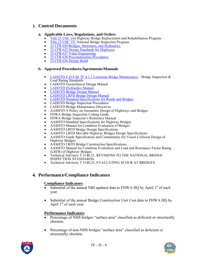# **3. Control Documents**

#### **a. Applicable Laws, Regulations, and Orders**

- [Title 23 USC 144](http://www.access.gpo.gov/uscode/title23/title23.html) Highway Bridge Replacement and Rehabilitation Program
- [Title 23 USC 151 N](http://www.access.gpo.gov/uscode/title23/title23.html)ational Bridge Inspection Program
- 23 CFR 650 Bridges, Structures, and Hydraulics
- [23 CFR 625 Design Standards for Highways](http://www.access.gpo.gov/nara/cfr/waisidx_03/23cfrv1_03.html)
- [23 CFR 627 Value Engineering](http://www.access.gpo.gov/nara/cfr/waisidx_03/23cfrv1_03.html)
- [23 CFR 630 Preconstruction Procedures](http://www.access.gpo.gov/nara/cfr/waisidx_03/23cfrv1_03.html)
- [23 CFR 636 Design Build](http://www.access.gpo.gov/nara/cfr/waisidx_03/23cfr636_03.html)

#### **b. Approved Procedures/Agreements/Manuals**

- [LADOTD E.D.S.M. IV.4.1.2 Louisiana Bridge Maintenance –](http://webmail.dotd.louisiana.gov/ppmemos.nsf) Bridge Inspection  $\&$ Load Rating Standards
- LADOTD Geotechnical Design Manual
- **[LADOTD Hydraulics Manual](http://www.dotd.louisiana.gov/highways/project_devel/design/standardforms.asp)**
- **[LADOTD Bridge Design Manual](http://www.dotd.louisiana.gov/highways/project_devel/design/standardforms.asp)**
- [LADOTD LRFD Bridge Design Manual](http://www.dotd.louisiana.gov/highways/project_devel/design/standardforms.asp)
- [LADOTD Standard Specifications for Roads and Bridges](http://www.dotd.louisiana.gov/doclist.asp?ID=52)
- LADOTD Bridge Inspection Procedures
- LADOTD Bridge Maintenance Directives
- AASHTO A Policy on Geometric Design of Highways and Bridges
- FHWA Bridge Inspection Coding Guide
- FHWA Bridge Inspector's Reference Manual
- AASHTO Standard Specifications for Highway Bridges
- AASHTO Manual for Condition Evaluation of Bridges
- AASHTO LRFD Bridge Design Specifications
- AASHTO LRFD Movable Highway Bridges Design Specifications
- AASHTO Guide Specification and Commentary for Vessel Collision Design of Highway Bridges
- AASHTO LRFD Bridge Construction Specifications
- AASHTO Manual for Condition Evaluation and Load and Resistance Factor Rating (LRFR) of Highway Bridges
- Technical Advisory T 5140.21, REVISIONS TO THE NATIONAL BRIDGE INSPECTION STANDARDS
- Technical Advisory T 5140.23, EVALUATING SCOUR AT BRIDGES

# **4. Performance/Compliance Indicators**

#### **Compliance Indicators**

- Submittal of the annual NBI updated data to FHWA HQ by April  $1<sup>st</sup>$  of each year.
- Submittal of the annual Bridge Construction Unit Cost data to FHWA HQ by April  $1<sup>st</sup>$  of each year.

#### **Performance Indicators**

- Percentage of NHS bridges "surface area" classified as deficient or structurally obsolete.
- Percentage of non-NHS bridges "surface area" classified as deficient or structurally obsolete.



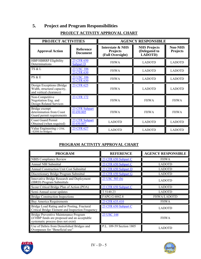# **5. Project and Program Responsibilities**

# **PROJECT ACTIVITY APPROVAL CHART**

| PROJECT ACTIVITIES                                                                   |                                     | <b>AGENCY RESPONSIBLE</b>                               |                                                 |                                   |  |
|--------------------------------------------------------------------------------------|-------------------------------------|---------------------------------------------------------|-------------------------------------------------|-----------------------------------|--|
| <b>Approval Action</b>                                                               | <b>Reference</b><br><b>Document</b> | Interstate & NHS<br><b>Projects</b><br>(Full Oversight) | <b>NHS Projects</b><br>(Delegated to<br>LADOTD) | <b>Non-NHS</b><br><b>Projects</b> |  |
| <b>HBP/HBRRP Eligibility</b><br>Determinations                                       | 23 CFR 650<br><b>Subpart D</b>      | <b>FHWA</b>                                             | <b>LADOTD</b>                                   | <b>LADOTD</b>                     |  |
| TS & L                                                                               | 23 USC 106<br>23 CFR 630            | <b>FHWA</b>                                             | <b>LADOTD</b>                                   | <b>LADOTD</b>                     |  |
| PS & E                                                                               | 23 USC 106<br>23 CFR 630            | <b>FHWA</b>                                             | <b>LADOTD</b>                                   | <b>LADOTD</b>                     |  |
| Design Exceptions (Bridge)<br>Width, structural capacity,<br>and vertical clearance) | 23 CFR 625                          | <b>FHWA</b>                                             | <b>LADOTD</b>                                   | <b>LADOTD</b>                     |  |
| Non-Competitive<br>Negotiation Eng. and<br>Design Related Services                   | 23 CFR 172                          | <b>FHWA</b>                                             | <b>FHWA</b>                                     | <b>FHWA</b>                       |  |
| Bridge exempt<br>determination from Coast<br>Guard permit requirements               | 23 CFR Subpart<br>H 650.805         | <b>FHWA</b>                                             | <b>FHWA</b>                                     | <b>FHWA</b>                       |  |
| <b>Coast Guard Permit</b><br>Obtained (when required)                                | 23 CFR Subpart<br>H 650.807         | <b>LADOTD</b>                                           | <b>LADOTD</b>                                   | <b>LADOTD</b>                     |  |
| Value Engineering (>25M,<br>>\$20M for bridges)                                      | 23 CFR 627                          | <b>LADOTD</b>                                           | <b>LADOTD</b>                                   | <b>LADOTD</b>                     |  |

# **PROGRAM ACTIVITY APPROVAL CHART**

| <b>PROGRAM</b>                                                                                                              | <b>REFERENCE</b>         | <b>AGENCY RESPONSIBLE</b> |
|-----------------------------------------------------------------------------------------------------------------------------|--------------------------|---------------------------|
| <b>NBIS Compliance Review</b>                                                                                               | 23 CFR 650 Subpart C     | <b>FHWA</b>               |
| Annual NBI Submittal                                                                                                        | 23 CFR 650 Subpart C     | LADOTD                    |
| <b>Annual Construction Unit Cost Submittal</b>                                                                              | 23 CFR 650 Subpart D     | <b>LADOTD</b>             |
| Discretionary Bridge Program Submittal                                                                                      | 23 CFR 650 Subpart G     | <b>LADOTD</b>             |
| Innovative Bridge Research and Deployment<br>(IBRD) Program Submittals                                                      | 23 USC 503 (b)           | <b>LADOTD</b>             |
| Scour Critical Bridge Plan of Action (POA)                                                                                  | 23 CFR 650 Subpart C     | <b>LADOTD</b>             |
| Semi-Annual scour updates                                                                                                   | T 5140.23                | <b>LADOTD</b>             |
| <b>Bridge Construction Inspections</b>                                                                                      | FAPG G 6042.8            | <b>FHWA/LADOTD</b>        |
| <b>Buy America Requirements</b>                                                                                             | 23 CFR 635.410           | <b>FHWA</b>               |
| Bridge Load Rating and/or Posting, Fractural<br>Critical Bridge Element and Inspection Frequency                            | 23 CFR 650 Subpart C     | <b>LADOTD</b>             |
| Bridge Preventive Maintenance Program<br>(if HBP funds are proposed and an acceptable<br>systematic process does not exist) | 23 USC 144               | <b>FHWA</b>               |
| Use of Debris from Demolished Bridges and<br>Overpasses for "Beneficial use"                                                | P.L. 109-59 Section 1805 | <b>LADOTD</b>             |



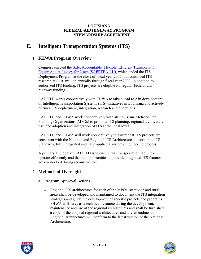# <span id="page-34-0"></span>**E. Intelligent Transportation Systems (ITS)**

# **1. FHWA Program Overview**

Congress enacted the [Safe, Accountable, Flexible, Efficient Transportation](http://www.fhwa.dot.gov/safetealu/index.htm)  [Equity Act: A Legacy for Users \(SAFETEA-LU\),](http://www.fhwa.dot.gov/safetealu/index.htm) which ended the ITS Deployment Program at the close of fiscal year 2005, but continued ITS research at \$110 million annually through fiscal year 2009. In addition to authorized ITS funding, ITS projects are eligible for regular Federal-aid highway funding.

LADOTD works cooperatively with FHWA to take a lead role in development of Intelligent Transportation Systems (ITS) initiatives in Louisiana and actively pursues ITS deployment, integration, research and operations.

LADOTD and FHWA work cooperatively with all Louisiana Metropolitan Planning Organizations (MPOs) to promote ITS planning, regional architecture use, and adoption and integration of ITS at the local level.

LADOTD and FHWA will work cooperatively to assure that ITS projects are consistent with the National and Regional ITS Architectures, incorporate ITS Standards, fully integrated and have applied a systems engineering process.

A primary ITS goal of LADOTD is to ensure that transportation facilities operate efficiently and that no opportunities to provide integrated ITS features are overlooked during reconstruction.

# **2. Methods of Oversight**

#### **a. Program Approval Actions**

• Regional ITS architectures for each of the MPOs, statewide and rural areas shall be developed and maintained to document the ITS integration strategies and guide the development of specific projects and programs. FHWA will serve as a technical resource during the development, maintenance and use of the regional architectures and shall be furnished a copy of the adopted regional architectures and any amendments. Regional architectures will conform to the latest version of the National Architecture.



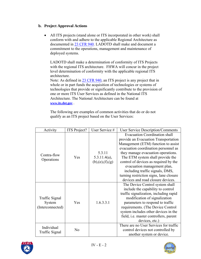### **b. Project Approval Actions**

• All ITS projects (stand alone or ITS incorporated in other work) shall conform with and adhere to the applicable Regional Architecture as documented in [23 CFR 940.](http://www.access.gpo.gov/nara/cfr/waisidx_03/23cfrv1_03.html) LADOTD shall make and document a commitment to the operations, management and maintenance of deployed systems.

LADOTD shall make a determination of conformity of ITS Projects with the regional ITS architecture. FHWA will concur in the project level determination of conformity with the applicable regional ITS architecture.

Note: As defined in [23 CFR 940,](http://www.access.gpo.gov/nara/cfr/waisidx_03/23cfrv1_03.html) an ITS project is any project that in whole or in part funds the acquisition of technologies or systems of technologies that provide or significantly contribute to the provision of one or more ITS User Services as defined in the National ITS Architecture. The National Architecture can be found at **[www.its.dot.gov](http://www.its.dot.gov/)** .

The following are examples of common activities that do or do not qualify as an ITS project based on the User Services:

| Activity                                     | ITS Project?   | User Service #                               | <b>User Service Description/Comments</b>                                                                                                                                                                                                                                                                                                                                                                                         |
|----------------------------------------------|----------------|----------------------------------------------|----------------------------------------------------------------------------------------------------------------------------------------------------------------------------------------------------------------------------------------------------------------------------------------------------------------------------------------------------------------------------------------------------------------------------------|
| Contra-flow<br>Operations                    | Yes            | 5.3.11<br>$5.3.11.4(a)$ ,<br>(b),(e),(f),(g) | <b>Evacuation Coordination shall</b><br>provide an Evacuation Transportation<br>Management (ETM) function to assist<br>evacuation coordination personnel as<br>they manage evacuation operations.<br>The ETM system shall provide the<br>control of devices as required by the<br>evacuation management plan,<br>including traffic signals, DMS,<br>turning restriction signs, lane closure<br>devices and road closure devices. |
| Traffic Signal<br>System<br>(Interconnected) | Yes            | 1.6.3.3.1                                    | The Device Control system shall<br>include the capability to control<br>traffic signalization, including rapid<br>modification of signalization<br>parameters to respond to traffic<br>requirements. (The Device Control<br>system includes other devices in the<br>field, i.e. master controllers, parent<br>devices, etc.)                                                                                                     |
| Individual<br>Traffic Signal                 | N <sub>0</sub> |                                              | There are no User Services for traffic<br>control devices not controlled by<br>another system or device.                                                                                                                                                                                                                                                                                                                         |



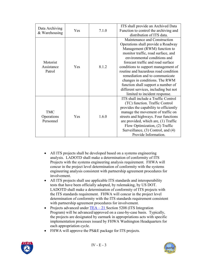| Data Archiving<br>& Warehousing       | Yes | 7.1.0 | ITS shall provide an Archived Data<br>Function to control the archiving and<br>distribution of ITS data.                                                                                                                                                                                                                                                                                                                                                                         |
|---------------------------------------|-----|-------|----------------------------------------------------------------------------------------------------------------------------------------------------------------------------------------------------------------------------------------------------------------------------------------------------------------------------------------------------------------------------------------------------------------------------------------------------------------------------------|
| Motorist<br>Assistance<br>Patrol      | Yes | 8.1.2 | Maintenance and Construction<br>Operations shall provide a Roadway<br>Management (RWM) function to<br>monitor traffic, road surface, and<br>environmental conditions and<br>forecast traffic and road surface<br>conditions to support management of<br>routine and hazardous road condition<br>remediation and to communicate<br>changes in conditions. The RWM<br>function shall support a number of<br>different services, including but not<br>limited to incident response. |
| <b>TMC</b><br>Operations<br>Personnel | Yes | 1.6.0 | ITS shall include a Traffic Control<br>(TC) function. Traffic Control<br>provides the capability to efficiently<br>manage the movement of traffic on<br>streets and highways. Four functions<br>are provided, which are, (1) Traffic<br>Flow Optimization, (2) Traffic<br>Surveillance, (3) Control, and (4)<br>Provide Information.                                                                                                                                             |

- All ITS projects shall be developed based on a systems engineering analysis. LADOTD shall make a determination of conformity of ITS Projects with the systems engineering analysis requirement. FHWA will concur in the project level determination of conformity with the systems engineering analysis consistent with partnership agreement procedures for involvement.
- All ITS projects shall use applicable ITS standards and interoperability tests that have been officially adopted, by rulemaking, by US DOT. LADOTD shall make a determination of conformity of ITS projects with the ITS standards requirement. FHWA will concur in the project level determination of conformity with the ITS standards requirement consistent with partnership agreement procedures for involvement.
- Projects advanced under  $TEA 21 Section 5208 (ITS Integration)$ </u> Program) will be advanced/approved on a case-by-case basis. Typically, the projects are designated by earmark in appropriations acts with specific implementation processes issued by FHWA Washington Headquarters for each appropriation cycle.
- FHWA will approve the PS&E package for ITS projects.



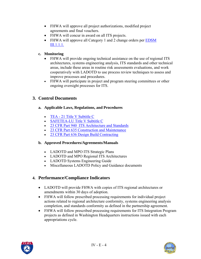- FHWA will approve all project authorizations, modified project agreements and final vouchers.
- FHWA will concur in award on all ITS projects.
- FHWA will approve all Category 1 and 2 change orders per EDSM [III.1.1.1.](http://webmail.dotd.louisiana.gov/ppmemos.nsf)

### **c. Monitoring**

- FHWA will provide ongoing technical assistance on the use of regional ITS architectures, systems engineering analysis, ITS standards and other technical areas, include these areas in routine risk assessments evaluations, and work cooperatively with LADOTD to use process review techniques to assess and improve processes and procedures.
- FHWA will participate in project and program steering committees or other ongoing oversight processes for ITS.

## **3. Control Documents**

- **a. Applicable Laws, Regulations, and Procedures**
	- [TEA 21 Title V Subtitle C](http://www.fhwa.dot.gov/tea21/index.htm)
	- [SAFETEA-LU Title V Subtitle C](http://www.fhwa.dot.gov/safetealu/index.htm)
	- [23 CFR Part 940 ITS Architecture and Standards](http://www.access.gpo.gov/nara/cfr/waisidx_03/23cfr940_03.html)
	- [23 CFR Part 635 Construction and Maintenance](http://www.access.gpo.gov/nara/cfr/waisidx_03/23cfr635_03.html)
	- [23 CFR Part 636 Design Build Contracting](http://www.access.gpo.gov/nara/cfr/waisidx_03/23cfr636_03.html)

#### **b. Approved Procedures/Agreements/Manuals**

- LADOTD and MPO ITS Strategic Plans
- LADOTD and MPO Regional ITS Architectures
- LADOTD Systems Engineering Guide
- Miscellaneous LADOTD Policy and Guidance documents

## **4. Performance/Compliance Indicators**

- LADOTD will provide FHWA with copies of ITS regional architectures or amendments within 30 days of adoption.
- FHWA will follow prescribed processing requirements for individual project actions related to regional architecture conformity, systems engineering analysis completion, and standards conformity as defined in the partnership agreement.
- FHWA will follow prescribed processing requirements for ITS Integration Program projects as defined in Washington Headquarters instructions issued with each appropriations cycle.



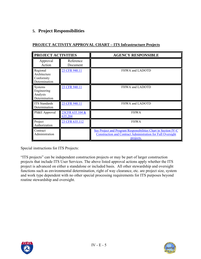# **5. Project Responsibilities**

| <b>PROJECT ACTIVITIES</b>                               |                            | <b>AGENCY RESPONSIBLE</b>                                                                                                                         |
|---------------------------------------------------------|----------------------------|---------------------------------------------------------------------------------------------------------------------------------------------------|
| Approval<br>Action                                      | Reference<br>Document      |                                                                                                                                                   |
| Regional<br>Architecture<br>Conformity<br>Determination | 23 CFR 940.11              | FHWA and LADOTD                                                                                                                                   |
| Systems<br>Engineering<br>Analysis<br>Determination     | 23 CFR 940.11              | FHWA and LADOTD                                                                                                                                   |
| <b>ITS</b> Standards<br>Determination                   | 23 CFR 940.11              | FHWA and LADOTD                                                                                                                                   |
| PS&E Approval                                           | 23CFR 635.104 &<br>635.204 | <b>FHWA</b>                                                                                                                                       |
| Project<br>Authorization                                | 23 CFR 635.112             | <b>FHWA</b>                                                                                                                                       |
| Contract<br>Administration                              |                            | See Project and Program Responsibilities Chart in Section IV-C<br><b>Construction and Contract Administration for Full Oversight</b><br>projects. |

### **PROJECT ACTIVITY APPROVAL CHART – ITS Infrastructure Projects**

Special instructions for ITS Projects:

"ITS projects" can be independent construction projects or may be part of larger construction projects that include ITS User Services. The above listed approval actions apply whether the ITS project is advanced on either a standalone or included basis. All other stewardship and oversight functions such as environmental determination, right of way clearance, etc. are project size, system and work type dependent with no other special processing requirements for ITS purposes beyond routine stewardship and oversight.



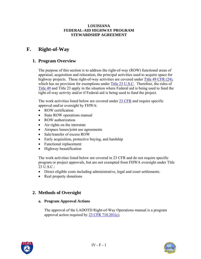# **F. Right-of-Way**

## **1. Program Overview**

The purpose of this section is to address the right-of-way (ROW) functional areas of appraisal, acquisition and relocation, the principal activities used to acquire space for highway projects. These right-of-way activities are covered under [Title 49 CFR \(24\)](http://ecfr.gpoaccess.gov/cgi/t/text/text-idx?sid=bc334d5af026b402621f9a9efdf8b739&c=ecfr&tpl=/ecfrbrowse/Title49/49cfrv1_02.tpl), which has no provision for exemptions under [Title 23 U.S.C](http://www.access.gpo.gov/uscode/title23/title23.html). Therefore, the rules of [Title 49](http://www.access.gpo.gov/uscode/title49/title49.html) and Title 23 apply in the situation where Federal aid is being used to fund the right-of-way activity and/or if Federal-aid is being used to fund the project.

The work activities listed below are covered under [23 CFR](http://www.access.gpo.gov/nara/cfr/waisidx_03/23cfrv1_03.html) and require specific approval and/or oversight by FHWA:

- ROW certification
- State ROW operations manual
- ROW authorization
- Air rights on the interstate
- Airspace leases/joint use agreements
- Sale/transfer of excess ROW
- Early acquisition, protective buying, and hardship
- Functional replacement
- Highway beautification

The work activities listed below are covered in 23 CFR and do not require specific program or project approvals, but are not exempted from FHWA oversight under Title  $23$  U.S.C.

- Direct eligible costs including administrative, legal and court settlements.
- Real property donations

## **2. Methods of Oversight**

#### **a. Program Approval Actions**

The approval of the LADOTD Right-of-Way Operations manual is a program approval action required by [23 CFR 710.201\(c\)](http://www.access.gpo.gov/nara/cfr/waisidx_03/23cfrv1_03.html).



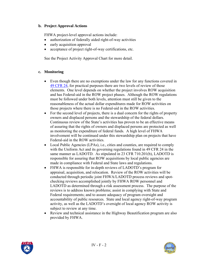#### **b. Project Approval Actions**

FHWA project-level approval actions include:

- authorization of federally aided right-of-way activities
- early acquisition approval
- acceptance of project right-of-way certifications, etc.

See the Project Activity Approval Chart for more detail.

#### **c. Monitoring**

- Even though there are no exemptions under the law for any functions covered in [49 CFR 24,](http://ecfr.gpoaccess.gov/cgi/t/text/text-idx?sid=bc334d5af026b402621f9a9efdf8b739&c=ecfr&tpl=/ecfrbrowse/Title49/49cfrv1_02.tpl) for practical purposes there are two levels of review of those elements. One level depends on whether the project involves ROW acquisition and has Federal-aid in the ROW project phases. Although the ROW regulations must be followed under both levels, attention must still be given to the reasonableness of the actual dollar expenditures made for ROW activities on those projects where there is no Federal-aid in the ROW activities.
- For the second level of projects, there is a dual concern for the rights of property owners and displaced persons and the stewardship of the federal dollars. Continuous review of the State's activities has proven to be an effective means of assuring that the rights of owners and displaced persons are protected as well as monitoring the expenditure of federal funds. A high level of FHWA involvement will be continued under this stewardship plan on projects that have Federal-aid in the ROW activities.
- Local Public Agencies (LPAs), i.e., cities and counties, are required to comply with the Uniform Act and its governing regulations found in 49 CFR 24 in the same manner as LADOTD. As stipulated in 23 CFR 710.201(b), LADOTD is responsible for assuring that ROW acquisitions by local public agencies are made in compliance with Federal and State laws and regulations.
- FHWA is responsible for in-depth reviews of LADOTD's program for appraisal, acquisition, and relocation. Review of the ROW activities will be conducted through periodic joint FHWA/LADOTD process reviews and spotchecking reviews accomplished jointly by FHWA ROW personnel and LADOTD as determined through a risk assessment process. The purpose of the reviews is to address known problems; assist in complying with State and Federal requirements; and to assure adequacy of program oversight and accountability of public resources. State and local agency right-of-way program activity, as well as the LADOTD's oversight of local agency ROW activity is subject to review at any time.
- Review and technical assistance in the Highway Beautification program are also provided by FHWA.



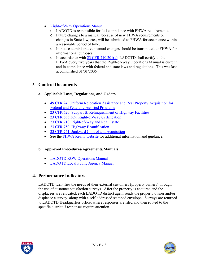- [Right-of-Way Operations Manual](http://www.dotd.louisiana.gov/highways/project_devel/realestate/manual.asp)
	- o LADOTD is responsible for full compliance with FHWA requirements.
	- o Future changes to a manual, because of new FHWA requirements or changes in State law, etc., will be submitted to FHWA for acceptance within a reasonable period of time.
	- o In-house administrative manual changes should be transmitted to FHWA for informational purposes.
	- o In accordance with [23 CFR 710.201\(c\)](http://www.access.gpo.gov/nara/cfr/waisidx_03/23cfrv1_03.html), LADOTD shall certify to the FHWA every five years that the Right-of-Way Operations Manual is current and in compliance with federal and state laws and regulations. This was last accomplished 01/01/2006.

## **3. Control Documents**

#### **a. Applicable Laws, Regulations, and Orders**

- [49 CFR 24, Uniform Relocation Assistance and Real Property Acquisition for](http://ecfr.gpoaccess.gov/cgi/t/text/text-idx?c=ecfr&sid=4b130c71709cf33dd27a942ac4e391be&rgn=div5&view=text&node=49:1.0.1.1.17&idno=49)  [Federal and Federally Assisted Programs](http://ecfr.gpoaccess.gov/cgi/t/text/text-idx?c=ecfr&sid=4b130c71709cf33dd27a942ac4e391be&rgn=div5&view=text&node=49:1.0.1.1.17&idno=49)
- [23 CFR 620, Subpart B, Relinquishment of Highway Facilities](http://www.access.gpo.gov/nara/cfr/waisidx_03/23cfrv1_03.html)
- [23 CFR 635.309, Right-of-Way Certification](http://www.access.gpo.gov/nara/cfr/waisidx_03/23cfrv1_03.html)
- [23 CFR 710, Right-of-Way and Real Estate](http://www.access.gpo.gov/nara/cfr/waisidx_03/23cfrv1_03.html)
- [23 CFR 750, Highway Beautification](http://www.access.gpo.gov/nara/cfr/waisidx_03/23cfrv1_03.html)
- [23 CFR 751, Junkyard Control and Acquisition](http://www.access.gpo.gov/nara/cfr/waisidx_03/23cfrv1_03.html)
- See the **FHWA Realty website** for additional information and guidance.

### **b. Approved Procedures/Agreements/Manuals**

- [LADOTD ROW Operations Manual](http://www.dotd.louisiana.gov/highways/project_devel/realestate/manual.asp)
- [LADOTD Local Public Agency Manual](http://www.dotd.louisiana.gov/highways/project_devel/realestate/manual.asp)

## **4. Performance Indicators**

LADOTD identifies the needs of their external customers (property owners) through the use of customer satisfaction surveys. After the property is acquired and the displacees are relocated, each LADOTD district agent sends the property owner and/or displacee a survey, along with a self-addressed stamped envelope. Surveys are returned to LADOTD Headquarters office, where responses are filed and then routed to the specific district if responses require attention.



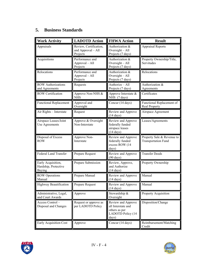# **5. Business Standards**

| <b>Work Activity</b>                                        | <b>LADOTD Action</b>                                     | <b>FHWA Action</b>                                                                      | <b>Result</b>                                            |
|-------------------------------------------------------------|----------------------------------------------------------|-----------------------------------------------------------------------------------------|----------------------------------------------------------|
| Appraisals                                                  | Review, Certification,<br>and Approval - All<br>Projects | Authorization &<br>Oversight $-$ All<br>Projects (7 days)                               | <b>Appraisal Reports</b>                                 |
| Acquisitions                                                | Performance and<br>Approval - All<br>Projects            | Authorization &<br>Oversight $-$ All<br>Projects (7 days)                               | Property Ownership/Title,<br>Servitudes                  |
| Relocations                                                 | Performance and<br>Approval - All<br>Projects            | Authorization &<br>Oversight $-$ All<br>Projects (7 days)                               | Relocations                                              |
| <b>ROW Authorizations</b><br>and Agreements                 | Requests                                                 | Authorize - All<br>Projects (7 days)                                                    | Authorization &<br>Agreements                            |
| <b>ROW Certification</b>                                    | Approve Non-NHS &<br><b>NHS</b>                          | Approve Interstate &<br>NHS (7 days)                                                    | Certificates                                             |
| <b>Functional Replacement</b>                               | Approval and<br>Oversight                                | Concur (14 days)                                                                        | Functional Replacement of<br><b>Real Property</b>        |
| Air Rights - Interstate                                     | Request                                                  | Review and Approve<br>$(14 \text{ days})$                                               | Airspace Agreement                                       |
| Airspace Leases/Joint<br>Use Agreements                     | Approve & Oversight<br>Non-Interstate                    | Review and Approve<br>federally funded<br>airspace leases<br>$(14 \text{ days})$        | Leases/Agreements                                        |
| Disposal of Excess<br><b>ROW</b>                            | Approve Non-<br>Interstate                               | Review and Approve<br>federally funded<br>excess ROW (14<br>days)                       | Property Sale & Revenue to<br><b>Transportation Fund</b> |
| <b>Federal Land Transfer</b>                                | Prepare Request                                          | Review and Approve<br>$(90 \text{ days})$                                               | <b>Transfer Deeds</b>                                    |
| Early Acquisition,<br>Hardship, Protective<br><b>Buying</b> | Prepare Submission                                       | Review, Approve,<br>and Authorize<br>$(14 \text{ days})$                                | Property Ownership                                       |
| <b>ROW Operations</b><br>Manual                             | Prepare Manual                                           | Review and Approve<br>$(14 \text{ days})$                                               | Manual                                                   |
| Highway Beautification                                      | Prepare Request                                          | Review and Approve<br>$(14 \text{ days})$                                               | Manual                                                   |
| Administrative, Legal,<br>and Court Awards                  | Approve                                                  | Stewardship &<br>Oversight                                                              | Property Acquisition                                     |
| Access Control-<br>Disposal and Changes                     | Request or approve as<br>per LADOTD Policy               | Review and Approve<br>all Interstate and<br>others as per<br>LADOTD Policy (14<br>days) | Disposition/Change                                       |
| Early Acquisition Cost                                      | Approve                                                  | Concur (14 days)                                                                        | Reimbursement/Matching<br>Credit                         |



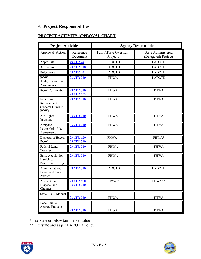# **6. Project Responsibilities**

# **PROJECT ACTIVITY APPROVAL CHART**

| <b>Project Activities</b>                              |                          | <b>Agency Responsible</b>       |                                                   |  |
|--------------------------------------------------------|--------------------------|---------------------------------|---------------------------------------------------|--|
| Approval Action                                        | Reference<br>Document    | Full FHWA Oversight<br>Projects | <b>State Administered</b><br>(Delegated) Projects |  |
| Appraisals                                             | <b>49 CFR 24</b>         | <b>LADOTD</b>                   | <b>LADOTD</b>                                     |  |
| Acquisitions                                           | 23 CFR 710               | <b>LADOTD</b>                   | <b>LADOTD</b>                                     |  |
| Relocations                                            | <b>49 CFR 24</b>         | <b>LADOTD</b>                   | <b>LADOTD</b>                                     |  |
| <b>ROW</b><br>Authorizations and<br>Agreements         | 23 CFR 710               | <b>FHWA</b>                     | <b>LADOTD</b>                                     |  |
| <b>ROW Certification</b>                               | 23 CFR 710<br>23 CFR 635 | <b>FHWA</b>                     | <b>FHWA</b>                                       |  |
| Functional<br>Replacement<br>(Federal Funds in<br>ROW) | 23 CFR 710               | <b>FHWA</b>                     | <b>FHWA</b>                                       |  |
| Air Rights -<br>Interstate                             | 23 CFR 710               | <b>FHWA</b>                     | <b>FHWA</b>                                       |  |
| Airspace<br>Leases/Joint Use<br>Agreements             | 23 CFR 710               | <b>FHWA</b>                     | <b>FHWA</b>                                       |  |
| Disposal of Excess<br><b>ROW</b>                       | 23 CFR 620<br>23 CFR 710 | FHWA*                           | FHWA*                                             |  |
| Federal Land<br>Transfer                               | 23 CFR 710               | <b>FHWA</b>                     | <b>FHWA</b>                                       |  |
| Early Acquisition,<br>Hardship,<br>Protective Buying   | 23 CFR 710               | <b>FHWA</b>                     | <b>FHWA</b>                                       |  |
| Administrative,<br>Legal, and Court<br>Awards          | 23 CFR 710               | <b>LADOTD</b>                   | <b>LADOTD</b>                                     |  |
| Access Control-<br>Disposal and<br>Changes             | 23 CFR 620<br>23 CFR 710 | FHWA**                          | FHWA**                                            |  |
| <b>State ROW Manual</b>                                | 23 CFR 710               | <b>FHWA</b>                     | <b>FHWA</b>                                       |  |
| Local Public<br><b>Agency Projects</b>                 | 23 CFR 710               | <b>FHWA</b>                     | <b>FHWA</b>                                       |  |

\* Interstate or below fair market value

\*\* Interstate and as per LADOTD Policy



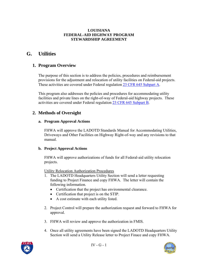# **G. Utilities**

## **1. Program Overview**

The purpose of this section is to address the policies, procedures and reimbursement provisions for the adjustment and relocation of utility facilities on Federal-aid projects. These activities are covered under Federal regulation [23 CFR 645 Subpart A](http://www.access.gpo.gov/nara/cfr/waisidx_03/23cfr645_03.html).

This program also addresses the policies and procedures for accommodating utility facilities and private lines on the right-of-way of Federal-aid highway projects. These activities are covered under Federal regulation [23 CFR 645 Subpart B.](http://www.access.gpo.gov/nara/cfr/waisidx_03/23cfr645_03.html)

## **2. Methods of Oversight**

#### **a. Program Approval Actions**

FHWA will approve the LADOTD Standards Manual for Accommodating Utilities, Driveways and Other Facilities on Highway Right-of-way and any revisions to that manual.

#### **b. Project Approval Actions**

FHWA will approve authorizations of funds for all Federal-aid utility relocation projects.

Utility Relocation Authorization Procedures

- 1. The LADOTD Headquarters Utility Section will send a letter requesting funding to Project Finance and copy FHWA. The letter will contain the following information.
	- Certification that the project has environmental clearance.
	- Certification that project is on the STIP.
	- A cost estimate with each utility listed.
- 2. Project Control will prepare the authorization request and forward to FHWA for approval.
- 3. FHWA will review and approve the authorization in FMIS.
- 4. Once all utility agreements have been signed the LADOTD Headquarters Utility Section will send a Utility Release letter to Project Finace and copy FHWA.



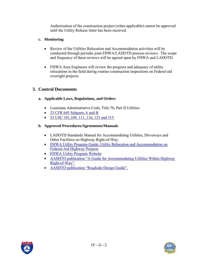Authorization of the construction project (when applicable) cannot be approved until the Utility Release letter has been received.

#### **c. Monitoring**

- Review of the Utilities Relocation and Accommodation activities will be conducted through periodic joint FHWA/LADOTD process reviews. The scope and frequency of these reviews will be agreed upon by FHWA and LADOTD.
- FHWA Area Engineers will review the progress and adequacy of utility relocations in the field during routine construction inspections on Federal-aid oversight projects.

## **3. Control Documents**

#### **a. Applicable Laws, Regulations, and Orders**

- Louisiana Administrative Code, Title 70, Part II Utilities
- [23 CFR 645 Subparts A and B](http://www.access.gpo.gov/nara/cfr/waisidx_03/23cfr645_03.html)
- [23 USC 101,109, 111, 116, 123 and 315](http://www.access.gpo.gov/uscode/title23/title23.html)

#### **b. Approved Procedures/Agreements/Manuals**

- LADOTD Standards Manual for Accommodating Utilities, Driveways and Other Facilities on Highway Right-of-Way.
- FHWA Utility Program Guide: Utility Relocation and Accommodation on [Federal-Aid Highway Projects](http://www.fhwa.dot.gov/reports/utilguid/index.cfm)
- [FHWA Utility Program Website](http://www.fhwa.dot.gov/programadmin/utility.cfm)
- AASHTO publication "A Guide for Accommodating Utilities Within Highway [Right-of-Way".](http://www.transportation.org/)
- [AASHTO publication "Roadside Design Guide".](http://www.transportation.org/)



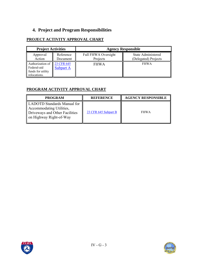# **4. Project and Program Responsibilities**

## **PROJECT ACTIVITY APPROVAL CHART**

| <b>Project Activities</b>                                            |                                | <b>Agency Responsible</b>              |                                                   |
|----------------------------------------------------------------------|--------------------------------|----------------------------------------|---------------------------------------------------|
| Approval<br>Action                                                   | Reference<br>Document          | <b>Full FHWA Oversight</b><br>Projects | <b>State Administered</b><br>(Delegated) Projects |
| Authorization of<br>Federal-aid<br>funds for utility<br>relocations. | 23 CFR 645<br><b>Subpart A</b> | <b>FHWA</b>                            | <b>FHWA</b>                                       |

## **PROGRAM ACTIVITY APPROVAL CHART**

| <b>PROGRAM</b>                                                                                                       | <b>REFERENCE</b>     | <b>AGENCY RESPONSIBLE</b> |
|----------------------------------------------------------------------------------------------------------------------|----------------------|---------------------------|
| LADOTD Standards Manual for<br>Accommodating Utilities,<br>Driveways and Other Facilities<br>on Highway Right-of-Way | 23 CFR 645 Subpart B | <b>FHWA</b>               |



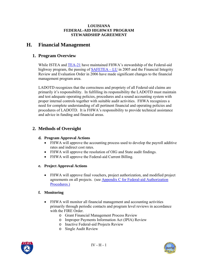# **H. Financial Management**

## **1. Program Overview**

While ISTEA and [TEA-21](http://www.fhwa.dot.gov/tea21/index.htm) have maintained FHWA's stewardship of the Federal-aid highway program, the passing of [SAFETEA – LU](http://www.fhwa.dot.gov/hep/safetealu.htm) in 2005 and the Financial Integrity Review and Evaluation Order in 2006 have made significant changes to the financial management program area.

LADOTD recognizes that the correctness and propriety of all Federal-aid claims are primarily it's responsibility. In fulfilling its responsibility the LADOTD must maintain and test adequate operating policies, procedures and a sound accounting system with proper internal controls together with suitable audit activities. FHWA recognizes a need for complete understanding of all pertinent financial and operating policies and procedures of LADOTD. It is FHWA's responsibility to provide technical assistance and advice in funding and financial areas.

## **2. Methods of Oversight**

#### **d. Program Approval Actions**

- FHWA will approve the accounting process used to develop the payroll additive rates and indirect cost rates.
- FHWA will approve the resolution of OIG and State audit findings.
- FHWA will approve the Federal-aid Current Billing.

#### **e. Project Approval Actions**

• FHWA will approve final vouchers, project authorization, and modified project agreements on all projects. (see Appendix C for Federal-aid Authorization Procedures.)

### **f. Monitoring**

- FHWA will monitor all financial management and accounting activities primarily through periodic contacts and program level reviews in accordance with the FIRE Order.
	- o Grant Financial Management Process Review
	- o Improper Payments Information Act (IPIA) Review
	- o Inactive Federal-aid Projects Review
	- o Single Audit Review



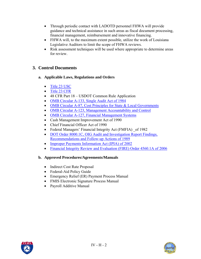- Through periodic contact with LADOTD personnel FHWA will provide guidance and technical assistance in such areas as fiscal document processing, financial management, reimbursement and innovative financing.
- FHWA will, to the maximum extent possible, utilize the work of Louisiana Legislative Auditors to limit the scope of FHWA reviews.
- Risk assessment techniques will be used where appropriate to determine areas for review.

# **3. Control Documents**

- **a. Applicable Laws, Regulations and Orders** 
	- [Title 23 USC](http://www.access.gpo.gov/uscode/title23/title23.html)
	- [Title 23 CFR](http://www.access.gpo.gov/nara/cfr/waisidx_03/23cfrv1_03.html)
	- 48 CFR Part 18 USDOT Common Rule Application
	- [OMB Circular A-133, Single Audit Act of 1984](http://www.whitehouse.gov/omb/circulars/a133/a133.html)
	- [OMB Circular A-87, Cost Principles for State & Local Governments](http://www.whitehouse.gov/omb/circulars/a087/a087-all.html)
	- [OMB Circular A-123, Management Accountability and Control](http://www.whitehouse.gov/omb/circulars/a123/a123.html)
	- [OMB Circular A-127, Financial Management Systems](http://www.whitehouse.gov/omb/circulars/a127/a127.html)
	- Cash Management Improvement Act of 1990
	- Chief Financial Officer Act of 1990
	- Federal Managers' Financial Integrity Act (FMFIA) of 1982
	- DOT Order 8000.1C, OIG Audit and Investigation Report Findings, [Recommendations and Follow-up Actions of 1989](http://www.fhwa.dot.gov/legsregs/directives/orders/29102b.htm)
	- [Improper Payments Information Act \(IPIA\) of 2002](http://www.whitehouse.gov/omb/memoranda/m03-13-attach.pdf)
	- [Financial Integrity Review and Evaluation \(FIRE\) Order 4560.1A of 2006](http://www.fhwa.dot.gov/legsregs/directives/orders/45601a.htm)

### **b. Approved Procedures/Agreements/Manuals**

- Indirect Cost Rate Proposal
- Federal-Aid Policy Guide
- Emergency Relief (ER) Payment Process Manual
- FMIS Electronic Signature Process Manual
- Payroll Additive Manual



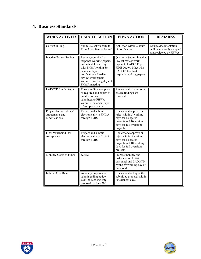# **4. Business Standards**

| <b>WORK ACTIVITY</b>                                       | <b>LADOTD ACTION</b>                                                                                                                                                                                               | <b>FHWA ACTION</b>                                                                                                                               | <b>REMARKS</b>                                                           |
|------------------------------------------------------------|--------------------------------------------------------------------------------------------------------------------------------------------------------------------------------------------------------------------|--------------------------------------------------------------------------------------------------------------------------------------------------|--------------------------------------------------------------------------|
| <b>Current Billing</b>                                     | Submits electronically to<br>FHWA as often as desired                                                                                                                                                              | Act Upon within 2 hours<br>of notification                                                                                                       | Source documentation<br>will be randomly sampled<br>and reviewed by FHWA |
| <b>Inactive Project Review</b>                             | Review, compile first<br>response working papers,<br>and schedule meeting<br>with FHWA within 30<br>calendar days of<br>notification / Finalize<br>review work papers<br>within 15 working days of<br>FHWA meeting | Quarterly Submit Inactive<br>Project review work<br>papers to LADOTD per<br>FIRE Order / Meet with<br>LADOTD on first<br>response working papers |                                                                          |
| LADOTD Single Audit                                        | Ensure audit is completed<br>as required and copies of<br>audit reports are<br>submitted to FHWA<br>within 30 calendar days<br>of completed audit.                                                                 | Review and take action to<br>ensure findings are<br>resolved                                                                                     |                                                                          |
| Project Authorizations/<br>Agreements and<br>Modifications | Prepare and submit<br>electronically to FHWA<br>through FMIS.                                                                                                                                                      | Review and approve or<br>reject within 5 working<br>days for delegated<br>projects and 10 working<br>days for full oversight<br>projects         |                                                                          |
| Final Vouchers/Final<br>Acceptance                         | Prepare and submit<br>electronically to FHWA<br>through FMIS                                                                                                                                                       | Review and approve or<br>reject within 5 working<br>days for delegated<br>projects and 10 working<br>days for full oversight<br>projects         |                                                                          |
| Monthly Status of Funds                                    | <b>None</b>                                                                                                                                                                                                        | Prepare monthly and<br>distribute to FHWA<br>personnel and LADOTD<br>by the $5th$ working day of<br>the month.                                   |                                                                          |
| <b>Indirect Cost Rate</b>                                  | Annually prepare and<br>submit ending budget<br>year indirect cost rate<br>proposal by June 30 <sup>th</sup> .                                                                                                     | Review and act upon the<br>submitted proposal within<br>60 calendar days.                                                                        |                                                                          |



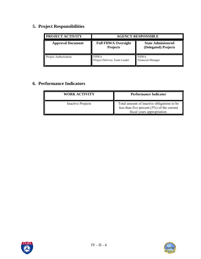# **5. Project Responsibilities**

| <b>PROJECT ACTIVITY</b>  | <b>AGENCY RESPONSIBLE</b>                     |                                                   |
|--------------------------|-----------------------------------------------|---------------------------------------------------|
| <b>Approval Document</b> | <b>Full FHWA Oversight</b><br><b>Projects</b> | <b>State Administered</b><br>(Delegated) Projects |
| Project Authorization    | <b>FHWA</b><br>Project Delivery Team Leader   | <b>FHWA</b><br>Financial Manager                  |

# **6. Performance Indicators**

| WORK ACTIVITY            | <b>Performance Indicator</b>                                                                                               |
|--------------------------|----------------------------------------------------------------------------------------------------------------------------|
| <b>Inactive Projects</b> | Total amount of inactive obligations to be<br>less than five percent $(5\%)$ of the current<br>fiscal years appropriation. |



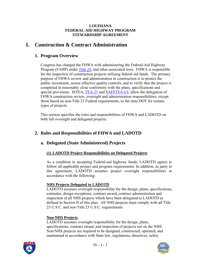# <span id="page-51-0"></span>**I. Construction & Contract Administration**

## **1. Program Overview**

Congress has charged the FHWA with administering the Federal-Aid Highway Program (FAHP) under *[Title 23](http://www.access.gpo.gov/uscode/title23/title23.html)*, and other associated laws. FHWA is responsible for the inspection of construction projects utilizing federal aid funds. The primary purpose of FHWA review and administration in construction is to protect the public investment, assure effective quality controls, and to verify that the project is completed in reasonably close conformity with the plans, specifications and special provisions. ISTEA, [TEA-21](http://www.fhwa.dot.gov/tea21/index.htm) and [SAFETEA-LU](http://www.fhwa.dot.gov/safetealu/index.htm) allow the delegation of FHWA construction review, oversight and administration responsibilities, except those based on non-Title 23 Federal requirements, to the state DOT for certain types of projects.

This section specifies the roles and responsibilities of FHWA and LADOTD on both full oversight and delegated projects.

# **2. Roles and Responsibilities of FHWA and LADOTD**

## **a. Delegated (State Administered) Projects**

### **(1) LADOTD Project Responsibilities on Delegated Projects**

As a condition to accepting Federal-aid highway funds, LADOTD agrees to follow all applicable project and program requirements. In addition, as party to this agreement, LADOTD assumes project oversight responsibilities in accordance with the following:

#### **NHS Projects Delegated to LADOTD**

LADOTD assumes oversight responsibility for the design, plans, specifications, estimates, design exceptions, contract award, contract administration and inspection of all NHS projects which have been delegated to LADOTD as defined in Section II of this plan. All NHS projects must comply with all Title 23 U.S.C. and non-Title 23 U.S.C. requirements.

#### **Non-NHS Projects**

LADOTD assumes oversight responsibility for the design, plans, specifications, contract award, and inspection of projects not on the NHS. Non-NHS projects are required to be designed, constructed, operated, and maintained in accordance with State law, regulations, directives, safety



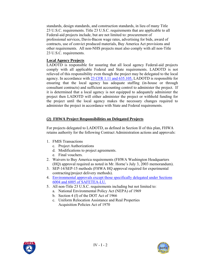standards, design standards, and construction standards, in lieu of many Title 23 U.S.C. requirements. Title 23 U.S.C. requirements that are applicable to all Federal-aid projects include, but are not limited to: procurement of professional services, Davis-Bacon wage rates, advertising for bids, award of contracts, use of convict produced materials, Buy America Act provisions and other requirements. All non-NHS projects must also comply with all non-Title 23 U.S.C. requirements.

#### **Local Agency Projects**

LADOTD is responsible for assuring that all local agency Federal-aid projects comply with all applicable Federal and State requirements. LADOTD is not relieved of this responsibility even though the project may be delegated to the local agency. In accordance with [23 CFR 1.11 and 635.105,](http://www.access.gpo.gov/nara/cfr/waisidx_03/23cfrv1_03.html) LADOTD is responsible for ensuring that the local agency has adequate staffing (in-house or through consultant contracts) and sufficient accounting control to administer the project. If it is determined that a local agency is not equipped to adequately administer the project then LADOTD will either administer the project or withhold funding for the project until the local agency makes the necessary changes required to administer the project in accordance with State and Federal requirements.

### **(2) FHWA Project Responsibilities on Delegated Projects**

For projects delegated to LADOTD, as defined in Section II of this plan, FHWA retains authority for the following Contract Administration actions and approvals:

- 1. FMIS Transactions
	- c. Project Authorizations
	- d. Modifications to project agreements.
	- e. Final vouchers.
- 2. Waivers to Buy America requirements (FHWA Washington Headquarters (HQ) approval required as noted in Mr. Horne's July 3, 2003 memorandum).
- 3. SEP-14/SEP-15 methods (FHWA HQ approval required for experimental contracting/project delivery methods).
- 4. [Environmental approvals except those specifically delegated under Sections](http://www.fhwa.dot.gov/safetealu/index.htm)  [6004 and 6005 of SAFETEA-LU.](http://www.fhwa.dot.gov/safetealu/index.htm)
- 5. All non-Title 23 U.S.C. requirements including but not limited to:
	- a. National Environmental Policy Act (NEPA) of 1969
	- b. Section 4 (f) of the DOT Act of 1966
	- c. Uniform Relocation Assistance and Real Properties Acquisition Policies Act of 1970



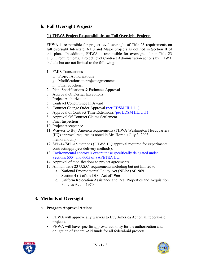## **b. Full Oversight Projects**

#### **(1) FHWA Project Responsibilities on Full Oversight Projects**

FHWA is responsible for project level oversight of Title 23 requirements on full oversight Interstate, NHS and Major projects as defined in Section II of this plan. In addition, FHWA is responsible for oversight of non-Title 23 U.S.C. requirements. Project level Contract Administration actions by FHWA include but are not limited to the following:

- 1. FMIS Transactions
	- f. Project Authorizations
	- g. Modifications to project agreements.
	- h. Final vouchers.
- 2. Plan, Specifications & Estimates Approval
- 3. Approval Of Design Exceptions
- 4. Project Authorization.
- 5. Contract Concurrence In Award
- 6. Contract Change Order Approval [\(per EDSM III.1.1.1\)](http://webmail.dotd.louisiana.gov/ppmemos.nsf)
- 7. Approval of Contract Time Extensions [\(per EDSM III.1.1.1\)](http://webmail.dotd.louisiana.gov/ppmemos.nsf)
- 8. Approval Of Contract Claims Settlement
- 9. Final Inspection
- 10. Project Acceptance
- 11. Waivers to Buy America requirements (FHWA Washington Headquarters (HQ) approval required as noted in Mr. Horne's July 3, 2003 memorandum).
- 12. SEP-14/SEP-15 methods (FHWA HQ approval required for experimental contracting/project delivery methods).
- 13. [Environmental approvals except those specifically delegated under](http://www.fhwa.dot.gov/safetealu/index.htm)  [Sections 6004 and 6005 of SAFETEA-LU.](http://www.fhwa.dot.gov/safetealu/index.htm)
- 14. Approval of modifications to project agreements.
- 15. All non-Title 23 U.S.C. requirements including but not limited to:
	- a. National Environmental Policy Act (NEPA) of 1969
		- b. Section 4 (f) of the DOT Act of 1966
		- c. Uniform Relocation Assistance and Real Properties and Acquisition Policies Act of 1970

## **3. Methods of Oversight**

#### **a. Program Approval Actions**

- FHWA will approve any waivers to Buy America Act on all federal-aid projects.
- FHWA will have specific approval authority for the authorization and obligation of Federal-Aid funds for all federal-aid projects.



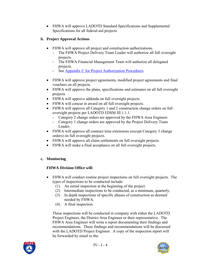• FHWA will approve LADOTD Standard Specifications and Supplemental Specifications for all federal-aid projects.

## **b. Project Approval Actions**

- FHWA will approve all project and construction authorizations.
	- The FHWA Project Delivery Team Leader will authorize all full oversight projects.
	- The FHWA Financial Management Team will authorize all delegated projects.
	- See Appendix C for Project Authorization Procedures.
- FHWA will approve project agreements, modified project agreements and final vouchers on all projects.
- FHWA will approve the plans, specifications and estimates on all full oversight projects.
- FHWA will approve addenda on full oversight projects.
- FHWA will concur in award on all full oversight projects.
- FHWA will approve all Category 1 and 2 construction change orders on full oversight projects per LADOTD EDSM III.1.1.1.
	- Category 2 change orders are approved by the FHWA Area Engineer.
	- Category 1 change orders are approved by the Project Delivery Team Leader.
- FHWA will approve all contract time extensions (except Category 3 change orders) on full oversight projects.
- FHWA will approve all claim settlements on full oversight projects.
- FHWA will make a final acceptance on all full oversight projects.

### **c. Monitoring**

### **FHWA Division Office will:**

- FHWA will conduct routine project inspections on full oversight projects. The types of inspections to be conducted include:
	- (1) An initial inspection at the beginning of the project.
	- (2) Intermediate inspections to be conducted, as a minimum, quarterly.
	- (3) In depth inspections of specific phases of construction as deemed needed by FHWA.
	- (4) A final inspection.

These inspections will be conducted in company with either the LADOTD Project Engineer, the District Area Engineer or their representative. The FHWA Area Engineer will write a report documenting their findings and recommendations. These findings and recommendations will be discussed with the LADOTD Project Engineer. A copy of the inspection report will be forwarded by email to the:



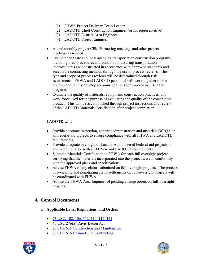- (1) FHWA Project Delivery Team Leader
- (2) LADOTD Chief Construction Engineer (or his representative)
- (3) LADOTD District Area Engineer
- (4) LADOTD Project Engineer
- Attend monthly project CPM/Partnering meetings and other project meetings as needed.
- Evaluate the State and local agencies' transportation construction programs, including their procedures and controls for assuring transportation improvements are constructed in accordance with approved standards and acceptable contracting methods through the use of process reviews. The type and scope of process reviews will be determined through risk assessments. FHWA and LADOTD personnel will work together on the reviews and jointly develop recommendations for improvements in the program.
- Evaluate the quality of materials, equipment, construction practices, and work force used for the purpose of evaluating the quality of the constructed product. This will be accomplished through project inspections and review of the LADOTD Materials Certification after project completion.

## **LADOTD will:**

- Provide adequate inspection, contract administration and materials QC/QA on all Federal-aid projects to ensure compliance with all FHWA and LADOTD requirements.
- Provide adequate oversight of Locally Administered Federal-aid projects to ensure compliance with all FHWA and LADOTD requirements.
- Submit a Materials Certification to FHWA for each full oversight project certifying that the materials incorporated into the project were in conformity with the approved plans and specifications.
- Advise FHWA of any claims submitted on full-oversight projects. The process of reviewing and negotiating claim settlements on full-oversight projects will be coordinated with FHWA.
- Advise the FHWA Area Engineer of pending change orders on full-oversight projects.

## **4. Control Documents**

- **a. Applicable Laws, Regulations, and Orders** 
	- [23 USC, 102, 106, 112, 114, 117, 121](http://www.access.gpo.gov/uscode/title23/title23.html)
	- 40 USC 276(a) Davis-Bacon Act
	- 23 CFR 635 Construction and Maintenance
	- [23 CFR 636 Design Build Contracting](http://www.access.gpo.gov/nara/cfr/waisidx_03/23cfr636_03.html)



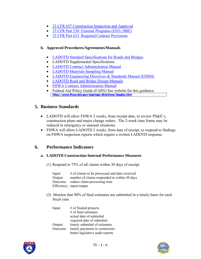- [23 CFR 637 Construction Inspection and Approval](http://www.access.gpo.gov/nara/cfr/waisidx_03/23cfrv1_03.html)
- [23 CFR Part 230 External Programs \(EEO, DBE\)](http://www.access.gpo.gov/nara/cfr/waisidx_03/23cfr230_03.html)
- [23 CFR Part 633 Required Contract Provisions](http://www.access.gpo.gov/nara/cfr/waisidx_03/23cfr633_03.html)

#### **b. Approved Procedures/Agreements/Manuals**

- [LADOTD Standard Specifications for Roads and Bridges](http://www.dotd.louisiana.gov/doclist.asp?ID=52)
- LADOTD Supplemental Specifications
- [LADOTD Contract Administration Manual](http://www.dotd.louisiana.gov/construction/DOTD_CCAMAug05.pdf)
- [LADOTD Materials Sampling Manual](http://www.dotd.louisiana.gov/highways/construction/lab/msm/english/tblcontents.shtml)
- [LADOTD Engineering Directives & Standards Manual \(EDSM\)](http://webmail.dotd.louisiana.gov/ppmemos.nsf)
- [LADOTD Road and Bridge Design Manuals](http://www.dotd.louisiana.gov/highways/project_devel/design/standardforms.asp)
- [FHWA Contract Administration Manual](http://www.fhwa.dot.gov/programadmin/contracts/coretoc.cfm)
- Federal Aid Policy Guide (FAPG) See website for this guidance. **<http://www.fhwa.dot.gov/legsregs/directives/fapgtoc.htm>**

## **5. Business Standards**

- LADOTD will allow FHWA 2 weeks, from receipt date, to review PS&E's, construction plans and major change orders. The 2-week time frame may be reduced in emergency or unusual situations.
- FHWA will allow LADOTD 2 weeks, from date of receipt, to respond to findings on FHWA inspection reports which require a written LADOTD response.

## **6. Performance Indicators**

#### **a. LADOTD Construction Internal Performance Measures**

(1) Respond to 75% of all claims within 30 days of receipt.

Input: # of claims to be processed and date received Output: number of claims responded to within 30 days Outcome: reduce claim processing time Efficiency: input/output

(2) Monitor that 90% of final estimates are submitted in a timely basis for each fiscal year.

| Input:   | $#$ of finaled projects          |
|----------|----------------------------------|
|          | $#$ of final estimates           |
|          | actual date of submittal         |
|          | required date of submittal       |
| Output:  | timely submittal of estimates    |
| Outcome: | timely payments to contractors   |
|          | better legislative audit reports |



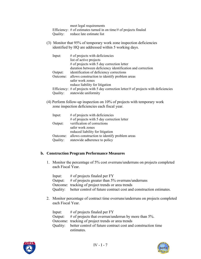meet legal requirements Efficiency: # of estimates turned in on time/# of projects finaled Quality: reduce late estimate list

(3) Monitor that 95% of temporary work zone inspection deficiencies identified by HQ are addressed within 5 working days.

| Input:   | $#$ of projects with deficiencies                                                             |
|----------|-----------------------------------------------------------------------------------------------|
|          | list of active projects                                                                       |
|          | # of projects with 5 day correction letter                                                    |
|          | duration between deficiency identification and correction                                     |
| Output:  | identification of deficiency corrections                                                      |
| Outcome: | allows construction to identify problem areas                                                 |
|          | safer work zones                                                                              |
|          | reduce liability for litigation                                                               |
|          | Efficiency: $\#$ of projects with 5 day correction letter/ $\#$ of projects with deficiencies |
| Quality: | statewide uniformity                                                                          |

(4) Perform follow-up inspection on 10% of projects with temporary work zone inspection deficiencies each fiscal year.

| Input:   | $#$ of projects with deficiencies             |
|----------|-----------------------------------------------|
|          | $#$ of projects with 5 day correction letter  |
| Output:  | verification of corrections                   |
|          | safer work zones                              |
|          | reduced liability for litigation              |
| Outcome: | allows construction to identify problem areas |
| Quality: | statewide adherence to policy                 |

#### **b. Construction Program Performance Measures**

1. Monitor the percentage of 5% cost overruns/underruns on projects completed each Fiscal Year.

| Input: | $#$ of projects finaled per FY                                              |
|--------|-----------------------------------------------------------------------------|
|        | Output: $\#$ of projects greater than 5% overruns/underruns                 |
|        | Outcome: tracking of project trends or area trends                          |
|        | Quality: better control of future contract cost and construction estimates. |

2. Monitor percentage of contract time overruns/underruns on projects completed each Fiscal Year.

| Input:  | $#$ of projects finaled per FY                                        |
|---------|-----------------------------------------------------------------------|
| Output: | $\#$ of projects that overrun/underrun by more than 5%.               |
|         | Outcome: tracking of project trends or area trends                    |
|         | Quality: better control of future contract cost and construction time |
|         | estimates.                                                            |



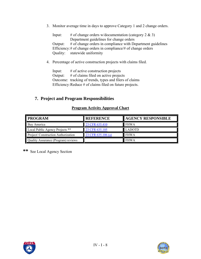3. Monitor average time in days to approve Category 1 and 2 change orders.

Input: # of change orders w/documentation (category  $2 \& 3$ ) Department guidelines for change orders Output: # of change orders in compliance with Department guidelines Efficiency: # of change orders in compliance/# of change orders Quality: statewide uniformity

4. Percentage of active construction projects with claims filed.

Input: # of active construction projects Output: # of claims filed on active projects Outcome: tracking of trends, types and filers of claims Efficiency: Reduce # of claims filed on future projects.

## **7. Project and Program Responsibilities**

#### **Program Activity Approval Chart**

| <b>PROGRAM</b>                      | <b>REFERENCE</b>     | <b>AGENCY RESPONSIBLE</b> |
|-------------------------------------|----------------------|---------------------------|
| Buv America                         | 23 CFR 635.410       | <b>FHWA</b>               |
| Local Public Agency Projects **     | 23 CFR 635.105       | <b>LADOTD</b>             |
| Project/ Construction Authorization | 23 CFR $635.106$ (a) | <b>FHWA</b>               |
| Quality Assurance (Program) reviews |                      | <b>FHWA</b>               |

**\*\*** See Local Agency Section



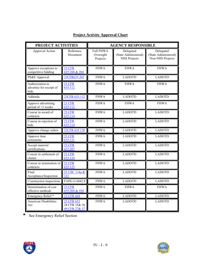| PROJECT ACTIVITIES                                    |                                              | <b>AGENCY RESPONSIBLE</b>                 |                                                          |                                                       |
|-------------------------------------------------------|----------------------------------------------|-------------------------------------------|----------------------------------------------------------|-------------------------------------------------------|
| Approval Action                                       | Reference<br>Document                        | <b>Full FHWA</b><br>Oversight<br>Projects | Delegated<br>(State Administered)<br><b>NHS</b> Projects | Delegated<br>(State Administered)<br>Non-NHS Projects |
| Approve exceptions to<br>competitive bidding          | 23 CFR<br>635.104 & 204                      | <b>FHWA</b>                               | <b>FHWA</b>                                              | <b>FHWA</b>                                           |
| PS&E Approval                                         | 23CFR635.205                                 | <b>FHWA</b>                               | <b>LADOTD</b>                                            | <b>LADOTD</b>                                         |
| Authorization to<br>advertise for receipt of<br>bids. | 23 CFR<br>635.112                            | <b>FHWA</b>                               | <b>FHWA</b>                                              | <b>FHWA</b>                                           |
| Addenda                                               | 23CFR 635.112                                | <b>FHWA</b>                               | <b>LADOTD</b>                                            | <b>LADOTD</b>                                         |
| Approve advertising<br>period of <3 weeks             | 23 CFR<br>635.112                            | <b>FHWA</b>                               | <b>FHWA</b>                                              | <b>FHWA</b>                                           |
| Concur in award of<br>contracts                       | 23 CFR<br>635.114                            | <b>FHWA</b>                               | <b>LADOTD</b>                                            | <b>LADOTD</b>                                         |
| Concur in rejection of<br>bids                        | <b>23 CFR</b><br>635.114                     | <b>FHWA</b>                               | <b>LADOTD</b>                                            | <b>LADOTD</b>                                         |
| Approve change orders                                 | 23CFR 635.120                                | <b>FHWA</b>                               | <b>LADOTD</b>                                            | <b>LADOTD</b>                                         |
| Approve time<br>extensions                            | <b>23 CFR</b><br>635.121                     | <b>FHWA</b>                               | <b>LADOTD</b>                                            | <b>LADOTD</b>                                         |
| Accept material<br>certifications                     | 23 CFR<br>637.207                            | <b>FHWA</b>                               | <b>LADOTD</b>                                            | <b>LADOTD</b>                                         |
| Concur in settlement of<br>claims                     | 23 CFR<br>635.124                            | <b>FHWA</b>                               | <b>LADOTD</b>                                            | <b>LADOTD</b>                                         |
| Concur in termination of<br>contracts                 | 23 CFR<br>635.125                            | <b>FHWA</b>                               | <b>LADOTD</b>                                            | <b>LADOTD</b>                                         |
| Final<br>Acceptance/Inspection                        | 23 USC 114a &<br>121                         | <b>FHWA</b>                               | <b>LADOTD</b>                                            | <b>LADOTD</b>                                         |
| Construction inspections                              | FAPG G 6042.8                                | <b>FHWA</b>                               | <b>LADOTD</b>                                            | <b>LADOTD</b>                                         |
| Determination of cost<br>effective methods            | <b>23 CFR</b><br>635.204 & 104               | <b>FHWA</b>                               | <b>FHWA</b>                                              | <b>FHWA</b>                                           |
| Emergency Relief*                                     | 23 CFR 668                                   | <b>FHWA</b>                               | <b>LADOTD</b>                                            | <b>LADOTD</b>                                         |
| <b>American Disabilities</b><br>Act                   | 23 CFR 652<br>28 CFR 35& 36<br>49 CFR 27& 37 | <b>FHWA</b>                               | <b>LADOTD</b>                                            | <b>LADOTD</b>                                         |

# **Project Activity Approval Chart**

**\*** See Emergency Relief Section



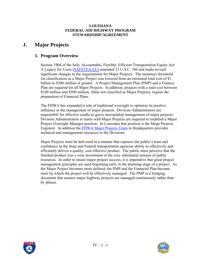# **J. Major Projects**

## **1. Program Overview**

Section 1904 of the Safe, Accountable, Flexible, Efficient Transportation Equity Act: A Legacy for Users [\(SAFETEA-LU\)](http://www.fhwa.dot.gov/safetealu/index.htm) amended 23 U.S.C. 106 and made several significant changes to the requirements for Major Projects. The monetary threshold for classification as a Major Project was lowered from an estimated total cost of \$1 billion to \$500 million or greater. A Project Management Plan (PMP) and a Finance Plan are required for all Major Projects. In addition, projects with a total cost between \$100 million and \$500 million, while not classified as Major Projects, require the preparation of Financial Plans.

The FHWA has expanded it role of traditional oversight to optimize its positive influence in the management of major projects. Division Administrators are responsible for effective cradle-to-grave stewardship management of major projects. Division Administrators in states with Major Projects are required to establish a Major Project Oversight Manager position. In Louisiana that position is the Mega Projects Engineer. In addition th[e FHWA Major Projects Team](http://www.fhwa.dot.gov/programadmin/mega/index.cfm) in Headquarters provides technical and management resources to the Divisions.

Major Projects must be delivered in a manner that captures the public's trust and confidence in the State and Federal transportation agencies ability to effectively and efficiently deliver a quality, cost effective product. The public must perceive that the finished product was a wise investment of the very substantial amount of public resources. In order to insure major project success, it is imperative that good project management principles are used beginning early in the planning stage of a project. As the Major Project becomes more defined, the PMP and the Financial Plan become tools by which the project will be effectively managed. The PMP is a bridging document that assures major highway projects are managed continuously rather than by phases.



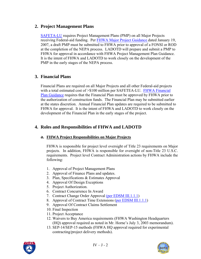## **2. Project Management Plans**

[SAFETA-LU](http://www.fhwa.dot.gov/safetealu/index.htm) requires Project Management Plans (PMP) on all Major Projects receiving Federal-aid funding. Per [FHWA Major Project Guidance](http://www.fhwa.dot.gov/programadmin/mega/pmpguide.cfm) dated January 19, 2007, a draft PMP must be submitted to FHWA prior to approval of a FONSI or ROD at the completion of the NEPA process. LADOTD will prepare and submit a PMP to FHWA for approval in accordance with FHWA Project Management Plan Guidance. It is the intent of FHWA and LADOTD to work closely on the development of the PMP in the early stages of the NEPA process.

# **3. Financial Plans**

Financial Plans are required on all Major Projects and all other Federal-aid projects with a total estimated cost of  $> $100$  million per SAFETEA-LU. FHWA Financial [Plan Guidance](http://www.fhwa.dot.gov/programadmin/mega/fplans.cfm) requires that the Financial Plan must be approved by FHWA prior to the authorization of construction funds. The Financial Plan may be submitted earlier at the states discretion. Annual Financial Plan updates are required to be submitted to FHWA for approval. It is the intent of FHWA and LADOTD to work closely on the development of the Financial Plan in the early stages of the project.

## **4. Roles and Responsibilities of FHWA and LADOTD**

### **a. FHWA Project Responsibilities on Major Projects**

FHWA is responsible for project level oversight of Title 23 requirements on Major projects. In addition, FHWA is responsible for oversight of non-Title 23 U.S.C. requirements. Project level Contract Administration actions by FHWA include the following:

- 1. Approval of Project Management Plans
- 2. Approval of Finance Plans and updates.
- 3. Plan, Specifications & Estimates Approval
- 4. Approval Of Design Exceptions
- 5. Project Authorization.
- 6. Contract Concurrence In Award
- 7. Contract Change Order Approval [\(per EDSM III.1.1.1\)](http://webmail.dotd.louisiana.gov/ppmemos.nsf)
- 8. Approval of Contract Time Extensions ([per EDSM III.1.1.1](http://webmail.dotd.louisiana.gov/ppmemos.nsf))
- 9. Approval Of Contract Claims Settlement
- 10. Final Inspection
- 11. Project Acceptance
- 12. Waivers to Buy America requirements (FHWA Washington Headquarters (HQ) approval required as noted in Mr. Horne's July 3, 2003 memorandum).
- 13. SEP-14/SEP-15 methods (FHWA HQ approval required for experimental contracting/project delivery methods).



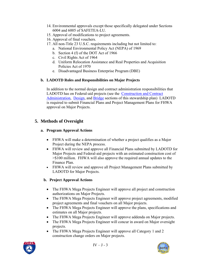- 14. Environmental approvals except those specifically delegated under Sections 6004 and 6005 of SAFETEA-LU.
- 15. Approval of modifications to project agreements.
- 16. Approval of final vouchers.
- 17. All non-Title 23 U.S.C. requirements including but not limited to:
	- a. National Environmental Policy Act (NEPA) of 1969
	- b. Section 4 (f) of the DOT Act of 1966
	- c. Civil Rights Act of 1964
	- d. Uniform Relocation Assistance and Real Properties and Acquisition Policies Act of 1970
	- e. Disadvantaged Business Enterprise Program (DBE)

## **b. LADOTD Roles and Responsibilities on Major Projects**

In addition to the normal design and contract administration responsibilities that LADOTD has on Federal-aid projects (see the [Construction and Contract](#page-51-0)  [Administration,](#page-51-0) [Design,](#page-22-0) and [Bridge](#page-29-0) sections of this stewardship plan) LADOTD is required to submit Financial Plans and Project Management Plans for FHWA approval on Major Projects.

# **5. Methods of Oversight**

### **a. Program Approval Actions**

- FHWA will make a determination of whether a project qualifies as a Major Project during the NEPA process.
- FHWA will review and approve all Financial Plans submitted by LADOTD for Major Projects and Federal-aid projects with an estimated construction cost of >\$100 million. FHWA will also approve the required annual updates to the Finance Plan.
- FHWA will review and approve all Project Management Plans submitted by LADOTD for Major Projects.

## **b. Project Approval Actions**

- The FHWA Mega Projects Engineer will approve all project and construction authorizations on Major Projects.
- The FHWA Mega Projects Engineer will approve project agreements, modified project agreements and final vouchers on all Major projects.
- The FHWA Mega Projects Engineer will approve the plans, specifications and estimates on all Major projects.
- The FHWA Mega Projects Engineer will approve addenda on Major projects.
- The FHWA Mega Projects Engineer will concur in award on Major oversight projects.
- The FHWA Mega Projects Engineer will approve all Category 1 and 2 construction change orders on Major projects.



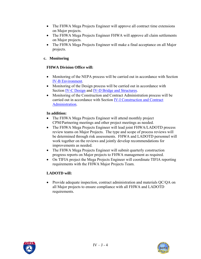- The FHWA Mega Projects Engineer will approve all contract time extensions on Major projects.
- The FHWA Mega Projects Engineer FHWA will approve all claim settlements on Major projects.
- The FHWA Mega Projects Engineer will make a final acceptance on all Major projects.

### **c. Monitoring**

#### **FHWA Division Office will:**

- Monitoring of the NEPA process will be carried out in accordance with Section [IV-B Environment](#page-16-0).
- Monitoring of the Design process will be carried out in accordance with Section [IV-C Design](#page-22-0) and [IV-D Bridge and Structures](#page-29-0).
- Monitoring of the Construction and Contract Administration process will be carried out in accordance with Section [IV-I Construction and Contract](#page-51-0)  [Administration.](#page-51-0)

#### **In addition:**

- The FHWA Mega Projects Engineer will attend monthly project CPM/Partnering meetings and other project meetings as needed.
- The FHWA Mega Projects Engineer will lead joint FHWA/LADOTD process review teams on Major Projects. The type and scope of process reviews will be determined through risk assessments. FHWA and LADOTD personnel will work together on the reviews and jointly develop recommendations for improvements as needed.
- The FHWA Mega Projects Engineer will submit quarterly construction progress reports on Major projects to FHWA management as required.
- On TIFIA project the Mega Projects Engineer will coordinate TIFIA reporting requirements with the FHWA Major Projects Team.

### **LADOTD will:**

• Provide adequate inspection, contract administration and materials QC/QA on all Major projects to ensure compliance with all FHWA and LADOTD requirements.



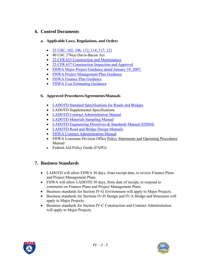## **6. Control Documents**

#### **a. Applicable Laws, Regulations, and Orders**

- [23 USC, 102, 106, 112, 114, 117, 121](http://www.access.gpo.gov/uscode/title23/title23.html)
- 40 USC 276(a) Davis-Bacon Act
- 23 CFR 635 Construction and Maintenance
- [23 CFR 637 Construction Inspection and Approval](http://www.access.gpo.gov/nara/cfr/waisidx_03/23cfrv1_03.html)
- [FHWA Major Project Guidance dated January 19, 2007.](http://www.fhwa.dot.gov/programadmin/mega/011907.cfm)
- [FHWA Project Management Plan Guidance](http://www.fhwa.dot.gov/programadmin/mega/pmpguide.cfm)
- [FHWA Finance Plan Guidance](http://www.fhwa.dot.gov/programadmin/mega/fplans.cfm)
- [FHWA Cost Estimating Guidance](http://www.fhwa.dot.gov/programadmin/mega/cefinal.cfm)

### **b. Approved Procedures/Agreements/Manuals**

- [LADOTD Standard Specifications for Roads and Bridges](http://webmail.dotd.louisiana.gov/ppmemos.nsf)
- LADOTD Supplemental Specifications
- [LADOTD Contract Administration Manual](http://www.dotd.louisiana.gov/construction/DOTD_CCAMAug05.pdf)
- [LADOTD Materials Sampling Manual](http://www.dotd.louisiana.gov/highways/construction/lab/msm/english/tblcontents.shtml)
- [LADOTD Engineering Directives & Standards Manual \(EDSM\)](http://webmail.dotd.louisiana.gov/ppmemos.nsf)
- [LADOTD Road and Bridge Design Manuals](http://www.dotd.louisiana.gov/highways/project_devel/design/standardforms.asp)
- [FHWA Contract Administration Manual](http://www.fhwa.dot.gov/programadmin/contracts/coretoc.cfm)
- FHWA Louisiana Division Office Policy Statements and Operating Procedures Manual
- Federal Aid Policy Guide (FAPG)

# **7. Business Standards**

- LADOTD will allow FHWA 30 days, from receipt date, to review Finance Plans and Project Management Plans.
- FHWA will allow LADOTD 30 days, from date of receipt, to respond to comments on Finance Plans and Project Management Plans.
- Business standards for Section IV-G Environment will apply to Major Projects.
- Business standards for Sections IV-D Design and IV-A Bridge and Structures will apply to Major Projects.
- Business standards for Section IV-C Construction and Contract Administration will apply to Major Projects.



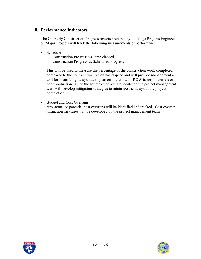## **8. Performance Indicators**

The Quarterly Construction Progress reports prepared by the Mega Projects Engineer on Major Projects will track the following measurements of performance.

- Schedule
	- Construction Progress vs Time elapsed.
	- Construction Progress vs Scheduled Progress

This will be used to measure the percentage of the construction work completed compared to the contract time which has elapsed and will provide management a tool for identifying delays due to plan errors, utility or ROW issues, materials or poor production. Once the source of delays are identified the project management team will develop mitigation strategies to minimize the delays to the project completion.

• Budget and Cost Overruns

Any actual or potential cost overruns will be identified and tracked. Cost overrun mitigation measures will be developed by the project management team.



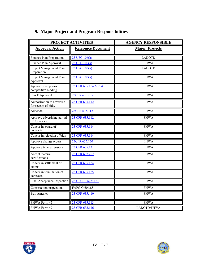|                                                    | <b>PROJECT ACTIVITIES</b> | <b>AGENCY RESPONSIBLE</b> |  |  |
|----------------------------------------------------|---------------------------|---------------------------|--|--|
| <b>Approval Action</b>                             | <b>Reference Document</b> | <b>Major Projects</b>     |  |  |
| Finance Plan Preparation                           | 23 USC 106(h)             | <b>LADOTD</b>             |  |  |
| Finance Plan Approval                              | 23 USC 106(h)             | <b>FHWA</b>               |  |  |
| Project Management Plan<br>Preparation             | 23 USC 106(h)             | <b>LADOTD</b>             |  |  |
| Project Management Plan<br>Approval                | 23 USC 106(h)             | <b>FHWA</b>               |  |  |
| Approve exceptions to<br>competitive bidding       | 23 CFR 635.104 & 204      | <b>FHWA</b>               |  |  |
| PS&E Approval                                      | 23CFR 635.205             | <b>FHWA</b>               |  |  |
| Authorization to advertise<br>for receipt of bids. | 23 CFR 635.112            | <b>FHWA</b>               |  |  |
| Addenda                                            | 23CFR 635.112             | <b>FHWA</b>               |  |  |
| Approve advertising period<br>of <3 weeks          | 23 CFR 635.112            | <b>FHWA</b>               |  |  |
| Concur in award of<br>contracts                    | 23 CFR 635.114            | <b>FHWA</b>               |  |  |
| Concur in rejection of bids                        | 23 CFR 635.114            | <b>FHWA</b>               |  |  |
| Approve change orders                              | 23CFR 635.120             | <b>FHWA</b>               |  |  |
| Approve time extensions                            | 23 CFR 635.121            | <b>FHWA</b>               |  |  |
| Accept material<br>certifications                  | 23 CFR 637.207            | <b>FHWA</b>               |  |  |
| Concur in settlement of<br>claims                  | 23 CFR 635.124            | <b>FHWA</b>               |  |  |
| Concur in termination of<br>contracts              | 23 CFR 635.125            | <b>FHWA</b>               |  |  |
| Final Acceptance/Inspection                        | 23 USC 114a & 121         | <b>FHWA</b>               |  |  |
| Construction inspections                           | FAPG G 6042.8             | <b>FHWA</b>               |  |  |
| Buy America                                        | 23 CFR 635.410            | <b>FHWA</b>               |  |  |
| FHWA Form 45                                       | 23 CFR 635.113            | <b>FHWA</b>               |  |  |
| FHWA Form 47                                       | 23 CFR 635.126            | LADOTD/FHWA               |  |  |

# **9. Major Project and Program Responsibilities**



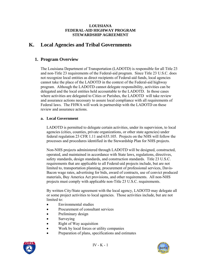# **K. Local Agencies and Tribal Governments**

## **1. Program Overview**

The Louisiana Department of Transportation (LADOTD) is responsible for all Title 23 and non-Title 23 requirements of the Federal-aid program. Since Title 23 U.S.C. does not recognize local entities as direct recipients of Federal-aid funds, local agencies cannot take the place of the LADOTD in the context of the Federal-aid highway program. Although the LADOTD cannot delegate responsibility, activities can be delegated and the local entities held accountable to the LADOTD. In those cases where activities are delegated to Cities or Parishes, the LADOTD will take review and assurance actions necessary to assure local compliance with all requirements of Federal laws. The FHWA will work in partnership with the LADOTD on these review and assurance actions.

#### **a. Local Government**

LADOTD is permitted to delegate certain activities, under its supervision, to local agencies (cities, counties, private organizations, or other state agencies) under federal regulation 23 CFR 1.11 and 635.105. Projects on the NHS will follow the processes and procedures identified in the Stewardship Plan for NHS projects.

Non-NHS projects administered through LADOTD will be designed, constructed, operated, and maintained in accordance with State laws, regulations, directives, safety standards, design standards, and construction standards. Title 23 U.S.C. requirements that are applicable to all Federal-aid projects include, but are not limited to, transportation planning, procurement of professional services, Davis-Bacon wage rates, advertising for bids, award of contracts, use of convict produced materials, Buy America Act provisions, and other requirements. All non-NHS projects must comply with applicable non-Title 23 U.S.C. requirements.

By written City/State agreement with the local agency, LADOTD may delegate all or some project activities to local agencies. Those activities include, but are not limited to:

- Environmental studies
- Procurement of consultant services
- Preliminary design
- Surveying
- Right of Way acquisition
- Work by local forces or utility companies
- Preparation of plans, specifications and estimates



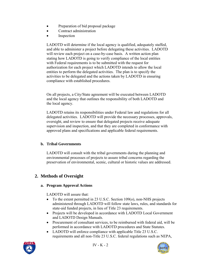- Preparation of bid proposal package
- Contract administration
- Inspection

LADOTD will determine if the local agency is qualified, adequately staffed, and able to administer a project before delegating these activities. LADOTD will review each project on a case-by-case basis. A written action plan stating how LADOTD is going to verify compliance of the local entities with Federal requirements is to be submitted with the request for authorization for each project which LADOTD intends to allow the local entities to perform the delegated activities. The plan is to specify the activities to be delegated and the actions taken by LADOTD in ensuring compliance with established procedures.

On all projects, a City/State agreement will be executed between LADOTD and the local agency that outlines the responsibility of both LADOTD and the local agency.

LADOTD retains its responsibilities under Federal law and regulations for all delegated activities. LADOTD will provide the necessary processes, approvals, oversight, and review to ensure that delegated projects receive adequate supervision and inspection, and that they are completed in conformance with approved plans and specifications and applicable federal requirements.

### **b. Tribal Governments**

LADOTD will consult with the tribal governments during the planning and environmental processes of projects to assure tribal concerns regarding the preservation of environmental, scenic, cultural or historic values are addressed.

# **2. Methods of Oversight**

### **a. Program Approval Actions**

LADOTD will assure that:

- To the extent permitted in 23 U.S.C. Section 109(o), non-NHS projects administered through LADOTD will follow state laws, rules, and standards for state-aid funded projects, in lieu of Title 23 requirements.
- Projects will be developed in accordance with LADOTD Local Government and LADOTD Design Manuals.
- Procurement of consultant services, to be reimbursed with federal aid, will be performed in accordance with LADOTD procedures and State Statutes.
- LADOTD will enforce compliance with applicable Title 23 U.S.C. requirements and all non-Title 23 U.S.C. federal regulations such as NEPA,



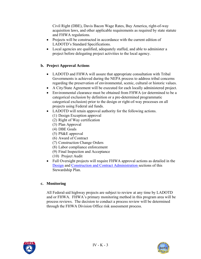Civil Right (DBE), Davis Bacon Wage Rates, Buy America, right-of-way acquisition laws, and other applicable requirements as required by state statute and FHWA regulations.

- Projects will be constructed in accordance with the current edition of LADOTD's Standard Specifications.
- Local agencies are qualified, adequately staffed, and able to administer a project before delegating project activities to the local agency.

### **b. Project Approval Actions**

- LADOTD and FHWA will assure that appropriate consultation with Tribal Governments is achieved during the NEPA process to address tribal concerns regarding the preservation of environmental, scenic, cultural or historic values.
- A City/State Agreement will be executed for each locally administered project.
- Environmental clearance must be obtained from FHWA (or determined to be a categorical exclusion by definition or a pre-determined programmatic categorical exclusion) prior to the design or right-of-way processes on all projects using Federal aid funds.
- LADOTD will retain approval authority for the following actions.
	- (1) Design Exception approval
	- (2) Right of Way certification
	- (3) Plan Approval
	- (4) DBE Goals
	- (5) PS&E approval
	- (6) Award of Contract
	- (7) Construction Change Orders
	- (8) Labor compliance enforcement
	- (9) Final Inspection and Acceptance
	- (10) Project Audit
- Full Oversight projects will require FHWA approval actions as detailed in the [Design](#page-22-0) and [Construction and Contract Administration s](#page-51-0)ections of this Stewardship Plan.

### **c. Monitoring**

All Federal-aid highway projects are subject to review at any time by LADOTD and or FHWA. FHWA's primary monitoring method in this program area will be process reviews. The decision to conduct a process review will be determined through the FHWA Division Office risk assessment process.



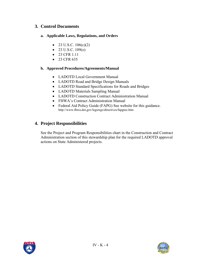## **3. Control Documents**

#### **a. Applicable Laws, Regulations, and Orders**

- 23 U.S.C.  $106(c)(2)$
- 23 U.S.C.  $109(0)$
- 23 CFR 1.11
- 23 CFR 635

#### **b. Approved Procedures/Agreements/Manual**

- LADOTD Local Government Manual
- LADOTD Road and Bridge Design Manuals
- LADOTD Standard Specifications for Roads and Bridges
- LADOTD Materials Sampling Manual
- LADOTD Construction Contract Administration Manual
- FHWA's Contract Administration Manual
- Federal Aid Policy Guide (FAPG) See website for this guidance. http://www.fhwa.dot.gov/legsregs/directives/fapgtoc.htm

# **4. Project Responsibilities**

See the Project and Program Responsibilities chart in the Construction and Contract Administration section of this stewardship plan for the required LADOTD approval actions on State Administered projects.



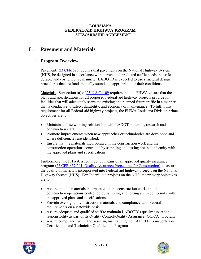# **L. Pavement and Materials**

## **1. Program Overview**

Pavement: [23 CFR 626](http://www.access.gpo.gov/nara/cfr/waisidx_03/23cfrv1_03.html) requires that pavements on the National Highway System (NHS) be designed in accordance with current and predicted traffic needs in a safe, durable and cost effective manner. LADOTD is expected to use structural design procedures that are fundamentally sound and appropriate for their conditions.

Materials: Subsection (a) of [23 U.S.C. 109](http://www.access.gpo.gov/uscode/title23/title23.html) requires that the FHWA ensure that the plans and specifications for all proposed Federal-aid highway projects provide for facilities that will adequately serve the existing and planned future traffic in a manner that is conducive to safety, durability, and economy of maintenance. To fulfill this requirement for all Federal-aid highway projects, the FHWA Louisiana Division prime objectives are to:

- Maintain a close working relationship with LADOT materials, research and construction staff.
- Promote improvements when new approaches or technologies are developed and where deficiencies are identified.
- Ensure that the materials incorporated in the construction work and the construction operations controlled by sampling and testing are in conformity with the approved plans and specifications.

Furthermore, the FHWA is required, by means of an approved quality assurance program ([23 CFR 637.201, Quality Assurance Procedures for Construction\)](http://www.access.gpo.gov/nara/cfr/waisidx_03/23cfrv1_03.html), to assure the quality of materials incorporated into Federal-aid highway projects on the National Highway System (NHS). For Federal-aid projects on the NHS, the primary objectives are to:

- Assure that the materials incorporated in the construction work, and the construction operations controlled by sampling and testing are in conformity with the approved plans and specifications.
- Provide oversight of construction materials and compliance with Federal requirements on a statewide basis.
- Assure adequate and qualified staff to maintain LADOTD's quality assurance responsibility as part of its Quality Control/Quality Assurance (QC/QA) program.
- Assure compliance with, and assist in, maintaining the LADOTD Transportation Certification and Technician Qualification Program



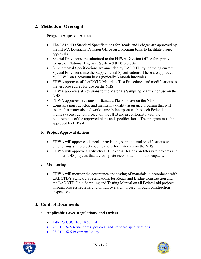# **2. Methods of Oversight**

### **a. Program Approval Actions**

- The LADOTD Standard Specifications for Roads and Bridges are approved by the FHWA Louisiana Division Office on a program basis to facilitate project approvals.
- Special Provisions are submitted to the FHWA Division Office for approval for use on National Highway System (NHS) projects.
- Supplemental Specifications are amended by LADOTD by including current Special Provisions into the Supplemental Specifications. These are approved by FHWA on a program basis (typically 3 month intervals).
- FHWA approves all LADOTD Materials Test Procedures and modifications to the test procedures for use on the NHS.
- FHWA approves all revisions to the Materials Sampling Manual for use on the NHS.
- FHWA approves revisions of Standard Plans for use on the NHS.
- Louisiana must develop and maintain a quality assurance program that will assure that materials and workmanship incorporated into each Federal aid highway construction project on the NHS are in conformity with the requirements of the approved plans and specifications. The program must be approved by FHWA.

### **b. Project Approval Actions**

- FHWA will approve all special provisions, supplemental specifications or other changes in project specifications for materials on the NHS.
- FHWA will approve all Structural Thickness Designs on Interstate projects and on other NHS projects that are complete reconstruction or add capacity.

### **c. Monitoring**

• FHWA will monitor the acceptance and testing of materials in accordance with LADOTD's Standard Specifications for Roads and Bridge Construction and the LADOTD Field Sampling and Testing Manual on all Federal-aid projects through process reviews and on full oversight project through construction inspections.

# **3. Control Documents**

- **a. Applicable Laws, Regulations, and Orders** 
	- [Title 23 USC, 106, 109, 114](http://www.access.gpo.gov/uscode/title23/title23.html)
	- [23 CFR 625.4 Standards, policies, and standard specifications](http://www.access.gpo.gov/nara/cfr/waisidx_03/23cfrv1_03.html)
	- 23 CFR 626 Pavement Policy



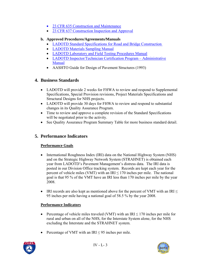- [23 CFR 635 Construction and Maintenance](http://www.access.gpo.gov/nara/cfr/waisidx_03/23cfrv1_03.html)
- [23 CFR 637 Construction Inspection and Approval](http://www.access.gpo.gov/nara/cfr/waisidx_03/23cfrv1_03.html)

### **b. Approved Procedures/Agreements/Manuals**

- [LADOTD Standard Specifications for Road and Bridge Construction](http://www.dotd.louisiana.gov/doclist.asp?ID=52)
- [LADOTD Materials Sampling Manual](http://www.dotd.louisiana.gov/highways/construction/lab/msm/english/tblcontents.shtml)
- [LADOTD Laboratory and Field Testing Procedures Manual](http://www.dotd.louisiana.gov/highways/construction/lab/home.asp)
- LADOTD Inspector/Technician Certification Program Administrative [Manual](http://www.ltrc.lsu.edu/pdf/2004/admin_manual_final1004.pdf)
- AASHTO Guide for Design of Pavement Structures (1993)

# **4. Business Standards**

- LADOTD will provide 2 weeks for FHWA to review and respond to Supplemental Specifications, Special Provision revisions, Project Materials Specifications and Structural Designs for NHS projects.
- LADOTD will provide 30 days for FHWA to review and respond to substantial changes in its Quality Assurance Program.
- Time to review and approve a complete revision of the Standard Specifications will be negotiated prior to the activity.
- See Quality Assurance Program Summary Table for more business standard detail.

# **5. Performance Indicators**

### **Performance Goals**

- International Roughness Index (IRI) data on the National Highway System (NHS) and on the Strategic Highway Network System (STRAHNET) is obtained each year from LADOTD's Pavement Management's distress data. The IRI data is posted in our Division Office tracking system. Records are kept each year for the percent of vehicle miles (VMT) with an  $IRI \le 170$  inches per mile. The national goal is that 95 % of the VMT have an IRI less than 170 inches per mile by the year 2008.
- IRI records are also kept as mentioned above for the percent of VMT with an IRI  $\leq$ 95 inches per mile having a national goal of 58.5 % by the year 2008.

### **Performance Indicators**

- Percentage of vehicle miles traveled (VMT) with an  $IRI \le 170$  inches per mile for rural and urban on all of the NHS, for the Interstate System alone, for the NHS excluding the Interstate and the STRAHNET system.
- Percentage of VMT with an IRI  $\leq$  95 inches per mile.



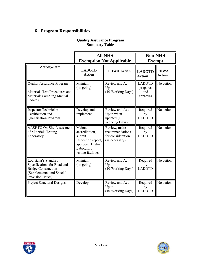# **6. Program Responsibilities**

|                                                                                                                                     | <b>All NHS</b><br><b>Exemption Not Applicable</b>                                                                  |                                                                        | <b>Non-NHS</b><br><b>Exempt</b>              |                              |
|-------------------------------------------------------------------------------------------------------------------------------------|--------------------------------------------------------------------------------------------------------------------|------------------------------------------------------------------------|----------------------------------------------|------------------------------|
| <b>Activity/Item</b>                                                                                                                | <b>LADOTD</b><br><b>Action</b>                                                                                     | <b>FHWA Action</b>                                                     | <b>LADOTD</b><br><b>Action</b>               | <b>FHWA</b><br><b>Action</b> |
| <b>Quality Assurance Program</b><br>Materials Test Procedures and<br><b>Materials Sampling Manual</b><br>updates.                   | Maintain<br>(on going)                                                                                             | Review and Act<br>Upon<br>(10 Working Days)                            | <b>LADOTD</b><br>prepares<br>and<br>approves | No action                    |
| Inspector/Technician<br>Certification and<br>Qualification Program                                                                  | Develop and<br>implement                                                                                           | Review and Act<br>Upon when<br>updated (10<br><b>Working Days)</b>     | Required<br>by<br><b>LADOTD</b>              | No action                    |
| <b>AASHTO On-Site Assessment</b><br>of Materials Testing<br>Laboratory                                                              | Maintain<br>accreditation,<br>submit<br>inspection report,<br>approve District<br>Laboratory<br>testing facilities | Review, make<br>recommendations<br>for consideration<br>(as necessary) | Required<br>by<br><b>LADOTD</b>              | No action                    |
| Louisiana's Standard<br>Specifications for Road and<br><b>Bridge Construction</b><br>(Supplemental and Special<br>Provision Issues) | Maintain<br>$($ on going $)$                                                                                       | Review and Act<br>Upon<br>(10 Working Days)                            | Required<br>by<br><b>LADOTD</b>              | No action                    |
| <b>Project Structural Designs</b>                                                                                                   | Develop                                                                                                            | Review and Act<br>Upon<br>(10 Working Days)                            | Required<br>by<br><b>LADOTD</b>              | No action                    |

# **Quality Assurance Program Summary Table**



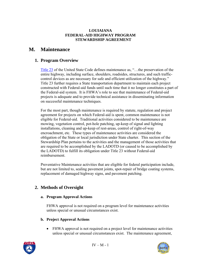#### **LOUIAIANA FEDERAL-AID HIGHWAY PROGRAM STEWARDSHIP AGREEMENT**

# **M. Maintenance**

# **1. Program Overview**

[Title 23](http://www.access.gpo.gov/uscode/title23/title23.html) of the United State Code defines maintenance as, "…the preservation of the entire highway, including surface, shoulders, roadsides, structures, and such trafficcontrol devices as are necessary for safe and efficient utilization of the highway." Title 23 further requires a State transportation department to maintain each project constructed with Federal-aid funds until such time that it no longer constitutes a part of the Federal-aid system. It is FHWA's role to see that maintenance of Federal-aid projects is adequate and to provide technical assistance in disseminating information on successful maintenance techniques.

For the most part, though maintenance is required by statute, regulation and project agreement for projects on which Federal-aid is spent, common maintenance is not eligible for Federal-aid. Traditional activities considered to be maintenance are mowing, vegetation control, pot-hole patching, up-keep of signal and lighting installations, cleaning and up-keep of rest-areas, control of right-of-way encroachment, etc. These types of maintenance activities are considered the obligation of the State or local jurisdiction under State charter. This section of the Stewardship Plan pertains to the activities and the management of those activities that are required to be accomplished by the LADOTD (or caused to be accomplished by the LADOTD) to fulfill its obligation under Title 23 without Federal-aid reimbursement.

Preventative Maintenance activities that are eligible for federal participation include, but are not limited to, sealing pavement joints, spot-repair of bridge coating systems, replacement of damaged highway signs, and pavement patching.

# **2. Methods of Oversight**

#### **a. Program Approval Actions**

FHWA approval is not required on a program level for maintenance activities unless special or unusual circumstances exist.

### **b. Project Approval Actions**

• FHWA approval is not required on a project level for maintenance activities unless special or unusual circumstances exist. The maintenance agreement,



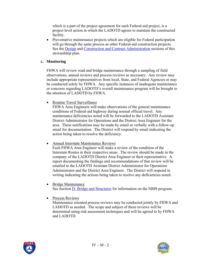which is a part of the project agreement for each Federal-aid project, is a project level action in which the LADOTD agrees to maintain the constructed facility.

• Preventative maintenance projects which are eligible for Federal participation will go through the same process as other Federal-aid construction projects. See the [Design](#page-22-0) and [Construction and Contract Administration](#page-51-0) sections of this stewardship plan.

#### **c. Monitoring**

FHWA will review road and bridge maintenance through a sampling of field observations, annual reviews and process reviews as necessary. Any review may include appropriate representatives from local, State, and Federal Agencies or may be conducted solely by FHWA. Any specific instances of inadequate maintenance or concerns regarding LADOTD's overall maintenance program will be brought to the attention of LADOTD by FHWA.

• Routine Travel Surveillance

FHWA Area Engineers will make observations of the general maintenance conditions of Federal-aid highway during normal official travel. Any maintenance deficiencies noted will be forwarded to the LADOTD Assistant District Administrator for Operations and the District Area Engineer for the area. These notifications may be made by email or verbally with a follow-up email for documentation. The District will respond by email indicating the action being taken to resolve the deficiency.

• Annual Interstate Maintenance Reviews

Each FHWA Area Engineer will make a review of the condition of the Interstate Routes in their respective areas. The review should be made in the company of the LADOTD District Area Engineer or their representative. A report documenting the findings and recommendations of that review will be emailed to the LADOTD Assistant District Administrator for Operations Administrator and the District Area Engineer. The District will respond in writing indicating the actions being taken to resolve any deficiencies noted.

- Bridge Maintenance See Section **D**- Bridge and Structures for information on the NBIS program.
- Process Reviews

Maintenance oriented process reviews may be conducted jointly by FHWA and LADOTD as needed. The scope and subject of these reviews will be determined using risk assessment techniques and will be agreed to by FHWA and LADOTD.



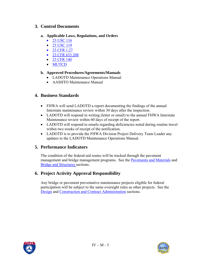## **3. Control Documents**

#### **a. Applicable Laws, Regulations, and Orders**

- [23 USC 116](http://www.access.gpo.gov/uscode/title23/title23.html)
- [23 USC 119](http://www.access.gpo.gov/uscode/title23/title23.html)
- [23 CFR 1.27](http://www.access.gpo.gov/nara/cfr/waisidx_03/23cfrv1_03.html)
- [23 CFR 633.208](http://www.access.gpo.gov/nara/cfr/waisidx_03/23cfrv1_03.html)
- [23 CFR 140](http://www.access.gpo.gov/nara/cfr/waisidx_03/23cfrv1_03.html)
- [MUTCD](http://mutcd.fhwa.dot.gov/pdfs/2003/pdf-index.htm)

#### **b. Approved Procedures/Agreements/Manuals**

- LADOTD Maintenance Operations Manual
- AASHTO Maintenance Manual

### **4. Business Standards**

- FHWA will send LADOTD a report documenting the findings of the annual Interstate maintenance review within 30 days after the inspection.
- LADOTD will respond in writing (letter or email) to the annual FHWA Interstate Maintenance review within 60 days of receipt of the report.
- LADOTD will respond to emails regarding deficiencies noted during routine travel within two weeks of receipt of the notification.
- LADOTD is to provide the FHWA Division Project Delivery Team Leader any updates to the LADOTD Maintenance Operations Manual.

# **5. Performance Indicators**

The condition of the federal-aid routes will be tracked through the pavement management and bridge management programs. See the [Pavements and Materials](#page-71-0) and [Bridge and Structures s](#page-29-0)ections.

# **6. Project Activity Approval Responsibility**

Any bridge or pavement preventative maintenance projects eligible for federal participation will be subject to the same oversight rules as other projects. See the [Design](#page-22-0) and [Construction and Contract Administration](#page-51-0) sections.



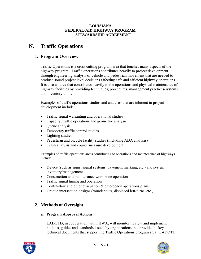#### **LOUISIANA FEDERAL-AID HIGHWAY PROGRAM STEWARDSHIP AGREEMENT**

# **N. Traffic Operations**

# **1. Program Overview**

Traffic Operations is a cross cutting program area that touches many aspects of the highway program. Traffic operations contributes heavily to project development through engineering analysis of vehicle and pedestrian movement that are needed to produce sound project level decisions affecting safe and efficient highway operations. It is also an area that contributes heavily to the operations and physical maintenance of highway facilities by providing techniques, procedures, management practices/systems and inventory tools.

Examples of traffic operations studies and analyses that are inherent to project development include:

- Traffic signal warranting and operational studies
- Capacity, traffic operations and geometric analysis
- Queue analysis
- Temporary traffic control studies
- Lighting studies
- Pedestrian and bicycle facility studies (including ADA analysis)
- Crash analysis and countermeasure development

Examples of traffic operations areas contributing to operations and maintenance of highways include:

- Device (such as signs, signal systems, pavement marking, etc.) and system inventory/management
- Construction and maintenance work zone operations
- Traffic signal timing and operation
- Contra-flow and other evacuation & emergency operations plans
- Unique intersection designs (roundabouts, displaced left-turns, etc.)

# **2. Methods of Oversight**

#### **a. Program Approval Actions**

LADOTD, in cooperation with FHWA, will monitor, review and implement policies, guides and standards issued by organizations that provide the key technical documents that support the Traffic Operations program area. LADOTD



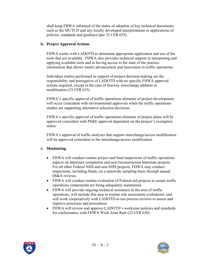shall keep FHWA informed of the status of adoption of key technical documents such as the MUTCD and any locally developed interpretations or applications of policies, standards and guidance (per 23 CFR 655).

#### **b. Project Approval Actions**

FHWA works with LADOTD to determine appropriate application and use of the tools that are available. FHWA also provides technical support in interpreting and applying available tools and in having access to the state of the practice information that allows timely advancement and innovation in traffic operations.

Individual studies performed in support of project decision-making are the responsibility and prerogative of LADOTD with no specific FHWA approval actions required, except in the case of freeway interchange addition or modification (23 CFR 625).

FHWA's specific approval of traffic operations elements of project development will occur coincident with environmental approvals when the traffic operations studies are supporting alternative selection decisions.

FHWA's specific approval of traffic operations elements of project plans will be approved coincident with PS&E approval dependent on the project's exemption status.

FHWA's approval of traffic analyses that support interchange/access modification will be approved coincident to the interchange/access modification.

#### **c. Monitoring**

- FHWA will conduct routine project and final inspections of traffic operations aspects on Interstate completion and new/reconstruction Interstate projects. For all other Federal NHS and non-NHS projects, FHWA may conduct inspections, including finals, on a statewide sampling basis through annual QI&A reviews.
- FHWA will conduct routine evaluation of Federal-aid projects to assure traffic operations components are being adequately maintained.
- FHWA will provide ongoing technical assistance in the area of traffic operations, will include this area in routine risk assessment evaluations, and will work cooperatively with LADOTD to use process reviews to assess and improve processes and procedures.
- FHWA will review and approve LADOTD's workzone policies and standards for conformance with FHWA Work Zone Rule (23 CFR 630)



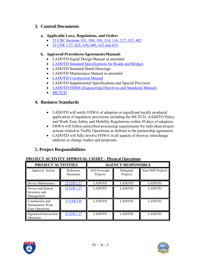# **3. Control Documents**

#### **a. Applicable Laws, Regulations, and Orders**

- [23 USC Sections 101, 104, 109, 114, 116, 217, 315, 402](http://www.access.gpo.gov/uscode/title23/title23.html)
- 23 CFR 1.27, 625, 630, 646, 652 and 655

#### **b. Approved Procedures/Agreements/Manuals**

- LADOTD Signal Design Manual as amended
- [LADOTD Standard Specifications for Roads and Bridges](http://www.dotd.louisiana.gov/doclist.asp?ID=52)
- LADOTD Standard Detail Drawings
- LADOTD Maintenance Manual as amended
- [LADOTD Construction Manual](http://www.dotd.louisiana.gov/construction/DOTD_CCAMAug05.pdf)
- LADOTD Supplemental Specifications and Special Provision
- [LADOTD EDSM \(Engineering Directives and Standards Manual\)](http://webmail.dotd.louisiana.gov/ppmemos.nsf)
- [MUTCD](http://mutcd.fhwa.dot.gov/pdfs/2003/pdf-index.htm)

### **4. Business Standards**

- LADOTD will notify FHWA of adoption or significant locally produced application of regulatory provisions including the MUTCD, AASHTO Policy and Work Zone Safety and Mobility Regulations within 30 days of adoption.
- FHWA will follow prescribed processing requirements for individual project actions related to Traffic Operations as defined in the partnership agreement.
- LADOTD will fully involve FHWA in all aspects of freeway interchange addition or change studies and proposals.

# **5. Project Responsibilities**

| PROJECT ACTIVITIES                                      |                       | <b>AGENCY RESPONSIBLE</b>  |                       |                  |  |
|---------------------------------------------------------|-----------------------|----------------------------|-----------------------|------------------|--|
| Approval Action                                         | Reference<br>Document | Full Oversight<br>Projects | Delegated<br>Projects | Non-NHS Projects |  |
| Device Maintenance                                      | 23 CFR 1.27           | <b>LADOTD</b>              | <b>LADOTD</b>         | <b>LADOTD</b>    |  |
| Device and System<br>Inventory and<br>Management        | 23 CFR 1.27           | <b>LADOTD</b>              | <b>LADOTD</b>         | <b>LADOTD</b>    |  |
| Construction and<br>Maintenance Work<br>Zone Operations | 23 CFR 630            | <b>LADOTD</b>              | <b>LADOTD</b>         | <b>LADOTD</b>    |  |
| Signalized Intersection<br><b>Operation</b>             | 23 CFR 1.27           | <b>LADOTD</b>              | <b>LADOTD</b>         | <b>LADOTD</b>    |  |

### **PROJECT ACTIVITY APPROVAL CHART – Physical Operations**



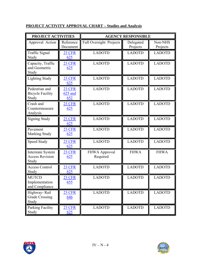# **PROJECT ACTIVITY APPROVAL CHART – Studies and Analysis**

| PROJECT ACTIVITIES                                          |                                 | <b>AGENCY RESPONSIBLE</b>      |                       |                     |  |
|-------------------------------------------------------------|---------------------------------|--------------------------------|-----------------------|---------------------|--|
| Approval Action                                             | Reference<br>Document           | <b>Full Oversight Projects</b> | Delegated<br>Projects | Non-NHS<br>Projects |  |
| <b>Traffic Signal</b><br>Study                              | <b>23 CFR</b><br>625            | <b>LADOTD</b>                  | <b>LADOTD</b>         | <b>LADOTD</b>       |  |
| Capacity, Traffic<br>and Geometric<br>Study                 | <b>23 CFR</b><br>625            | <b>LADOTD</b>                  | <b>LADOTD</b>         | <b>LADOTD</b>       |  |
| <b>Lighting Study</b>                                       | <b>23 CFR</b><br>625            | <b>LADOTD</b>                  | <b>LADOTD</b>         | <b>LADOTD</b>       |  |
| Pedestrian and<br><b>Bicycle Facility</b><br>Study          | <b>23 CFR</b><br>625 and<br>652 | <b>LADOTD</b>                  | <b>LADOTD</b>         | <b>LADOTD</b>       |  |
| Crash and<br>Countermeasure<br>Analysis                     | <b>23 CFR</b><br>625            | <b>LADOTD</b>                  | <b>LADOTD</b>         | <b>LADOTD</b>       |  |
| <b>Signing Study</b>                                        | <b>23 CFR</b><br>625            | <b>LADOTD</b>                  | <b>LADOTD</b>         | <b>LADOTD</b>       |  |
| Pavement<br><b>Marking Study</b>                            | <b>23 CFR</b><br>625            | <b>LADOTD</b>                  | <b>LADOTD</b>         | <b>LADOTD</b>       |  |
| Speed Study                                                 | <b>23 CFR</b><br>625            | <b>LADOTD</b>                  | <b>LADOTD</b>         | <b>LADOTD</b>       |  |
| <b>Interstate System</b><br><b>Access Revision</b><br>Study | <b>23 CFR</b><br>625            | FHWA Approval<br>Required      | <b>FHWA</b>           | <b>FHWA</b>         |  |
| <b>Access Control</b><br>Study                              | <b>23 CFR</b><br>625            | <b>LADOTD</b>                  | <b>LADOTD</b>         | <b>LADOTD</b>       |  |
| <b>MUTCD</b><br>Implementation<br>and Compliance            | 23 CFR<br>655                   | <b>LADOTD</b>                  | <b>LADOTD</b>         | <b>LADOTD</b>       |  |
| Highway-Rail<br><b>Grade Crossing</b><br>Study              | 23 CFR<br>646                   | <b>LADOTD</b>                  | <b>LADOTD</b>         | <b>LADOTD</b>       |  |
| Parking Facility<br>Study                                   | <b>23 CFR</b><br>625            | <b>LADOTD</b>                  | <b>LADOTD</b>         | <b>LADOTD</b>       |  |



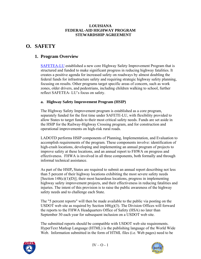#### **LOUISIANA FEDERAL-AID HIGHWAY PROGRAM STEWARDSHIP AGREEMENT**

# **O. SAFETY**

# **1. Program Overview**

[SAFETEA-LU](http://www.fhwa.dot.gov/hep/safetealu.htm) established a new core Highway Safety Improvement Program that is structured and funded to make significant progress in reducing highway fatalities. It creates a positive agenda for increased safety on roadways by almost doubling the federal funds for infrastructure safety and requiring strategic highway safety planning, focusing on results. Other programs target specific areas of concern, such as work zones, older drivers, and pedestrians, including children walking to school, further reflect SAFETEA- LU's focus on safety.

### **a. Highway Safety Improvement Program (HSIP)**

The Highway Safety Improvement program is established as a core program, separately funded for the first time under SAFETE-LU, with flexibility provided to allow States to target funds to their most critical safety needs. Funds are set aside in the HSIP for the Railway-Highway Crossing program, and for construction and operational improvements on high-risk rural roads.

LADOTD performs HSIP components of Planning, Implementation, and Evaluation to accomplish requirements of the program. These components involve: identification of high-crash locations, developing and implementing an annual program of projects to improve safety at these locations, and an annual report to FHWA on progress and effectiveness. FHWA is involved in all three components, both formally and through informal technical assistance.

As part of the HSIP**,** States are required to submit an annual report describing not less than 5 percent of their highway locations exhibiting the most severe safety needs [Section  $148(c)(1)(D)$ ]; their most hazardous locations, progress in implementing highway safety improvement projects, and their effectiveness in reducing fatalities and injuries. The intent of this provision is to raise the public awareness of the highway safety needs and to challenge each State.

The "5 percent reports" will then be made available to the public via posting on the USDOT web site as required by Section  $148(g)(3)$ . The Division Offices will forward the reports to the FHWA Headquarters Office of Safety (HSA) no later than September 30 each year for subsequent inclusion on a USDOT web site.

The submitted reports should be compatible with USDOT web site requirements. HyperText Markup Language (HTML) is the publishing language of the World Wide Web. Information submitted in the form of HTML files (i.e. Web pages) need to be



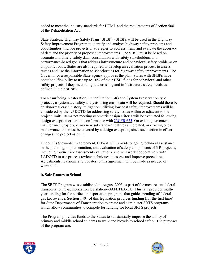coded to meet the industry standards for HTML and the requirements of Section 508 of the Rehabilitation Act.

State Strategic Highway Safety Plans (SHSP) - SHSPs will be used in the Highway Safety Improvement Program to identify and analyze highway safety problems and opportunities, include projects or strategies to address them, and evaluate the accuracy of data and the priority of proposed improvements. The SHSP must be based on accurate and timely safety data, consultation with safety stakeholders, and performance-based goals that address infrastructure and behavioral safety problems on all public roads. States are also required to develop an evaluation process to assess results and use the information to set priorities for highway safety improvements. The Governor or a responsible State agency approves the plan. States with SHSPs have additional flexibility to use up to 10% of their HSIP funds for behavioral and other safety projects if they meet rail grade crossing and infrastructure safety needs as defined in their SHSPs.

For Resurfacing, Restoration, Rehabilitation (3R) and System Preservation type projects, a systematic safety analysis using crash data will be required. Should there be an abnormal crash history, mitigation utilizing low cost safety improvements will be considered by the LADOTD for addressing safety issues within or adjacent to the project limits. Items not meeting geometric design criteria will be evaluated following design exception criteria in conformance with [23CFR 625.](http://www.access.gpo.gov/nara/cfr/waisidx_03/23cfrv1_03.html) On existing pavement maintenance projects, if any new substandard features are created, or existing ones made worse, this must be covered by a design exception, since such action in effect changes the project as built.

Under this Stewardship agreement, FHWA will provide ongoing technical assistance in the planning, implementation, and evaluation of safety components of 3 R projects, including routine risk assessment evaluations, and will work cooperatively with LADOTD to use process review techniques to assess and improve procedures. Adjustments, revisions and updates to this agreement will be made as needed or warranted.

#### **b. Safe Routes to School**

The SRTS Program was established in August 2005 as part of the most recent federal transportation re-authorization legislation--SAFETEA-LU. This law provides multiyear funding for the surface transportation programs that guide spending of federal gas tax revenue. Section 1404 of this legislation provides funding (for the first time) for State Departments of Transportation to create and administer SRTS programs which allow communities to compete for funding for local SRTS projects.

The Program provides funds to the States to substantially improve the ability of primary and middle school students to walk and bicycle to school safely. The purposes of the program are:



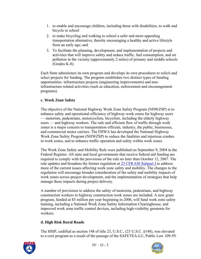- 1. to enable and encourage children, including those with disabilities, to walk and bicycle to school
- 2. to make bicycling and walking to school a safer and more appealing transportation alternative, thereby encouraging a healthy and active lifestyle from an early age; and
- 3. To facilitate the planning, development, and implementation of projects and activities that will improve safety and reduce traffic, fuel consumption, and air pollution in the vicinity (approximately 2 miles) of primary and middle schools (Grades K-8).

Each State administers its own program and develops its own procedures to solicit and select projects for funding. The program establishes two distinct types of funding opportunities: infrastructure projects (engineering improvements) and noninfrastructure related activities (such as education, enforcement and encouragement programs).

### **c. Work Zone Safety**

The objective of the National Highway Work Zone Safety Program (NHWZSP) is to enhance safety and operational efficiency of highway work zones for highway users — motorists, pedestrians, motorcyclists, bicyclists, including the elderly highway users — and highway workers. The safe and efficient flow of traffic through work zones is a major concern to transportation officials, industry, the public, businesses, and commercial motor carriers. The FHWA has developed the National Highway Work Zone Safety Program (NHWZSP) to reduce the fatalities and injurious crashes in work zones, and to enhance traffic operation and safety within work zones.

The Work Zone Safety and Mobility Rule were published on September 9, 2004 in the Federal Register. All state and local governments that receive federal-aid funding are required to comply with the provisions of the rule no later than October 12, 2007. The rule updates and broadens the former regulation at [23 CFR 630 Subpart J](http://www.access.gpo.gov/nara/cfr/waisidx_03/23cfrv1_03.html) to address more of the current issues affecting work zone safety and mobility. The changes to the regulation will encourage broader consideration of the safety and mobility impacts of work zones across project development, and the implementation of strategies that help manage these impacts during project delivery.

A number of provisions to address the safety of motorists, pedestrians, and highway construction workers in highway construction work zones are included. A new grant program, funded at \$5 million per year beginning in 2006, will fund work zone safety training, including a National Work Zone Safety Information Clearinghouse, and improved work zone traffic control devices, including high-visibility garments for workers.

### **d. High Risk Rural Roads**

The HSIP, codified as section 148 of title 23, U.S.C., (23 U.S.C. §148), was elevated to a core program as a result of the passage of the SAFETEA-LU, Public Law 109-59.



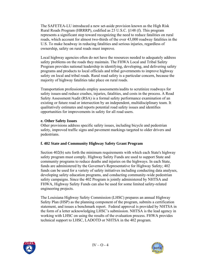The SAFETEA-LU introduced a new set-aside provision known as the High Risk Rural Roads Program (HRRRP), codified as 23 U.S.C. §148 (f). This program represents a significant step toward recognizing the need to reduce fatalities on rural roads, which account for almost two-thirds of the over 43,000 roadway fatalities in the U.S. To make headway in reducing fatalities and serious injuries, regardless of ownership, safety on rural roads must improve.

Local highway agencies often do not have the resources needed to adequately address safety problems on the roads they maintain. The FHWA Local and Tribal Safety Program provides national leadership in identifying, developing, and delivering safety programs and products to local officials and tribal governments to improve highway safety on local and tribal roads. Rural road safety is a particular concern, because the majority of highway fatalities take place on rural roads.

Transportation professionals employ assessments/audits to scrutinize roadways for safety issues-and reduce crashes, injuries, fatalities, and costs in the process. A Road Safety Assessment/Audit (RSA) is a formal safety performance examination of an existing or future road or intersection by an independent, multidisciplinary team. It qualitatively estimates and reports potential road safety issues and identifies opportunities for improvements in safety for all road users.

#### **e. Other Safety Issues**

Other provisions address specific safety issues, including bicycle and pedestrian safety, improved traffic signs and pavement markings targeted to older drivers and pedestrians.

### **f. 402 State and Community Highway Safety Grant Program**

Section 402(b) sets forth the minimum requirements with which each State's highway safety program must comply. Highway Safety Funds are used to support State and community programs to reduce deaths and injuries on the highways. In each State, funds are administered by the Governor's Representative for Highway Safety; 402 funds can be used for a variety of safety initiatives including conducting data analyses, developing safety education programs, and conducting community-wide pedestrian safety campaigns. Since the 402 Program is jointly administered by NHTSA and FHWA, Highway Safety Funds can also be used for some limited safety-related engineering projects.

The Louisiana Highway Safety Commission (LHSC) prepares an annual Highway Safety Plan (HSP) as the planning component of the program, submits a certification statement, and issues a benchmark report. Federal approval is provided by NHTSA in the form of a letter acknowledging LHSC's submission. NHTSA is the lead agency in working with LHSC on using the results of the evaluation process. FHWA provides technical support to LHSC, LADOTD or NHTSA in the 402 program.



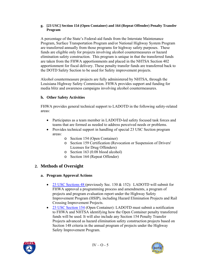#### **g. [23 USC] Section 154 (Open Container) and 164 (Repeat Offender) Penalty Transfer Program**

A percentage of the State's Federal-aid funds from the Interstate Maintenance Program, Surface Transportation Program and/or National Highway System Program are transferred annually from those programs for highway safety purposes. These funds are eligible only for projects involving alcohol countermeasures or hazard elimination safety construction. This program is unique in that the transferred funds are taken from the FHWA apportionments and placed in the NHTSA Section 402 apportionment for fiscal delivery. These penalty transfer funds are transferred back to the DOTD Safety Section to be used for Safety improvement projects.

Alcohol countermeasure projects are fully administered by NHTSA, through the Louisiana Highway Safety Commission. FHWA provides support and funding for media blitz and awareness campaigns involving alcohol countermeasures.

### **h. Other Safety Activities**

FHWA provides general technical support to LADOTD in the following safety-related areas:

- Participates as a team member in LADOTD-led safety focused task forces and teams that are formed as needed to address perceived needs or problems.
- Provides technical support in handling of special 23 USC Section program areas:
	- o Section 154 (Open Container)
	- o Section 159 Certification (Revocation or Suspension of Drivers' Licenses for Drug Offenders)
	- o Section 163 (0.08 blood alcohol)
	- o Section 164 (Repeat Offender)

# **2. Methods of Oversight**

### **a. Program Approval Actions**

- [23 USC Sections 48](http://www.access.gpo.gov/uscode/title23/title23.html) (previously Sec. 130 & 152): LADOTD will submit for FHWA approval a programming process and amendments, a program of projects and program evaluation report under the Highway Safety Improvement Program (HSIP), including Hazard Elimination Projects and Rail Crossing Improvement Projects.
- [23 USC Section 154](http://www.access.gpo.gov/uscode/title23/title23.html) (Open Container): LADOTD must submit a notification to FHWA and NHTSA identifying how the Open Container penalty transferred funds will be used. It will also include any Section 154 Penalty Transfer Projects advanced as hazard elimination safety construction projects based on Section 148 criteria in the annual program of projects under the Highway Safety Improvement Program.



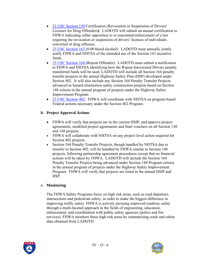- [23 USC Section 159](http://www.access.gpo.gov/uscode/title23/title23.html) Certification (Revocation or Suspension of Drivers' Licenses for Drug Offenders**)**: LADOTD will submit an annual certification to FHWA indicating either opposition to or enactment/enforcement of a law requiring the revocation or suspension of drivers' licenses of individuals convicted of drug offenses.
- [23 USC Section 163](http://www.access.gpo.gov/uscode/title23/title23.html) (0.08 blood alcohol): LADOTD must annually jointly notify FHWA and NHTSA of the intended use of the Section 163 incentive funds.
- [23 USC Section 164](http://www.access.gpo.gov/uscode/title23/title23.html) (Repeat Offender): LADOTD must submit a notification to FHWA and NHTSA identifying how the Repeat Intoxicated Drivers penalty transferred funds will be used. LADOTD will include all Section 164 penalty transfer projects in the annual Highway Safety Plan (HSP) developed under Section 402. It will also include any Section 164 Penalty Transfer Projects advanced as hazard elimination safety construction projects based on Section 148 criteria in the annual program of projects under the Highway Safety Improvement Program.
- [23 USC Section 402](http://www.access.gpo.gov/uscode/title23/title23.html): FHWA will coordinate with NHTSA on program based Federal actions necessary under the Section 402 Program.

### **b. Project Approval Actions**

- FHWA will verify that projects are in the current HSIP, and approve project agreements, modified project agreements and final vouchers on all Section 130 and 148 projects.
- FHWA will collaborate with NHTSA on any project level action required for Section 402 projects.
- Section 164 Penalty Transfer Projects, though handled by NHTSA due to transfer to Section 402, will be handled by FHWA similar to Section 148 projects, following partnership agreement procedures except that no financial actions will be taken by FHWA. LADOTD will include the Section 164 Penalty Transfer Projects being advanced under Section 148 Program criteria in the annual program of projects under the Highway Safety Improvement Program. FHWA will verify that projects are listed in the annual HSIP and HSP.

### **c. Monitoring**

The FHWA Safety Programs focus on high risk areas, such as road departure, intersections and pedestrian safety, in order to make the biggest difference in improving traffic safety. FHWA is actively pursuing improved roadway safety through a multi-faceted approach in the fields of engineering, education, enforcement, and coordination with public safety agencies (police and fire services). FHWA monitors these high risk areas by summarizing crash and safety data obtained from LADOTD.



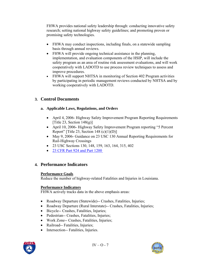FHWA provides national safety leadership through: conducting innovative safety research; setting national highway safety guidelines; and promoting proven or promising safety technologies.

- FHWA may conduct inspections, including finals, on a statewide sampling basis through annual reviews.
- FHWA will provide ongoing technical assistance in the planning, implementation, and evaluation components of the HSIP, will include the safety program as an area of routine risk assessment evaluations, and will work cooperatively with LADOTD to use process review techniques to assess and improve procedures.
- FHWA will support NHTSA in monitoring of Section 402 Program activities by participating in periodic management reviews conducted by NHTSA and by working cooperatively with LADOTD.

# **3. Control Documents**

### **a. Applicable Laws, Regulations, and Orders**

- April 4, 2006- Highway Safety Improvement Program Reporting Requirements [Title 23, Section  $148(g)$ ]
- April 10, 2006- Highway Safety Improvement Program reporting "5 Percent Report" [Title 23, Section 148  $(c)(1)(D)$ ]
- May 9, 2006- Guidance on 23 USC 130 Annual Reporting Requirements for Rail-Highway Crossings
- 23 USC Sections 130, 148, 159, 163, 164, 315, 402
- 23 CFR Part 924 and Part 1200

# **4. Performance Indicators**

### **Performance Goals**

Reduce the number of highway-related Fatalities and Injuries in Louisiana.

### **Performance Indicators**

FHWA actively tracks data in the above emphasis areas:

- Roadway Departure (Statewide)-- Crashes, Fatalities, Injuries;
- Roadway Departure (Rural Interstate)-- Crashes, Fatalities, Injuries;
- Bicycle-- Crashes, Fatalities, Injuries;
- Pedestrian-- Crashes, Fatalities, Injuries;
- Work Zone-- Crashes, Fatalities, Injuries;
- Railroad-- Fatalities, Injuries;
- Intersection-- Fatalities, Injuries.



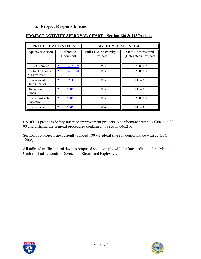# **5. Project Responsibilities**

| PROJECT ACTIVITIES                      |                       | <b>AGENCY RESPONSIBLE</b>              |                                                   |  |
|-----------------------------------------|-----------------------|----------------------------------------|---------------------------------------------------|--|
| Approval Action                         | Reference<br>Document | <b>Full FHWA Oversight</b><br>Projects | <b>State Administered</b><br>(Delegated) Projects |  |
| <b>ROW Clearance</b>                    | 23 CFR 635.309        | <b>FHWA</b>                            | <b>LADOTD</b>                                     |  |
| <b>Contract Changes</b><br>& Extra Work | 23 CFR 635.120        | <b>FHWA</b>                            | <b>LADOTD</b>                                     |  |
| Environmental<br>Determination          | 23 CFR 771            | <b>FHWA</b>                            | <b>FHWA</b>                                       |  |
| Obligation of<br><b>Funds</b>           | 23 USC 106            | <b>FHWA</b>                            | <b>FHWA</b>                                       |  |
| <b>Final Construction</b><br>Inspection | 23 USC 106            | <b>FHWA</b>                            | <b>LADOTD</b>                                     |  |
| Final Voucher                           | 23 USC 106            | <b>FHWA</b>                            | <b>FHWA</b>                                       |  |

### **PROJECT ACTIVITY APPROVAL CHART – Section 130 & 148 Projects**

LADOTD provides Safety Railroad improvement projects in conformance with 23 CFR 646.22- 00 and utilizing the General procedures contained in Section 646.216

Section 130 projects are currently funded 100% Federal share in conformance with 23 USC 120(c).

All railroad traffic control devices proposed shall comply with the latest edition of the Manual on Uniform Traffic Control Devices for Streets and Highways.



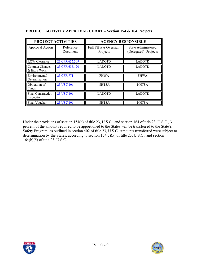| PROJECT ACTIVITIES                      |                       | <b>AGENCY RESPONSIBLE</b>              |                                                   |  |
|-----------------------------------------|-----------------------|----------------------------------------|---------------------------------------------------|--|
| <b>Approval Action</b>                  | Reference<br>Document | <b>Full FHWA Oversight</b><br>Projects | <b>State Administered</b><br>(Delegated) Projects |  |
| <b>ROW Clearance</b>                    | 23 CFR 635.309        | <b>LADOTD</b>                          | <b>LADOTD</b>                                     |  |
| <b>Contract Changes</b><br>& Extra Work | 23 CFR 635.120        | <b>LADOTD</b>                          | <b>LADOTD</b>                                     |  |
| Environmental<br>Determination          | 23 CFR 771            | <b>FHWA</b>                            | <b>FHWA</b>                                       |  |
| Obligation of<br>Funds                  | 23 USC 106            | <b>NHTSA</b>                           | <b>NHTSA</b>                                      |  |
| <b>Final Construction</b><br>Inspection | 23 USC 106            | <b>LADOTD</b>                          | <b>LADOTD</b>                                     |  |
| Final Voucher                           | 23 USC 106            | <b>NHTSA</b>                           | <b>NHTSA</b>                                      |  |

### **PROJECT ACTIVITY APPROVAL CHART – Section 154 & 164 Projects**

Under the provisions of section 154(c) of title 23, U.S.C., and section 164 of title 23, U.S.C., 3 percent of the amount required to be apportioned to the States will be transferred to the State's Safety Program, as outlined in section 402 of title 23, U.S.C. Amounts transferred were subject to determination by the States, according to section  $154(c)(5)$  of title 23, U.S.C., and section 164(b)(5) of title 23, U.S.C.



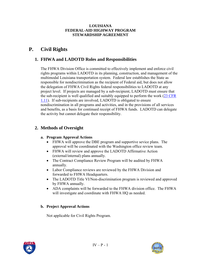#### **LOUISIANA FEDERAL-AID HIGHWAY PROGRAM STEWARDSHIP AGREEMENT**

# **P. Civil Rights**

# **1. FHWA and LADOTD Roles and Responsibilities**

The FHWA Division Office is committed to effectively implement and enforce civil rights programs within LADOTD in its planning, construction, and management of the multimodal Louisiana transportation system. Federal law establishes the State as responsible for nondiscrimination as the recipient of Federal aid, but does not allow the delegation of FHWA Civil Rights federal responsibilities to LADOTD at any project level. If projects are managed by a sub-recipient, LADOTD must ensure that the sub-recipient is well qualified and suitably equipped to perform the work [\(23 CFR](http://www.access.gpo.gov/nara/cfr/waisidx_03/23cfrv1_03.html)  [1.11](http://www.access.gpo.gov/nara/cfr/waisidx_03/23cfrv1_03.html)). If sub-recipients are involved, LADOTD is obligated to ensure nondiscrimination in all programs and activities, and in the provisions of all services and benefits, as a basis for continued receipt of FHWA funds. LADOTD can delegate the activity but cannot delegate their responsibility.

# **2. Methods of Oversight**

#### **a. Program Approval Actions**

- FHWA will approve the DBE program and supportive sevice plans. The approval will be coordinated with the Washington office review team.
- FHWA will review and approve the LADOTD Affirmative Action (external/internal) plans annually.
- The Contract Compliance Review Program will be audited by FHWA annually.
- Labor Compliance reviews are reviewed by the FHWA Division and forwarded to FHWA Headquarters.
- The LADOTD Title VI/Non-discrimination program is reviewed and approved by FHWA annually.
- ADA complaints will be forwarded to the FHWA division office. The FHWA will investigate and coordinate with FHWA HQ as needed.

#### **b. Project Approval Actions**

Not applicable for Civil Rights Program.



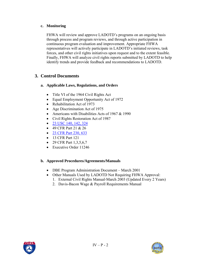### **c. Monitoring**

FHWA will review and approve LADOTD's programs on an ongoing basis through process and program reviews, and through active participation in continuous program evaluation and improvement. Appropriate FHWA representatives will actively participate in LADOTD's initiated reviews, task forces, and other civil rights initiatives upon request and to the extent feasible. Finally, FHWA will analyze civil rights reports submitted by LADOTD to help identify trends and provide feedback and recommendations to LADOTD.

# **3. Control Documents**

### **a. Applicable Laws, Regulations, and Orders**

- Title VI of the 1964 Civil Rights Act
- Equal Employment Opportunity Act of 1972
- Rehabilitation Act of 1973
- Age Discrimination Act of 1975
- Americans with Disabilities Acts of 1967 & 1990
- Civil Rights Restoration Act of 1987
- [23 USC 140, 142, 324](http://www.access.gpo.gov/uscode/title23/title23.html)
- 49 CFR Part 21 & 26
- [23 CFR Part 230, 633](http://www.access.gpo.gov/nara/cfr/waisidx_03/23cfrv1_03.html)
- 13 CFR Part 121
- 29 CFR Part 1,3,5,6,7
- Executive Order 11246

#### **b. Approved Procedures/Agreements/Manuals**

- DBE Program Administration Document March 2001
- Other Manuals Used by LADOTD Not Requiring FHWA Approval:
	- 1. External Civil Rights Manual-March 2003 (Updated Every 2 Years)
	- 2. Davis-Bacon Wage & Payroll Requirements Manual



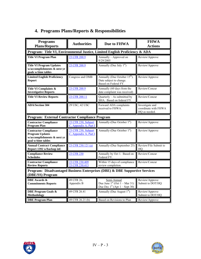|  |  | 4. Programs Plans/Reports & Responsibilities |
|--|--|----------------------------------------------|
|  |  |                                              |

| <b>Programs</b><br><b>Plans/Reports</b>                                                                     | <b>Authorities</b><br><b>Due to FHWA</b>     |                                                                                                         |                                                          |  | <b>FHWA</b><br><b>Actions</b> |
|-------------------------------------------------------------------------------------------------------------|----------------------------------------------|---------------------------------------------------------------------------------------------------------|----------------------------------------------------------|--|-------------------------------|
| Program: Title VI, Environmental Justice, Limited English Proficiency & ADA                                 |                                              |                                                                                                         |                                                          |  |                               |
| <b>Title VI Program Plan</b>                                                                                | 23 CFR 200.9                                 | Annually - Approved on<br>9/29/2005                                                                     | Review/Approve                                           |  |                               |
| <b>Title VI Program Updates</b><br>w/accomplishments & next yr<br>goals w/time tables                       | 23 CFR 200.9                                 | Annually (Due July $1st$ )                                                                              | Review/Approve                                           |  |                               |
| <b>Limited English Proficiency</b><br><b>Report</b>                                                         | Congress and OMB                             | Annually (Due October 15 <sup>th</sup> ).<br>Date subject to change.<br>Based on Federal FY.            | Review/Approve                                           |  |                               |
| <b>Title VI Complaints &amp;</b><br><b>Investigative Reports</b>                                            | 23 CFR 200.9                                 | Annually (60 days from the<br>date complaint was received)                                              | Review/Concur                                            |  |                               |
| <b>Title VI Review Reports</b>                                                                              | 23 CFR 200.11                                | Quarterly - As submitted by<br>SHA. Based on federal FY.                                                | Review/Concur                                            |  |                               |
| <b>ADA/Section 504</b>                                                                                      | 29 USC, 42 USC                               | Forward ADA complaints<br>received to FHWA.                                                             | Investigate and<br>coordinate with FHWA<br>HQ as needed. |  |                               |
| Program: External Contractor Compliance Program                                                             |                                              |                                                                                                         |                                                          |  |                               |
| <b>Contractor Compliance</b><br><b>Program Plan</b>                                                         | 23 CFR 230, Subpart<br>C, Appendix A, Part I | Annually-(Due October 1 <sup>st</sup> )                                                                 | Review/Approve                                           |  |                               |
| <b>Contractor Compliance</b><br><b>Program Updates</b><br>w/accomplishments & next yr<br>goal w/time tables | 23 CFR 230, Subpart<br>C, Appendix A, Part I | Annually-(Due October 1 <sup>st</sup> )                                                                 | Review/Approve                                           |  |                               |
| <b>Annual Contract Compliance</b><br>Report 1392 w/backup inf.                                              | 23 CFR 230.121 (a)                           | Annually-(Due September 25)                                                                             | Review/File Submit to<br>HO.                             |  |                               |
| <b>Compliance Review</b><br><b>Schedules</b>                                                                | 23 CFR 230                                   | Annually by Oct 1. Based on<br>Federal FY.                                                              | Review/Concur                                            |  |                               |
| <b>Contractor Compliance</b><br><b>Review Reports</b>                                                       | 23 CFR 230.409<br>23 CFR 230.413             | Within 15 days of compliance<br>review completion.                                                      | Review/Concur                                            |  |                               |
| Program: Disadvantaged Business Enterprises (DBE) & DBE Supportive Services<br>(DBE/SS) Program             |                                              |                                                                                                         |                                                          |  |                               |
| <b>DBE</b> Awards &<br><b>Commitments Reports</b>                                                           | 49 CFR 26,<br>Appendix B                     | Semi-Annual<br>Due June $1st$ (Oct $1 - \text{Mar } 31$ )<br>Due Dec $1st$ (Apr $1 - \text{Sept } 30$ ) | Review/Approve<br>Submit to DOT/HQ                       |  |                               |
| <b>DBE Program Goals &amp;</b><br>Methodology                                                               | 49 CFR 26.41                                 | Annually (Due August $1st$ )                                                                            | Review/Approve<br>Submit to DOT/HQ                       |  |                               |
| <b>DBE Program Plan</b>                                                                                     | 49 CFR 26.21 (b)                             | Based on Revisions to Plan                                                                              | Review/Approve                                           |  |                               |



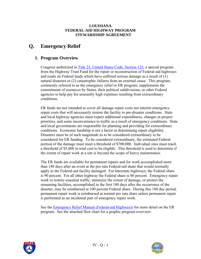#### **LOUISIANA FEDERAL-AID HIGHWAY PROGRAM STEWARDSHIP AGREEMENT**

# **Q. Emergency Relief**

# **1. Program Overview**

Congress authorized in [Title 23, United States Code, Section 125,](http://www.access.gpo.gov/uscode/title23/title23.html) a special program from the Highway Trust Fund for the repair or reconstruction of Federal-aid highways and roads on Federal lands which have suffered serious damage as a result of (1) natural disasters or (2) catastrophic failures from an external cause. This program, commonly referred to as the emergency relief or ER program, supplements the commitment of resources by States, their political subdivisions, or other Federal agencies to help pay for unusually high expenses resulting from extraordinary conditions.

ER funds are not intended to cover all damage repair costs nor interim emergency repair costs that will necessarily restore the facility to pre-disaster conditions. State and local highway agencies must expect additional expenditures, changes in project priorities, and some inconvenience to traffic as a result of emergency conditions. State and local governments are responsible for planning and providing for extraordinary conditions. Economic hardship is not a factor in determining repair eligibility. Disasters must be of such magnitude as to be considered extraordinary to be considered for ER funding. To be considered extraordinary, the estimated Federal portion of the damage must meet a threshold of \$700,000. Individual sites must reach a threshold of \$5,000 in total cost to be eligible. This threshold is used to determine if the extent of repair work at a site is beyond the scope of heavy maintenance.

The ER funds are available for permanent repairs and for work accomplished more than 180 days after an event at the pro rata Federal-aid share that would normally apply to the Federal-aid facility damaged. For Interstate highways, the Federal share is 90 percent. For all other highway the Federal share is 80 percent. Emergency repair work to restore essential traffic, minimize the extent of damage, or protect the remaining facilities, accomplished in the first 180 days after the occurrence of the disaster, may be reimbursed at 100 percent Federal share. During this 180 day period, permanent repair work is reimbursed at normal pro rata share unless permanent repair is performed as an incidental part of emergency repair work.

See the [Emergency Relief Manual \(Federal-aid Highways\)](http://www.fhwa.dot.gov/reports/erm/index.cfm) for more detail on the ER program. See the attached flow chart for a graphic program overview.



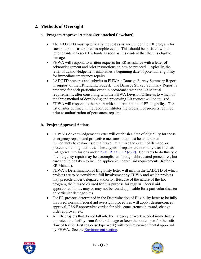# **2. Methods of Oversight**

#### **a. Program Approval Actions (see attached flowchart)**

- The LADOTD must specifically request assistance under the ER program for each natural disaster or catastrophic event. This should be initiated with a letter of intent to seek ER funds as soon as it is evident that there is eligible damage.
- FHWA will respond to written requests for ER assistance with a letter of acknowledgement and brief instructions on how to proceed. Typically, the letter of acknowledgement establishes a beginning date of potential eligibility for immediate emergency repairs.
- LADOTD prepares and submits to FHWA a Damage Survey Summary Report in support of the ER funding request. The Damage Survey Summary Report is prepared for each particular event in accordance with the ER Manual requirements, after consulting with the FHWA Division Office as to which of the three method of developing and processing ER request will be utilized.
- FHWA will respond to the report with a determination of ER eligibility. The list of sites outlined in the report constitutes the program of projects required prior to authorization of permanent repairs.

### **b. Project Approval Actions**

- FHWA's Acknowledgement Letter will establish a date of eligibility for those emergency repairs and protective measures that must be undertaken immediately to restore essential travel, minimize the extent of damage, or protect remaining facilities. These types of repairs are normally classified as Categorical Exclusions under [23 CFR 771.117 \(c\)\(9\)](http://www.access.gpo.gov/nara/cfr/waisidx_03/23cfrv1_03.html). Contracts to do this type of emergency repair may be accomplished through abbreviated procedures, but care should be taken to include applicable Federal aid requirements (Refer to ER Manual).
- FHWA's Determination of Eligibility letter will inform the LADOTD of which projects are to be considered full involvement by FHWA and which projects may precede under delegated authority. Because of the nature of the ER program, the thresholds used for this purpose for regular Federal aid apportioned funds, may or may not be found applicable for a particular disaster or particular damage sites.
- For ER projects determined in the Determination of Eligibility letter to be fully involved, normal Federal aid oversight procedures will apply: design/concept approval, PS&E approval/advertise for bids, concurrence in award, change order approval, etc.
- All ER projects that do not fall into the category of work needed immediately to protect the facility from further damage or keep the route open for the safe flow of traffic (first response type work) will require environmental approval by FHWA. See the [Environment section](#page-16-0).



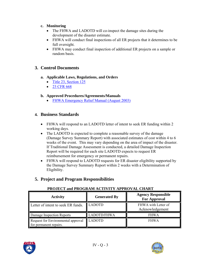### **c. Monitoring**

- The FHWA and LADOTD will co-inspect the damage sites during the development of the disaster estimate.
- FHWA will conduct final inspections of all ER projects that it determines to be full oversight.
- FHWA may conduct final inspection of additional ER projects on a sample or random basis.

# **3. Control Documents**

### **a. Applicable Laws, Regulations, and Orders**

- [Title 23, Section 125](http://www.access.gpo.gov/uscode/title23/title23.html)
- [23 CFR 668](http://www.access.gpo.gov/nara/cfr/waisidx_03/23cfrv1_03.html)

### **b. Approved Procedures/Agreements/Manuals**

• [FHWA Emergency Relief Manual \(August 2003\)](http://www.fhwa.dot.gov/reports/erm/index.cfm)

# **4. Business Standards**

- FHWA will respond to an LADOTD letter of intent to seek ER funding within 2 working days.
- The LADOTD is expected to complete a reasonable survey of the damage (Damage Survey Summary Report) with associated estimates of cost within 4 to 6 weeks of the event. This may vary depending on the area of impact of the disaster. If Traditional Damage Assessment is conducted, a detailed Damage Inspection Report will be required for each site LADOTD expects to request ER reimbursement for emergency or permanent repairs.
- FHWA will respond to LADOTD requests for ER disaster eligibility supported by the Damage Survey Summary Report within 2 weeks with a Determination of Eligibility.

# **5. Project and Program Responsibilities**

### **PROJECT and PROGRAM ACTIVITY APPROVAL CHART**

| <b>Activity</b>                                              | <b>Generated By</b> | <b>Agency Responsible</b><br><b>For Approval</b> |
|--------------------------------------------------------------|---------------------|--------------------------------------------------|
| Letter of intent to seek ER funds.                           | <b>LADOTD</b>       | FHWA with Letter of<br>Acknowledgement           |
| Damage Inspection Reports                                    | <b>LADOTD/FHWA</b>  | <b>FHWA</b>                                      |
| Request for Environmental approval<br>for permanent repairs. | <b>LADOTD</b>       | <b>FHWA</b>                                      |



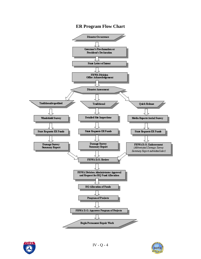# **ER Program Flow Chart**





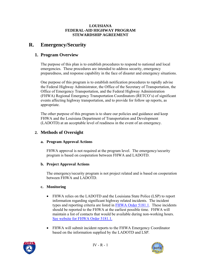#### **LOUISIANA FEDERAL-AID HIGHWAY PROGRAM STEWARDSHIP AGREEMENT**

# **R. Emergency/Security**

# **1. Program Overview**

The purpose of this plan is to establish procedures to respond to national and local emergencies. These procedures are intended to address security, emergency preparedness, and response capability in the face of disaster and emergency situations.

One purpose of this program is to establish notification procedures to rapidly advise the Federal Highway Administrator, the Office of the Secretary of Transportation, the Office of Emergency Transportation, and the Federal Highway Administration (FHWA) Regional Emergency Transportation Coordinators (RETCO's) of significant events affecting highway transportation, and to provide for follow up reports, as appropriate.

The other purpose of this program is to share our policies and guidance and keep FHWA and the Louisiana Department of Transportation and Development (LADOTD) at an acceptable level of readiness in the event of an emergency.

# **2. Methods of Oversight**

#### **a. Program Approval Actions**

FHWA approval is not required at the program level. The emergency/security program is based on cooperation between FHWA and LADOTD.

### **b. Project Approval Actions**

The emergency/security program is not project related and is based on cooperation between FHWA and LADOTD.

#### **c. Monitoring**

- FHWA relies on the LADOTD and the Louisiana State Police (LSP) to report information regarding significant highway related incidents. The incident types and reporting criteria are listed in [FHWA Order 5181.1.](http://www.fhwa.dot.gov/legsregs/directives/orders/51811.htm) These incidents should be reported to the FHWA at the earliest possible time. FHWA will maintain a list of contacts that would be available during non-working hours. [See website for FHWA Order 5181.1.](http://www.fhwa.dot.gov/legsregs/directives/orders/51811.htm)
- FHWA will submit incident reports to the FHWA Emergency Coordinator based on the information supplied by the LADOTD and LSP.



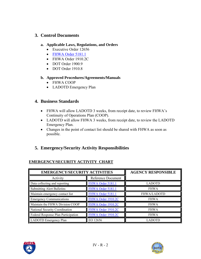# **3. Control Documents**

#### **a. Applicable Laws, Regulations, and Orders**

- Executive Order 12656
- [FHWA Order 5181.1](http://www.fhwa.dot.gov/legsregs/directives/orders/51811.htm)
- FHWA Order 1910.2C
- DOT Order 1900.9
- DOT Order 1910.8

### **b. Approved Procedures/Agreements/Manuals**

- FHWA COOP
- LADOTD Emergency Plan

# **4. Business Standards**

- FHWA will allow LADOTD 3 weeks, from receipt date, to review FHWA's Continuity of Operations Plan (COOP).
- LADOTD will allow FHWA 3 weeks, from receipt date, to review the LADOTD Emergency Plan.
- Changes in the point of contact list should be shared with FHWA as soon as possible.

# **5. Emergency/Security Activity Responsibilities**

# **EMERGENCY/SECURITY ACTIVITY CHART**

| <b>EMERGENCY/SECURITY ACTIVITIES</b> |                    | <b>AGENCY RESPONSIBLE</b> |
|--------------------------------------|--------------------|---------------------------|
| Activity                             | Reference Document |                           |
| Data collecting and reporting        | FHWA Order 5181.1  | <b>LADOTD</b>             |
| <b>Submitting Alert Bulletins</b>    | FHWA Order 5181.1  | <b>FHWA</b>               |
| Maintain emergency contact list      | FHWA Order 5181.1  | <b>FHWA/LADOTD</b>        |
| <b>Emergency Communications</b>      | FHWA Order 1910.2C | <b>FHWA</b>               |
| Maintain the FHWA Division COOP      | FHWA Order 1910.2C | <b>FHWA</b>               |
| National Security Coordination       | FHWA Order 1910.2C | <b>FHWA</b>               |
| Federal Response Plan Participation  | FHWA Order 1910.2C | <b>FHWA</b>               |
| LADOTD Emergency Plan                | EO 12656           | LADOTD                    |



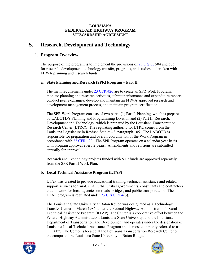#### **LOUISIANA FEDERAL-AID HIGHWAY PROGRAM STEWARDSHIP AGREEMENT**

# **S. Research, Development and Technology**

# **1. Program Overview**

The purpose of the program is to implement the provisions of [23 U.S.C.](http://www.access.gpo.gov/uscode/title23/title23.html) 504 and 505 for research, development, technology transfer, programs, and studies undertaken with FHWA planning and research funds.

### **a. State Planning and Research (SPR) Program – Part II**

The main requirements under [23 CFR 420](http://www.access.gpo.gov/nara/cfr/waisidx_03/23cfrv1_03.html) are to create an SPR Work Program, monitor planning and research activities, submit performance and expenditure reports, conduct peer exchanges, develop and maintain an FHWA approved research and development management process, and maintain program certification.

The SPR Work Program consists of two parts: (1) Part I, Planning, which is prepared by LADOTD's Planning and Programming Division and (2) Part II, Research, Development and Technology, which is prepared by the Louisiana Transportation Research Center (LTRC). The regulating authority for LTRC comes from the Louisiana Legislature in Revised Statute 48, paragraph 105. The LADOTD is responsible for preparation and overall coordination of the Work Program in accordance wit[h 23 CFR 420.](http://www.access.gpo.gov/nara/cfr/waisidx_03/23cfrv1_03.html) The SPR Program operates on a calendar year basis with program approval every 2 years. Amendments and revisions are submitted annually for approval.

Research and Technology projects funded with STP funds are approved separately from the SPR Part II Work Plan.

### **b. Local Technical Assistance Program (LTAP)**

LTAP was created to provide educational training, technical assistance and related support services for rural, small urban, tribal governments, consultants and contractors that do work for local agencies on roads, bridges, and public transportation. The LTAP program is regulated under [23 U.S.C. 504\(](http://www.access.gpo.gov/uscode/title23/title23.html)b).

The Louisiana State University at Baton Rouge was designated as a Technology Transfer Center in March 1986 under the Federal Highway Administration's Rural Technical Assistance Program (RTAP). The Center is a cooperative effort between the Federal Highway Administration, Louisiana State University, and the Louisiana Department of Transportation and Development and operates under the designation of Louisiana Local Technical Assistance Program and is most commonly referred to as "LTAP". The Center is located at the Louisiana Transportation Research Center on the campus of the Louisiana State University in Baton Rouge.



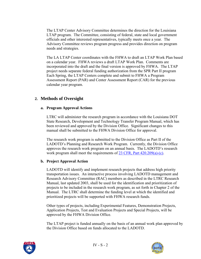The LTAP Center Advisory Committee determines the direction for the Louisiana LTAP program. The Committee, consisting of federal, state and local government officials and other interested representatives, typically meets once a year. The Advisory Committee reviews program progress and provides direction on program needs and strategies.

The LA LTAP Center coordinates with the FHWA to draft an LTAP Work Plan based on a calendar year. FHWA reviews a draft LTAP Work Plan. Comments are incorporated into the draft and the final version is approved by FHWA. The LTAP project needs separate federal funding authorization from the SPR Part II program Each Spring, the LTAP Centers complete and submit to FHWA a Program Assessment Report (PAR) and Center Assessment Report (CAR) for the previous calendar year program.

# **2. Methods of Oversight**

### **a. Program Approval Actions**

LTRC will administer the research program in accordance with the Louisiana DOT State Research, Development and Technology Transfer Program Manual, which has been reviewed and approved by the Division Office. Significant changes to this manual shall be submitted to the FHWA Division Office for approval.

The research work program is submitted to the Division Office as Part II of the LADOTD's Planning and Research Work Program. Currently, the Division Office approves the research work program on an annual basis. The LADOTD's research work program shall meet the requirements of [23 CFR, Part 420.209\(a\)-\(c\)](http://www.access.gpo.gov/nara/cfr/waisidx_03/23cfrv1_03.html).

### **b. Project Approval Action**

LADOTD will identify and implement research projects that address high priority transportation issues. An interactive process involving LADOTD management and Research Advisory Committee (RAC) members as described in the LTRC Research Manual, last updated 2003, shall be used for the identification and prioritization of projects to be included in the research work program, as set forth in Chapter 2 of the Manual. The LTRC shall determine the funding level at which the identified and prioritized projects will be supported with FHWA research funds.

Other types of projects, including Experimental Features, Demonstration Projects, Application Projects, Test and Evaluation Projects and Special Projects, will be approved by the FHWA Division Office.

The LTAP project is funded annually on the basis of an annual work plan approved by the Division Office based on funds allocated to the LADOTD.



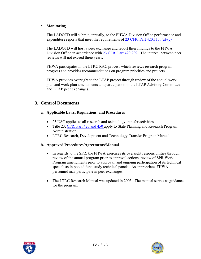#### **c. Monitoring**

The LADOTD will submit, annually, to the FHWA Division Office performance and expenditure reports that meet the requirements of  $23$  CFR, Part 420.117, (a)-(c).

The LADOTD will host a peer exchange and report their findings to the FHWA Division Office in accordance with [23 CFR, Part 420.209.](http://www.access.gpo.gov/nara/cfr/waisidx_03/23cfrv1_03.html) The interval between peer reviews will not exceed three years.

FHWA participates in the LTRC RAC process which reviews research program progress and provides recommendations on program priorities and projects.

FHWA provides oversight to the LTAP project through review of the annual work plan and work plan amendments and participation in the LTAP Advisory Committee and LTAP peer exchanges.

# **3. Control Documents**

### **a. Applicable Laws, Regulations, and Procedures**

- 23 USC applies to all research and technology transfer activities
- Title 23, [CFR, Part 420 and 450](http://www.access.gpo.gov/nara/cfr/waisidx_03/23cfrv1_03.html) apply to State Planning and Research Program Administration
- LTRC Research, Development and Technology Transfer Program Manual

#### **b. Approved Procedures/Agreements/Manual**

- In regards to the SPR, the FHWA exercises its oversight responsibilities through review of the annual program prior to approval actions, review of SPR Work Program amendments prior to approval, and ongoing participation of its technical specialists in pooled fund study technical panels. As appropriate, FHWA personnel may participate in peer exchanges.
- The LTRC Research Manual was updated in 2003. The manual serves as guidance for the program.



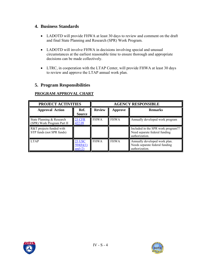## **4. Business Standards**

- LADOTD will provide FHWA at least 30 days to review and comment on the draft and final State Planning and Research (SPR) Work Program.
- LADOTD will involve FHWA in decisions involving special and unusual circumstances at the earliest reasonable time to ensure thorough and appropriate decisions can be made collectively.
- LTRC, in cooperation with the LTAP Center, will provide FHWA at least 30 days to review and approve the LTAP annual work plan.

# **5. Program Responsibilities**

| PROJECT ACTIVITIES                                      |                                         | <b>AGENCY RESPONSIBLE</b>                         |             |                                                                                       |
|---------------------------------------------------------|-----------------------------------------|---------------------------------------------------|-------------|---------------------------------------------------------------------------------------|
| <b>Approval Action</b>                                  | Ref.<br><b>Source</b>                   | <b>Review</b><br><b>Remarks</b><br><b>Approve</b> |             |                                                                                       |
| State Planning & Research<br>(SPR) Work Program Part II | 23 CFR<br>422.09                        | <b>FHWA</b>                                       | <b>FHWA</b> | Annually developed work program                                                       |
| R&T projects funded with<br>STP funds (not SPR funds)   |                                         |                                                   |             | Included in the SPR work program??<br>Need separate federal funding<br>authorization. |
| <b>LTAP</b>                                             | <b>23 USC</b><br>504(b)(1)<br>and $(2)$ | <b>FHWA</b>                                       | <b>FHWA</b> | Annually developed work plan.<br>Needs separate federal funding<br>authorization.     |

### **PROGRAM APPROVAL CHART**



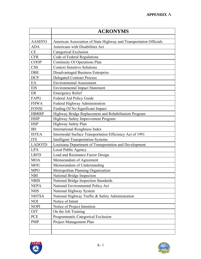# **APPENDIX** A

|               | <b>ACRONYMS</b>                                                    |
|---------------|--------------------------------------------------------------------|
| <b>AASHTO</b> | American Association of State Highway and Transportation Officials |
| <b>ADA</b>    | Americans with Disabilities Act                                    |
| CE            | Categorical Exclusion                                              |
| <b>CFR</b>    | Code of Federal Regulations                                        |
| <b>COOP</b>   | Continuity Of Operations Plan                                      |
| <b>CSS</b>    | <b>Context Sensitive Solutions</b>                                 |
| <b>DBE</b>    | Disadvantaged Business Enterprise                                  |
| <b>DCP</b>    | <b>Delegated Contract Process</b>                                  |
| EA            | <b>Environmental Assessment</b>                                    |
| <b>EIS</b>    | <b>Environmental Impact Statement</b>                              |
| ER            | <b>Emergency Relief</b>                                            |
| FAPG          | Federal Aid Policy Guide                                           |
| <b>FHWA</b>   | Federal Highway Administration                                     |
| <b>FONSI</b>  | Finding Of No Significant Impact                                   |
| <b>HBRRP</b>  | Highway Bridge Replacement and Rehabilitation Program              |
| <b>HSIP</b>   | Highway Safety Improvement Program                                 |
| <b>HSP</b>    | Highway Safety Plan                                                |
| IRI           | <b>International Roughness Index</b>                               |
| <b>ISTEA</b>  | Intermodal Surface Transportation Efficiency Act of 1991           |
| <b>ITS</b>    | <b>Intelligent Transportation Systems</b>                          |
| <b>LADOTD</b> | Louisiana Department of Transportation and Development             |
| <b>LPA</b>    | Local Public Agency                                                |
| <b>LRFD</b>   | Load and Resistance Factor Design                                  |
| <b>MOA</b>    | Memorandum of Agreement                                            |
| <b>MOU</b>    | Memorandum of Understanding                                        |
| <b>MPO</b>    | Metropolitan Planning Organization                                 |
| <b>NBI</b>    | National Bridge Inspection                                         |
| <b>NBIS</b>   | National Bridge Inspection Standards                               |
| <b>NEPA</b>   | National Environmental Policy Act                                  |
| <b>NHS</b>    | National Highway System                                            |
| <b>NHTSA</b>  | National Highway Traffic & Safety Administration                   |
| <b>NOI</b>    | Notice of Intent                                                   |
| <b>NOPI</b>   | Notice of Project Intention                                        |
| OJT           | On the Job Training                                                |
|               | Programmatic Categorical Exclusion                                 |
| PCE           |                                                                    |



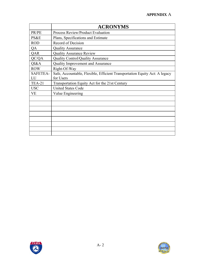# **APPENDIX** A

|                 | <b>ACRONYMS</b>                                                            |
|-----------------|----------------------------------------------------------------------------|
| PR/PE           | Process Review/Product Evaluation                                          |
| PS&E            | Plans, Specifications and Estimate                                         |
| <b>ROD</b>      | Record of Decision                                                         |
| QA              | <b>Quality Assurance</b>                                                   |
| QAR             | <b>Quality Assurance Review</b>                                            |
| QC/QA           | <b>Quality Control/Quality Assurance</b>                                   |
| QI&A            | Quality Improvement and Assurance                                          |
| <b>ROW</b>      | Right-Of-Way                                                               |
| <b>SAFETEA-</b> | Safe, Accountable, Flexible, Efficient Transportation Equity Act: A legacy |
| LU              | for Users                                                                  |
| <b>TEA-21</b>   | Transportation Equity Act for the 21st Century                             |
| <b>USC</b>      | <b>United States Code</b>                                                  |
| <b>VE</b>       | Value Engineering                                                          |
|                 |                                                                            |
|                 |                                                                            |
|                 |                                                                            |
|                 |                                                                            |
|                 |                                                                            |
|                 |                                                                            |
|                 |                                                                            |
|                 |                                                                            |



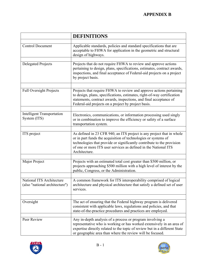|                                                             | <b>DEFINITIONS</b>                                                                                                                                                                                                                                                                                    |
|-------------------------------------------------------------|-------------------------------------------------------------------------------------------------------------------------------------------------------------------------------------------------------------------------------------------------------------------------------------------------------|
| <b>Control Document</b>                                     | Applicable standards, policies and standard specifications that are<br>acceptable to FHWA for application in the geometric and structural<br>design of highways.                                                                                                                                      |
| <b>Delegated Projects</b>                                   | Projects that do not require FHWA to review and approve actions<br>pertaining to design, plans, specifications, estimates, contract awards,<br>inspections, and final acceptance of Federal-aid projects on a project<br>by project basis.                                                            |
| <b>Full Oversight Projects</b>                              | Projects that require FHWA to review and approve actions pertaining<br>to design, plans, specifications, estimates, right-of-way certification<br>statements, contract awards, inspections, and final acceptance of<br>Federal-aid projects on a project by project basis.                            |
| <b>Intelligent Transportation</b><br>System (ITS)           | Electronics, communications, or information processing used singly<br>or in combination to improve the efficiency or safety of a surface<br>transportation system.                                                                                                                                    |
| ITS project                                                 | As defined in 23 CFR 940, an ITS project is any project that in whole<br>or in part funds the acquisition of technologies or systems of<br>technologies that provide or significantly contribute to the provision<br>of one or more ITS user services as defined in the National ITS<br>Architecture. |
| Major Project                                               | Projects with an estimated total cost greater than \$500 million, or<br>projects approaching \$500 million with a high level of interest by the<br>public, Congress, or the Administration.                                                                                                           |
| National ITS Architecture<br>(also "national architecture") | A common framework for ITS interoperability comprised of logical<br>architecture and physical architecture that satisfy a defined set of user<br>services.                                                                                                                                            |
| Oversight                                                   | The act of ensuring that the Federal highway program is delivered<br>consistent with applicable laws, regulations and policies, and that<br>state-of-the-practice procedures and practices are employed.                                                                                              |
| Peer Review                                                 | Any in-depth analysis of a process or program involving a<br>representative who is working or has worked extensively in an area of<br>expertise directly related to the topic of review but in a different State<br>or geographic area than where the review will be focused.                         |



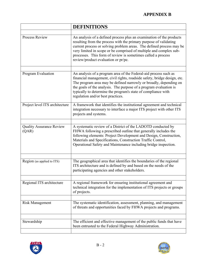# **APPENDIX B**

|                                          | <b>DEFINITIONS</b>                                                                                                                                                                                                                                                                                                                                                                             |
|------------------------------------------|------------------------------------------------------------------------------------------------------------------------------------------------------------------------------------------------------------------------------------------------------------------------------------------------------------------------------------------------------------------------------------------------|
|                                          |                                                                                                                                                                                                                                                                                                                                                                                                |
| Process Review                           | An analysis of a defined process plus an examination of the products<br>resulting from the process with the primary purpose of validating<br>current process or solving problem areas. The defined process may be<br>very limited in scope or be comprised of multiple and complex sub-<br>processes. This form of review is sometimes called a process<br>review/product evaluation or pr/pe. |
|                                          |                                                                                                                                                                                                                                                                                                                                                                                                |
| Program Evaluation                       | An analysis of a program area of the Federal-aid process such as<br>financial management, civil rights, roadside safety, bridge design, etc.<br>The program area may be defined narrowly or broadly, depending on<br>the goals of the analysis. The purpose of a program evaluation is<br>typically to determine the program's state of compliance with<br>regulation and/or best practices.   |
| Project level ITS architecture           | A framework that identifies the institutional agreement and technical<br>integration necessary to interface a major ITS project with other ITS<br>projects and systems.                                                                                                                                                                                                                        |
|                                          |                                                                                                                                                                                                                                                                                                                                                                                                |
| <b>Quality Assurance Review</b><br>(QAR) | A systematic review of a District of the LADOTD conducted by<br>FHWA following a prescribed outline that generally includes the<br>following elements: Project Development and Design, Construction,<br>Materials and Specifications, Construction Traffic Control,<br>Operational Safety and Maintenance including bridge inspection.                                                         |
|                                          |                                                                                                                                                                                                                                                                                                                                                                                                |
| Region (as applied to ITS)               | The geographical area that identifies the boundaries of the regional<br>ITS architecture and is defined by and based on the needs of the<br>participating agencies and other stakeholders.                                                                                                                                                                                                     |
|                                          |                                                                                                                                                                                                                                                                                                                                                                                                |
| Regional ITS architecture                | A regional framework for ensuring institutional agreement and<br>technical integration for the implementation of ITS projects or groups<br>of projects.                                                                                                                                                                                                                                        |
|                                          |                                                                                                                                                                                                                                                                                                                                                                                                |
| <b>Risk Management</b>                   | The systematic identification, assessment, planning, and management<br>of threats and opportunities faced by FHWA projects and programs.                                                                                                                                                                                                                                                       |
|                                          |                                                                                                                                                                                                                                                                                                                                                                                                |
| Stewardship                              | The efficient and effective management of the public funds that have<br>been entrusted to the Federal Highway Administration.                                                                                                                                                                                                                                                                  |



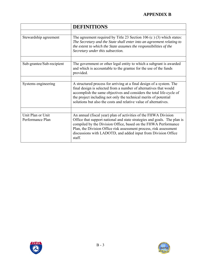# **APPENDIX B**

|                                       | <b>DEFINITIONS</b>                                                                                                                                                                                                                                                                                                                                             |
|---------------------------------------|----------------------------------------------------------------------------------------------------------------------------------------------------------------------------------------------------------------------------------------------------------------------------------------------------------------------------------------------------------------|
| Stewardship agreement                 | The agreement required by Title 23 Section 106 (c) $(3)$ which states:<br>The Secretary and the State shall enter into an agreement relating to<br>the extent to which the State assumes the responsibilities of the<br>Secretary under this subsection.                                                                                                       |
| Sub-grantee/Sub-recipient             | The government or other legal entity to which a subgrant is awarded<br>and which is accountable to the grantee for the use of the funds<br>provided.                                                                                                                                                                                                           |
|                                       |                                                                                                                                                                                                                                                                                                                                                                |
| Systems engineering                   | A structured process for arriving at a final design of a system. The<br>final design is selected from a number of alternatives that would<br>accomplish the same objectives and considers the total life-cycle of<br>the project including not only the technical merits of potential<br>solutions but also the costs and relative value of alternatives.      |
|                                       |                                                                                                                                                                                                                                                                                                                                                                |
| Unit Plan or Unit<br>Performance Plan | An annual (fiscal year) plan of activities of the FHWA Division<br>Office that support national and state strategies and goals. The plan is<br>compiled by the Division Office, based on the FHWA Performance<br>Plan, the Division Office risk assessment process, risk assessment<br>discussions with LADOTD, and added input from Division Office<br>staff. |

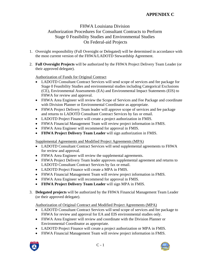### FHWA Louisiana Division Authorization Procedures for Consultant Contracts to Perform Stage 0 Feasibility Studies and Environmental Studies On Federal-aid Projects

- 1. Oversight responsibility (Full Oversight or Delegated) will be determined in accordance with the most current version of the FHWA/LADOTD Stewardship Agreement.
- 2. **Full Oversight Projects** will be authorized by the FHWA Project Delivery Team Leader (or their approved delegate).

Authorization of Funds for Original Contract

- LADOTD Consultant Contract Services will send scope of services and fee package for Stage 0 Feasibility Studies and environmental studies including Categorical Exclusions (CE), Environmental Assessments (EA) and Environmental Impact Statements (EIS) to FHWA for review and approval.
- FHWA Area Engineer will review the Scope of Services and Fee Package and coordinate with Division Planner or Environmental Coordinator as appropriate.
- FHWA Project Delivery Team leader will approve scope of services and fee package and returns to LADOTD Consultant Contract Services by fax or email.
- LADOTD Project Finance will create a project authorization in FMIS.
- FHWA Financial Management Team will review project information in FMIS.
- FHWA Area Engineer will recommend for approval in FMIS.
- **FHWA Project Delivery Team Leader** will sign authorization in FMIS.

Supplemental Agreements and Modified Project Agreements (MPA)

- LADOTD Consultant Contract Services will send supplemental agreements to FHWA for review and approval.
- FHWA Area Engineer will review the supplemental agreements.
- FHWA Project Delivery Team leader approves supplemental agreement and returns to LADOTD Consultant Contract Services by fax or email.
- LADOTD Project Finance will create a MPA in FMIS.
- FHWA Financial Management Team will review project information in FMIS.
- FHWA Area Engineer will recommend for approval in FMIS.
- **FHWA Project Delivery Team Leader** will sign MPA in FMIS.
- 3. **Delegated projects** will be authorized by the FHWA Financial Management Team Leader (or their approved delegate).

Authorization of Original Contract and Modified Project Agreements (MPA)

- LADOTD Consultant Contract Services will send scope of services and fee package to FHWA for review and approval for EA and EIS environmental studies only.
- FHWA Area Engineer will review and coordinate with the Division Planner or Environmental Coordinator as appropriate.
- LADOTD Project Finance will create a project authorization or MPA in FMIS.
- FHWA Financial Management Team will review project information in FMIS.



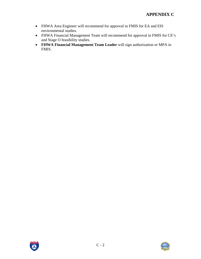- FHWA Area Engineer will recommend for approval in FMIS for EA and EIS environmental studies.
- FHWA Financial Management Team will recommend for approval in FMIS for CE's and Stage O feasibility studies.
- **FHWA Financial Management Team Leader** will sign authorization or MPA in FMIS.



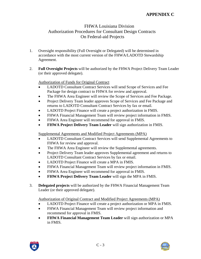### FHWA Louisiana Division Authorization Procedures for Consultant Design Contracts On Federal-aid Projects

- 1. Oversight responsibility (Full Oversight or Delegated) will be determined in accordance with the most current version of the FHWA/LADOTD Stewardship Agreement.
- 2. **Full Oversight Projects** will be authorized by the FHWA Project Delivery Team Leader (or their approved delegate).

Authorization of Funds for Original Contract

- LADOTD Consultant Contract Services will send Scope of Services and Fee Package for design contract to FHWA for review and approval.
- The FHWA Area Engineer will review the Scope of Services and Fee Package.
- Project Delivery Team leader approves Scope of Services and Fee Package and returns to LADOTD Consultant Contract Services by fax or email.
- LADOTD Project Finance will create a project authorization in FMIS.
- FHWA Financial Management Team will review project information in FMIS.
- FHWA Area Engineer will recommend for approval in FMIS.
- **FHWA Project Delivery Team Leader** will sign authorization in FMIS.

Supplemental Agreements and Modified Project Agreements (MPA)

- LADOTD Consultant Contract Services will send Supplemental Agreements to FHWA for review and approval.
- The FHWA Area Engineer will review the Supplemental agreements.
- Project Delivery Team leader approves Supplemental agreement and returns to LADOTD Consultant Contract Services by fax or email.
- LADOTD Project Finance will create a MPA in FMIS.
- FHWA Financial Management Team will review project information in FMIS.
- FHWA Area Engineer will recommend for approval in FMIS.
- **FHWA Project Delivery Team Leader** will sign the MPA in FMIS.
- 3. **Delegated projects** will be authorized by the FHWA Financial Management Team Leader (or their approved delegate).

Authorization of Original Contract and Modified Project Agreements (MPA)

- LADOTD Project Finance will create a project authorization or MPA in FMIS.
- FHWA Financial Management Team will review project information and recommend for approval in FMIS.
- **FHWA Financial Management Team Leader** will sign authorization or MPA in FMIS.





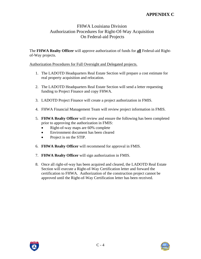### FHWA Louisiana Division Authorization Procedures for Right-Of-Way Acquisition On Federal-aid Projects

The **FHWA Realty Officer** will approve authorization of funds for **all** Federal-aid Rightof-Way projects.

#### Authorization Procedures for Full Oversight and Delegated projects.

- 1. The LADOTD Headquarters Real Estate Section will prepare a cost estimate for real property acquisition and relocation.
- 2. The LADOTD Headquarters Real Estate Section will send a letter requesting funding to Project Finance and copy FHWA.
- 3. LADOTD Project Finance will create a project authorization in FMIS.
- 4. FHWA Financial Management Team will review project information in FMIS.
- 5. **FHWA Realty Officer** will review and ensure the following has been completed prior to approving the authorization in FMIS:
	- Right-of-way maps are 60% complete
	- Environment document has been cleared
	- Project is on the STIP.
- 6. **FHWA Realty Officer** will recommend for approval in FMIS.
- 7. **FHWA Realty Officer** will sign authorization in FMIS.
- 8. Once all right-of-way has been acquired and cleared, the LADOTD Real Estate Section will execute a Right-of-Way Certification letter and forward the certification to FHWA. Authorization of the construction project cannot be approved until the Right-of-Way Certification letter has been received.



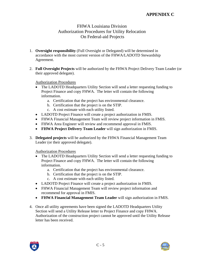### FHWA Louisiana Division Authorization Procedures for Utility Relocation On Federal-aid Projects

- 1. **Oversight responsibility** (Full Oversight or Delegated) will be determined in accordance with the most current version of the FHWA/LADOTD Stewardship Agreement.
- 2. **Full Oversight Projects** will be authorized by the FHWA Project Delivery Team Leader (or their approved delegate).

#### Authorization Procedures

- The LADOTD Headquarters Utility Section will send a letter requesting funding to Project Finance and copy FHWA. The letter will contain the following information.
	- a. Certification that the project has environmental clearance.
	- b. Certification that the project is on the STIP.
	- c. A cost estimate with each utility listed.
- LADOTD Project Finance will create a project authorization in FMIS.
- FHWA Financial Management Team will review project information in FMIS.
- FHWA Area Engineer will review and recommend approval in FMIS.
- **FHWA Project Delivery Team Leader** will sign authorization in FMIS.
- 3. **Delegated projects** will be authorized by the FHWA Financial Management Team Leader (or their approved delegate).

Authorization Procedures

- The LADOTD Headquarters Utility Section will send a letter requesting funding to Project Finance and copy FHWA. The letter will contain the following information.
	- a. Certification that the project has environmental clearance.
	- b. Certification that the project is on the STIP.
	- c. A cost estimate with each utility listed.
- LADOTD Project Finance will create a project authorization in FMIS.
- FHWA Financial Management Team will review project information and recommend for approval in FMIS.
- **FHWA Financial Management Team Leader** will sign authorization in FMIS.
- 4. Once all utility agreements have been signed the LADOTD Headquarters Utility Section will send a Utility Release letter to Project Finance and copy FHWA. Authorization of the construction project cannot be approved until the Utility Release letter has been received.



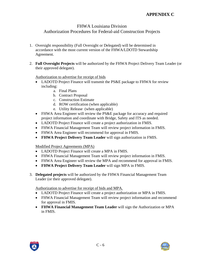### FHWA Louisiana Division Authorization Procedures for Federal-aid Construction Projects

- 1. Oversight responsibility (Full Oversight or Delegated) will be determined in accordance with the most current version of the FHWA/LDOTD Stewardship Agreement.
- 2. **Full Oversight Projects** will be authorized by the FHWA Project Delivery Team Leader (or their approved delegate).

Authorization to advertise for receipt of bids

- LADOTD Project Finance will transmit the PS&E package to FHWA for review including:
	- a. Final Plans
	- b. Contract Proposal
	- c. Construction Estimate
	- d. ROW certification (when applicable)
	- e. Utility Release (when applicable)
- FHWA Area Engineer will review the PS&E package for accuracy and required project information and coordinate with Bridge, Safety and ITS as needed.
- LADOTD Project Finance will create a project authorization in FMIS.
- FHWA Financial Management Team will review project information in FMIS.
- FHWA Area Engineer will recommend for approval in FMIS.
- **FHWA Project Delivery Team Leader** will sign authorization in FMIS.

Modified Project Agreements (MPA)

- LADOTD Project Finance will create a MPA in FMIS.
- FHWA Financial Management Team will review project information in FMIS.
- FHWA Area Engineer will review the MPA and recommend for approval in FMIS.
- **FHWA Project Delivery Team Leader** will sign MPA in FMIS.
- 3. **Delegated projects** will be authorized by the FHWA Financial Management Team Leader (or their approved delegate).

Authorization to advertise for receipt of bids and MPA.

- LADOTD Project Finance will create a project authorization or MPA in FMIS.
- FHWA Financial Management Team will review project information and recommend for approval in FMIS.
- **FHWA Financial Management Team Leader** will sign the Authorization or MPA in FMIS.



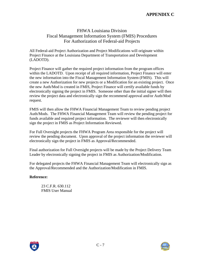### FHWA Louisiana Division Fiscal Management Information System (FMIS) Procedures For Authorization of Federal-aid Projects

All Federal-aid Project Authorization and Project Modifications will originate within Project Finance at the Louisiana Department of Transportation and Development (LADOTD).

Project Finance will gather the required project information from the program offices within the LADOTD. Upon receipt of all required information, Project Finance will enter the new information into the Fiscal Management Information System (FMIS). This will create a new Authorization for new projects or a Modification for an existing project. Once the new Auth/Mod is created in FMIS, Project Finance will certify available funds by electronically signing the project in FMIS. Someone other than the initial signer will then review the project data and electronically sign the recommend approval and/or Auth/Mod request.

FMIS will then allow the FHWA Financial Management Team to review pending project Auth/Mods. The FHWA Financial Management Team will review the pending project for funds available and required project information. The reviewer will then electronically sign the project in FMIS as Project Information Reviewed.

For Full Oversight projects the FHWA Program Area responsible for the project will review the pending document. Upon approval of the project information the reviewer will electronically sign the project in FMIS as Approval/Recommended.

Final authorization for Full Oversight projects will be made by the Project Delivery Team Leader by electronically signing the project in FMIS as Authorization/Modification.

For delegated projects the FHWA Financial Management Team will electronically sign as the Approval/Recommended and the Authorization/Modification in FMIS.

#### **Reference:**

23 C.F.R. 630.112 FMIS User Manual



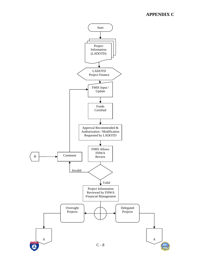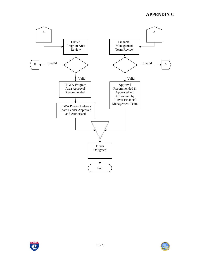



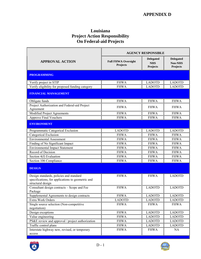### **Louisiana Project Action Responsibility On Federal-aid Projects**

|                                                                                                                   | <b>AGENCY RESPONSIBLE</b>              |                                            |                                                |  |
|-------------------------------------------------------------------------------------------------------------------|----------------------------------------|--------------------------------------------|------------------------------------------------|--|
| <b>APPROVAL ACTION</b>                                                                                            | <b>Full FHWA Oversight</b><br>Projects | <b>Delegated</b><br><b>NHS</b><br>Projects | <b>Delegated</b><br><b>Non-NHS</b><br>Projects |  |
| <b>PROGRAMMING</b>                                                                                                |                                        |                                            |                                                |  |
| Verify project in STIP                                                                                            | <b>FHWA</b>                            | <b>LADOTD</b>                              | <b>LADOTD</b>                                  |  |
| Verify eligibility for proposed funding category                                                                  | <b>FHWA</b>                            | <b>LADOTD</b>                              | <b>LADOTD</b>                                  |  |
| <b>FINANCIAL MANAGEMENT</b>                                                                                       |                                        |                                            |                                                |  |
| Obligate funds                                                                                                    | <b>FHWA</b>                            | <b>FHWA</b>                                | <b>FHWA</b>                                    |  |
| Project Authorization and Federal-aid Project<br>Agreement                                                        | <b>FHWA</b>                            | <b>FHWA</b>                                | <b>FHWA</b>                                    |  |
| Modified Project Agreements                                                                                       | <b>FHWA</b>                            | <b>FHWA</b>                                | <b>FHWA</b>                                    |  |
| <b>Approve Final Vouchers</b>                                                                                     | <b>FHWA</b>                            | <b>FHWA</b>                                | <b>FHWA</b>                                    |  |
| <b>ENVIRONMENT</b>                                                                                                |                                        |                                            |                                                |  |
| Programmatic Categorical Exclusion                                                                                | <b>LADOTD</b>                          | <b>LADOTD</b>                              | <b>LADOTD</b>                                  |  |
| Categorical Exclusion                                                                                             | <b>FHWA</b>                            | <b>FHWA</b>                                | <b>FHWA</b>                                    |  |
| <b>Environmental Assessment</b>                                                                                   | <b>FHWA</b>                            | <b>FHWA</b>                                | <b>FHWA</b>                                    |  |
| Finding of No Significant Impact                                                                                  | <b>FHWA</b>                            | <b>FHWA</b>                                | <b>FHWA</b>                                    |  |
| <b>Environmental Impact Statement</b>                                                                             | <b>FHWA</b>                            | <b>FHWA</b>                                | <b>FHWA</b>                                    |  |
| Record of Decision                                                                                                | <b>FHWA</b>                            | <b>FHWA</b>                                | <b>FHWA</b>                                    |  |
| Section 4(f) Evaluation                                                                                           | <b>FHWA</b>                            | <b>FHWA</b>                                | <b>FHWA</b>                                    |  |
| Section 106 Compliance                                                                                            | <b>FHWA</b>                            | <b>FHWA</b>                                | <b>FHWA</b>                                    |  |
| <b>DESIGN</b>                                                                                                     |                                        |                                            |                                                |  |
| Design standards, policies and standard<br>specifications, for applications to geometric and<br>structural design | <b>FHWA</b>                            | <b>FHWA</b>                                | <b>LADOTD</b>                                  |  |
| Consultant design contracts - Scope and Fee<br>Package                                                            | <b>FHWA</b>                            | <b>LADOTD</b>                              | <b>LADOTD</b>                                  |  |
| Supplemental Agreements to design contracts                                                                       | <b>FHWA</b>                            | <b>LADOTD</b>                              | <b>LADOTD</b>                                  |  |
| Extra Work Orders                                                                                                 | <b>LADOTD</b>                          | <b>LADOTD</b>                              | <b>LADOTD</b>                                  |  |
| Single source selection (Non-competitive<br>negotiation)                                                          | <b>FHWA</b>                            | <b>FHWA</b>                                | <b>FHWA</b>                                    |  |
| Design exceptions                                                                                                 | <b>FHWA</b>                            | <b>LADOTD</b>                              | <b>LADOTD</b>                                  |  |
| Value engineering                                                                                                 | <b>FHWA</b>                            | <b>LADOTD</b>                              | <b>LADOTD</b>                                  |  |
| PS&E review and approval / project authorization                                                                  | <b>FHWA</b>                            | <b>LADOTD</b>                              | <b>LADOTD</b>                                  |  |
| Traffic control plans                                                                                             | <b>FHWA</b>                            | <b>LADOTD</b>                              | <b>LADOTD</b>                                  |  |
| Interstate highway new, revised, or temporary<br>access                                                           | <b>FHWA</b>                            | <b>FHWA</b>                                | NA                                             |  |



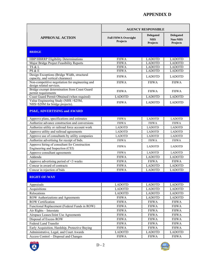|                                                                                   | <b>AGENCY RESPONSIBLE</b>              |                                            |                                                |  |
|-----------------------------------------------------------------------------------|----------------------------------------|--------------------------------------------|------------------------------------------------|--|
| <b>APPROVAL ACTION</b>                                                            | <b>Full FHWA Oversight</b><br>Projects | <b>Delegated</b><br><b>NHS</b><br>Projects | <b>Delegated</b><br><b>Non-NHS</b><br>Projects |  |
| <b>BRIDGE</b>                                                                     |                                        |                                            |                                                |  |
| <b>HBP/HBRRP Eligibility Determinations</b>                                       | <b>FHWA</b>                            | <b>LADOTD</b>                              | <b>LADOTD</b>                                  |  |
| Major Bridge Project Feasibility Reports                                          | <b>FHWA</b>                            | <b>LADOTD</b>                              | <b>LADOTD</b>                                  |  |
| TS & L                                                                            | <b>FHWA</b>                            | <b>LADOTD</b>                              | <b>LADOTD</b>                                  |  |
| PS & E                                                                            | <b>FHWA</b>                            | <b>LADOTD</b>                              | <b>LADOTD</b>                                  |  |
| Design Exceptions (Bridge Width, structural<br>capacity, and vertical clearance)  | <b>FHWA</b>                            | <b>LADOTD</b>                              | <b>LADOTD</b>                                  |  |
| Non-competitive negotiation for engineering and<br>design related services.       | <b>FHWA</b>                            | <b>FHWA</b>                                | <b>FHWA</b>                                    |  |
| Bridge exempt determination from Coast Guard<br>permit requirements               | <b>FHWA</b>                            | <b>FHWA</b>                                | <b>FHWA</b>                                    |  |
| Coast Guard Permit Obtained (when required)                                       | <b>LADOTD</b>                          | <b>LADOTD</b>                              | <b>LADOTD</b>                                  |  |
| Value Engineering Study (NHS > \$25M,<br>NHS>\$20M for bridge projects).          | <b>FHWA</b>                            | <b>LADOTD</b>                              | <b>LADOTD</b>                                  |  |
| <b>PS&amp;E, ADVERTISING and AWARD</b>                                            |                                        |                                            |                                                |  |
| Approve plans, specifications and estimates                                       | <b>FHWA</b>                            | <b>LADOTD</b>                              | <b>LADOTD</b>                                  |  |
| Authorize advance construction and conversions                                    | <b>FHWA</b>                            | <b>FHWA</b>                                | <b>FHWA</b>                                    |  |
| Authorize utility or railroad force account work                                  | <b>LADOTD</b>                          | <b>LADOTD</b>                              | <b>LADOTD</b>                                  |  |
| Approve utility and railroad agreements                                           | <b>LADOTD</b>                          | <b>LADOTD</b>                              | <b>LADOTD</b>                                  |  |
| Approve use of consultants by utility companies                                   | <b>LADOTD</b>                          | <b>LADOTD</b>                              | <b>LADOTD</b>                                  |  |
| Authorize advertising for receipt of bids.                                        | <b>FHWA</b>                            | <b>FHWA</b>                                | <b>FHWA</b>                                    |  |
| Approve hiring of consultant for Construction<br>Engineering and Inspection (CEI) | <b>FHWA</b>                            | <b>LADOTD</b>                              | <b>LADOTD</b>                                  |  |
| Approve consultant agreements                                                     | <b>FHWA</b>                            | <b>LADOTD</b>                              | <b>LADOTD</b>                                  |  |
| Addenda                                                                           | <b>FHWA</b>                            | <b>LADOTD</b>                              | <b>LADOTD</b>                                  |  |
| Approve advertising period of $\leq$ 3 weeks                                      | <b>FHWA</b>                            | <b>FHWA</b>                                | <b>FHWA</b>                                    |  |
| Concur in award of contracts                                                      | <b>FHWA</b>                            | <b>LADOTD</b>                              | <b>LADOTD</b>                                  |  |
| Concur in rejection of bids                                                       | <b>FHWA</b>                            | <b>LADOTD</b>                              | <b>LADOTD</b>                                  |  |
| <b>RIGHT-OF-WAY</b>                                                               |                                        |                                            |                                                |  |
| Appraisals                                                                        | <b>LADOTD</b>                          | <b>LADOTD</b>                              | <b>LADOTD</b>                                  |  |
| Acquisitions                                                                      | <b>LADOTD</b>                          | <b>LADOTD</b>                              | <b>LADOTD</b>                                  |  |
| Relocations                                                                       | <b>LADOTD</b>                          | <b>LADOTD</b>                              | <b>LADOTD</b>                                  |  |
| ROW Authorizations and Agreements                                                 | <b>FHWA</b>                            | <b>LADOTD</b>                              | <b>LADOTD</b>                                  |  |
| <b>ROW</b> Certification                                                          | <b>FHWA</b>                            | <b>FHWA</b>                                | <b>FHWA</b>                                    |  |
| Functional Replacement (Federal Funds in ROW)                                     | <b>FHWA</b>                            | <b>FHWA</b>                                | <b>FHWA</b>                                    |  |
| Air Rights - Interstate                                                           | <b>FHWA</b>                            | <b>FHWA</b>                                | <b>FHWA</b>                                    |  |
| Airspace Leases/Joint Use Agreements                                              | <b>FHWA</b>                            | <b>FHWA</b>                                | <b>FHWA</b>                                    |  |
| Disposal of Excess ROW                                                            | <b>FHWA</b>                            | <b>FHWA</b>                                | <b>FHWA</b>                                    |  |
| Federal Land Transfer                                                             | <b>FHWA</b>                            | <b>FHWA</b>                                | <b>FHWA</b>                                    |  |
| Early Acquisition, Hardship, Protective Buying                                    | <b>FHWA</b>                            | <b>FHWA</b>                                | <b>FHWA</b>                                    |  |
| Administrative, Legal, and Court Awards                                           | <b>LADOTD</b>                          | <b>LADOTD</b>                              | <b>LADOTD</b>                                  |  |
| Access Control - Disposal and Changes                                             | <b>FHWA</b>                            | <b>FHWA</b>                                | <b>FHWA</b>                                    |  |



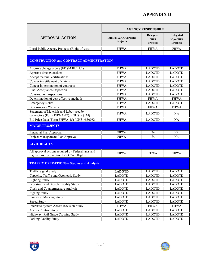|                                                                                                  | <b>AGENCY RESPONSIBLE</b>              |                                                   |                                                       |  |
|--------------------------------------------------------------------------------------------------|----------------------------------------|---------------------------------------------------|-------------------------------------------------------|--|
| <b>APPROVAL ACTION</b>                                                                           | <b>Full FHWA Oversight</b><br>Projects | <b>Delegated</b><br><b>NHS</b><br><b>Projects</b> | <b>Delegated</b><br><b>Non-NHS</b><br><b>Projects</b> |  |
| Local Public Agency Projects (Right-of-way)                                                      | <b>FHWA</b>                            | <b>FHWA</b>                                       | <b>FHWA</b>                                           |  |
|                                                                                                  |                                        |                                                   |                                                       |  |
| <b>CONSTRUCTION and CONTRACT ADMINISTRATION</b>                                                  |                                        |                                                   |                                                       |  |
| Approve change orders (EDSM III.1.1.1)                                                           | <b>FHWA</b>                            | <b>LADOTD</b>                                     | <b>LADOTD</b>                                         |  |
| Approve time extensions                                                                          | <b>FHWA</b>                            | <b>LADOTD</b>                                     | <b>LADOTD</b>                                         |  |
| Accept material certifications                                                                   | <b>FHWA</b>                            | <b>LADOTD</b>                                     | <b>LADOTD</b>                                         |  |
| Concur in settlement of claims                                                                   | <b>FHWA</b>                            | <b>LADOTD</b>                                     | <b>LADOTD</b>                                         |  |
| Concur in termination of contracts                                                               | <b>FHWA</b>                            | <b>LADOTD</b>                                     | <b>LADOTD</b>                                         |  |
| Final Acceptance/Inspection                                                                      | <b>FHWA</b>                            | <b>LADOTD</b>                                     | <b>LADOTD</b>                                         |  |
| Construction inspections                                                                         | <b>FHWA</b>                            | <b>LADOTD</b>                                     | <b>LADOTD</b>                                         |  |
| Determination of cost effective methods                                                          | <b>FHWA</b>                            | <b>FHWA</b>                                       | <b>FHWA</b>                                           |  |
| <b>Emergency Relief</b>                                                                          | <b>FHWA</b>                            | <b>LADOTD</b>                                     | <b>LADOTD</b>                                         |  |
| <b>Buy America Waivers</b>                                                                       | <b>FHWA</b>                            | <b>FHWA</b>                                       | <b>FHWA</b>                                           |  |
| Statement of Materials and Labor used by<br>contractors (Form FHWA-47). (NHS $> $1M$ )           | <b>FHWA</b>                            | <b>LADOTD</b>                                     | <b>NA</b>                                             |  |
| Bid Price Data (Form FHWA-45) (NHS > \$500K)                                                     | <b>FHWA</b>                            | <b>LADOTD</b>                                     | <b>NA</b>                                             |  |
| <b>MAJOR PROJECTS</b>                                                                            |                                        |                                                   |                                                       |  |
| Financial Plan Approval                                                                          | <b>FHWA</b>                            | NA                                                | <b>NA</b>                                             |  |
| Project Management Plan Approval                                                                 | <b>FHWA</b>                            | NA                                                | NA.                                                   |  |
| <b>CIVIL RIGHTS</b>                                                                              |                                        |                                                   |                                                       |  |
| All approval actions required by Federal laws and<br>regulations. See section IV.O Civil Rights. | <b>FHWA</b>                            | <b>FHWA</b>                                       | <b>FHWA</b>                                           |  |
| <b>TRAFFIC OPERATIONS - Studies and Analysis</b>                                                 |                                        |                                                   |                                                       |  |
| <b>Traffic Signal Study</b>                                                                      | <b>LADOTD</b>                          | <b>LADOTD</b>                                     | <b>LADOTD</b>                                         |  |
| Capacity, Traffic and Geometric Study                                                            | <b>LADOTD</b>                          | <b>LADOTD</b>                                     | <b>LADOTD</b>                                         |  |
| <b>Lighting Study</b>                                                                            | <b>LADOTD</b>                          | <b>LADOTD</b>                                     | <b>LADOTD</b>                                         |  |
| Pedestrian and Bicycle Facility Study                                                            | <b>LADOTD</b>                          | <b>LADOTD</b>                                     | <b>LADOTD</b>                                         |  |
| Crash and Countermeasure Analysis                                                                | <b>LADOTD</b>                          | <b>LADOTD</b>                                     | <b>LADOTD</b>                                         |  |
| <b>Signing Study</b>                                                                             | <b>LADOTD</b>                          | <b>LADOTD</b>                                     | <b>LADOTD</b>                                         |  |
| Pavement Marking Study                                                                           | <b>LADOTD</b>                          | <b>LADOTD</b>                                     | <b>LADOTD</b>                                         |  |
| Speed Study                                                                                      | <b>LADOTD</b>                          | <b>LADOTD</b>                                     | <b>LADOTD</b>                                         |  |
| <b>Interstate System Access Revision Study</b>                                                   | <b>FHWA</b>                            | <b>FHWA</b>                                       | <b>FHWA</b>                                           |  |
| <b>Access Control Study</b>                                                                      | <b>LADOTD</b>                          | <b>LADOTD</b>                                     | <b>LADOTD</b>                                         |  |
| Highway- Rail Grade Crossing Study                                                               | <b>LADOTD</b>                          | <b>LADOTD</b>                                     | <b>LADOTD</b>                                         |  |
| Parking Facility Study                                                                           | <b>LADOTD</b>                          | <b>LADOTD</b>                                     | <b>LADOTD</b>                                         |  |



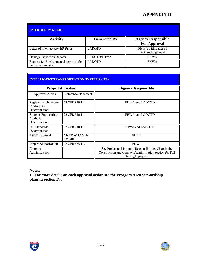| <b>EMERGENCY RELIEF</b>                                      |                     |                                                  |  |  |
|--------------------------------------------------------------|---------------------|--------------------------------------------------|--|--|
| <b>Activity</b>                                              | <b>Generated By</b> | <b>Agency Responsible</b><br><b>For Approval</b> |  |  |
| Letter of intent to seek ER funds.                           | <b>LADOTD</b>       | FHWA with Letter of<br>Acknowledgement           |  |  |
| Damage Inspection Reports                                    | LADOTD/FHWA         | <b>FHWA</b>                                      |  |  |
| Request for Environmental approval for<br>permanent repairs. | <b>LADOTD</b>       | <b>FHWA</b>                                      |  |  |

| <b>INTELLIGENT TRANSPORTATION SYSTEMS (ITS)</b> |  |
|-------------------------------------------------|--|
|                                                 |  |

| <b>Project Activities</b>                               |                            | <b>Agency Responsible</b>                                                                                                                 |
|---------------------------------------------------------|----------------------------|-------------------------------------------------------------------------------------------------------------------------------------------|
| Approval Action                                         | Reference Document         |                                                                                                                                           |
| Regional Architecture<br>Conformity<br>Determination    | 23 CFR 940.11              | FHWA and LADOTD                                                                                                                           |
| <b>Systems Engineering</b><br>Analysis<br>Determination | 23 CFR 940.11              | FHWA and LADOTD                                                                                                                           |
| <b>ITS</b> Standards<br>Determination                   | 23 CFR 940.11              | FHWA and LADOTD                                                                                                                           |
| PS&E Approval                                           | 23CFR 635.104 &<br>635.204 | <b>FHWA</b>                                                                                                                               |
| Project Authorization                                   | 23 CFR 635.112             | <b>FHWA</b>                                                                                                                               |
| Contract<br>Administration                              |                            | See Project and Program Responsibilities Chart in the<br>Construction and Contract Administration section for Full<br>Oversight projects. |

**Notes:** 

**1. For more details on each approval action see the Program Area Stewardship plans in section IV.** 



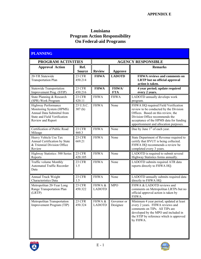### **Louisiana Program Action Responsibility On Federal-aid Programs**

| <b>PLANNING</b>                                                                                                                    |                          |                           |                            |                                                                                                                                                                                                                                            |  |
|------------------------------------------------------------------------------------------------------------------------------------|--------------------------|---------------------------|----------------------------|--------------------------------------------------------------------------------------------------------------------------------------------------------------------------------------------------------------------------------------------|--|
| PROGRAM ACTIVITIES                                                                                                                 |                          | <b>AGENCY RESPONSIBLE</b> |                            |                                                                                                                                                                                                                                            |  |
| <b>Approval Action</b>                                                                                                             | Ref.<br><b>Source</b>    | <b>Review</b>             | <b>Approve</b>             | <b>Remarks</b>                                                                                                                                                                                                                             |  |
| 20-YR Statewide<br><b>Transportation Plan</b>                                                                                      | 23 CFR<br>450.214        | <b>FHWA</b>               | <b>LADOTD</b>              | FHWA reviews and comments on<br><b>LRTP</b> but no official approval<br>action is taken.                                                                                                                                                   |  |
| <b>Statewide Transportation</b><br>Improvement Prog. (STIP)                                                                        | 23 CFR<br>450.216        | <b>FHWA</b>               | <b>FHWA/</b><br><b>FTA</b> | 4 year period; update required<br>every 2 years.                                                                                                                                                                                           |  |
| State Planning & Research<br>(SPR) Work Program                                                                                    | 23 CFR<br>420.11         | <b>FHWA</b>               | <b>FHWA</b>                | LADOTD annually develops work<br>program.                                                                                                                                                                                                  |  |
| Highway Performance<br>Monitoring System (HPMS)<br>Annual Data Submittal from<br>State and Field Verification<br>Review and Report | 23 U.S.C.<br>307(h)      | <b>FHWA</b>               | None                       | FHWA HQ required Field Verification<br>review to be conducted by the Division<br>Offices. Based on this review, the<br>Division Office recommends the<br>acceptance of the HPMS data for funding<br>apportionment and allocation purposes. |  |
| Certification of Public Road<br>Mileage                                                                                            | 23 CFR<br>460.3          | <b>FHWA</b>               | None                       | Due by June $1st$ of each year.                                                                                                                                                                                                            |  |
| Heavy Vehicle Use Tax<br>Annual Certification by State<br>& Triennial Division Office<br>Review                                    | 23 CFR<br>669.21         | <b>FHWA</b>               | None                       | State Department of Revenue required to<br>certify that HVUT is being collected.<br>FHWA HQ recommends a review be<br>completed every 3 years.                                                                                             |  |
| Highway Statistics: 500 Series<br>Reports                                                                                          | 23 CFR<br>420.105        | <b>FHWA</b>               | None                       | LADOTD is required to submit several<br>Highway Statistics forms annually.                                                                                                                                                                 |  |
| Traffic volume Monthly<br><b>Automated Traffic Recorder</b><br>Data                                                                | 23 CFR<br>1.5            | <b>FHWA</b>               | None                       | LADOTD submits required ATR data<br>reports directly to FHWA HQ.                                                                                                                                                                           |  |
| Annual Truck Weight<br>Characteristics Data                                                                                        | 23 CFR<br>1.5            | <b>FHWA</b>               | None                       | LADOTD annually submits required data<br>directly to FHWA HQ.                                                                                                                                                                              |  |
| Metropolitan 20-Year Long<br>Range Transportation Plan<br>(LRTP)                                                                   | 23 CFR<br>450.322        | FHWA &<br><b>LADOTD</b>   | <b>MPO</b>                 | FHWA & LADOTD reviews and<br>comments on Metropolitan LRTPs but no<br>official approval action is taken by<br>FHWA.                                                                                                                        |  |
| Metropolitan Transportation<br>Improvement Program (TIP)                                                                           | <b>23 CFR</b><br>450.324 | FHWA &<br><b>LADOTD</b>   | Governor or<br>Designee    | Minimum 4 year period; updated at least<br>every 2 years. FHWA reviews and<br>comments on TIPs. All TIPs are<br>developed by the MPO and included in<br>the STIP by reference which is approved<br>by FHWA.                                |  |



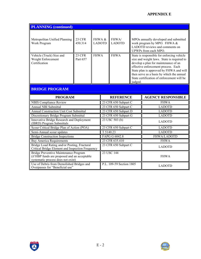### **APPENDIX E**

| <b>PLANNING</b> (continued)                                                                                                 |                           |                         |                            |                          |         |                                                                                                                                                                                                                                                                                                               |  |
|-----------------------------------------------------------------------------------------------------------------------------|---------------------------|-------------------------|----------------------------|--------------------------|---------|---------------------------------------------------------------------------------------------------------------------------------------------------------------------------------------------------------------------------------------------------------------------------------------------------------------|--|
| Metropolitan Unified Planning<br>Work Program                                                                               | 23 CFR<br>450.314         | FHWA &<br><b>LADOTD</b> |                            | FHWA/<br><b>LADOTD</b>   |         | MPOs annually developed and submitted<br>work program by MPO. FHWA &<br>LADOTD reviews and comments on<br>UPWPs from each MPO.                                                                                                                                                                                |  |
| Vehicle (Truck) Size and<br>Weight Enforcement<br>Certification<br><b>BRIDGE PROGRAM</b>                                    | <b>23 CFR</b><br>Part 657 |                         | <b>FHWA</b><br><b>FHWA</b> |                          | judged. | State is responsible for enforcing vehicle<br>size and weight laws. State is required to<br>develop a plan for maintenance of an<br>effective enforcement process. Each<br>State plan is approved by FHWA and will<br>then serve as a basis by which the annual<br>State certification of enforcement will be |  |
| <b>PROGRAM</b>                                                                                                              |                           |                         |                            | <b>REFERENCE</b>         |         | <b>AGENCY RESPONSIBLE</b>                                                                                                                                                                                                                                                                                     |  |
| <b>NBIS Compliance Review</b>                                                                                               |                           |                         |                            | 23 CFR 650 Subpart C     |         | <b>FHWA</b>                                                                                                                                                                                                                                                                                                   |  |
| <b>Annual NBI Submittal</b>                                                                                                 |                           |                         |                            | 23 CFR 650 Subpart C     |         | <b>LADOTD</b>                                                                                                                                                                                                                                                                                                 |  |
| <b>Annual Construction Unit Cost Submittal</b>                                                                              |                           |                         |                            | 23 CFR 650 Subpart D     |         | <b>LADOTD</b>                                                                                                                                                                                                                                                                                                 |  |
| Discretionary Bridge Program Submittal                                                                                      |                           |                         |                            | 23 CFR 650 Subpart G     |         | <b>LADOTD</b>                                                                                                                                                                                                                                                                                                 |  |
| Innovative Bridge Research and Deployment<br>(IBRD) Program Submittals                                                      |                           |                         | 23 USC 503 (b)             |                          |         | <b>LADOTD</b>                                                                                                                                                                                                                                                                                                 |  |
| Scour Critical Bridge Plan of Action (POA)                                                                                  |                           |                         | 23 CFR 650 Subpart C       |                          |         | <b>LADOTD</b>                                                                                                                                                                                                                                                                                                 |  |
| Semi-Annual scour updates                                                                                                   |                           |                         | T 5140.23                  |                          |         | <b>LADOTD</b>                                                                                                                                                                                                                                                                                                 |  |
| <b>Bridge Construction Inspections</b>                                                                                      |                           |                         | FAPG G 6042.8              |                          |         | <b>FHWA/LADOTD</b>                                                                                                                                                                                                                                                                                            |  |
| <b>Buy America Requirements</b>                                                                                             |                           |                         | 23 CFR 635.410             |                          |         | <b>FHWA</b>                                                                                                                                                                                                                                                                                                   |  |
| Bridge Load Rating and/or Posting, Fractural<br>Critical Bridge Element and Inspection Frequency                            |                           |                         |                            | 23 CFR 650 Subpart C     |         | <b>LADOTD</b>                                                                                                                                                                                                                                                                                                 |  |
| Bridge Preventive Maintenance Program<br>(if HBP funds are proposed and an acceptable<br>systematic process does not exist) |                           |                         |                            | 23 USC 144               |         | <b>FHWA</b>                                                                                                                                                                                                                                                                                                   |  |
| Use of Debris from Demolished Bridges and<br>Overpasses for "Beneficial use"                                                |                           |                         |                            | P.L. 109-59 Section 1805 |         | <b>LADOTD</b>                                                                                                                                                                                                                                                                                                 |  |



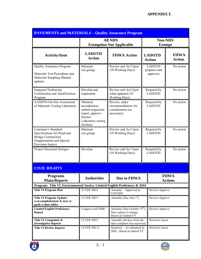| <b>PAVEMENTS and MATERIALS - Quality Assurance Program</b>                                                                          |                                                                                                                    |                                                                                                                |                                           |                                 |                              |  |
|-------------------------------------------------------------------------------------------------------------------------------------|--------------------------------------------------------------------------------------------------------------------|----------------------------------------------------------------------------------------------------------------|-------------------------------------------|---------------------------------|------------------------------|--|
|                                                                                                                                     |                                                                                                                    | <b>All NHS</b><br><b>Exemption Not Applicable</b>                                                              |                                           | <b>Non-NHS</b><br><b>Exempt</b> |                              |  |
| <b>Activity/Item</b>                                                                                                                | <b>LADOTD</b><br><b>Action</b>                                                                                     | <b>FHWA Action</b>                                                                                             |                                           | <b>LADOTD</b><br><b>Action</b>  | <b>FHWA</b><br><b>Action</b> |  |
| <b>Quality Assurance Program</b><br>Materials Test Procedures and<br>Materials Sampling Manual<br>updates.                          | Maintain<br>(on going)                                                                                             | Review and Act Upon<br>(10 Working Days)                                                                       | <b>LADOTD</b><br>prepares and<br>approves |                                 | No action                    |  |
| Inspector/Technician<br>Certification and Qualification<br>Program                                                                  | Develop and<br>implement                                                                                           | Review and Act Upon<br>when updated (10<br>Working Days)                                                       |                                           | Required by<br><b>LADOTD</b>    | No action                    |  |
| <b>AASHTO On-Site Assessment</b><br>of Materials Testing Laboratory                                                                 | Maintain<br>accreditation,<br>submit inspection<br>report, approve<br>District<br>Laboratory testing<br>facilities | Review, make<br>recommendations for<br>consideration (as<br>necessary)                                         |                                           | Required by<br><b>LADOTD</b>    | No action                    |  |
| Louisiana's Standard<br>Specifications for Road and<br><b>Bridge Construction</b><br>(Supplemental and Special<br>Provision Issues) | Maintain<br>(on going)                                                                                             | Review and Act Upon<br>(10 Working Days)                                                                       |                                           | Required by<br><b>LADOTD</b>    | No action                    |  |
| Project Structural Designs                                                                                                          | Develop                                                                                                            | Review and Act Upon<br>(10 Working Days)                                                                       |                                           | Required by<br><b>LADOTD</b>    | No action                    |  |
| <b>CIVIL RIGHTS</b>                                                                                                                 |                                                                                                                    |                                                                                                                |                                           |                                 |                              |  |
| <b>Programs</b><br><b>Plans/Reports</b>                                                                                             | <b>Authorities</b>                                                                                                 | <b>FHWA</b><br>Due to FHWA<br><b>Actions</b>                                                                   |                                           |                                 |                              |  |
| Program: Title VI, Environmental Justice, Limited English Proficiency & ADA<br><b>Title VI Program Plan</b>                         | 23 CFR 200.9                                                                                                       | Annually – Approved on                                                                                         | Review/Approve                            |                                 |                              |  |
| <b>Title VI Program Updates</b><br>w/accomplishments & next yr<br>goals w/time tables                                               | 23 CFR 200.9                                                                                                       | 9/29/2005<br>Annually (Due July 1 <sup>st</sup> )                                                              |                                           | Review/Approve                  |                              |  |
| <b>Limited English Proficiency</b><br><b>Report</b>                                                                                 | Congress and OMB                                                                                                   | Annually (Due October 15 <sup>th</sup> ).<br>Review/Approve<br>Date subject to change.<br>Based on Federal FY. |                                           |                                 |                              |  |
| Title VI Complaints &<br><b>Investigative Reports</b>                                                                               | 23 CFR 200.9                                                                                                       | Annually (60 days from the<br>date complaint was received)                                                     | Review/Concur                             |                                 |                              |  |
| <b>Title VI Review Reports</b>                                                                                                      | 23 CFR 200.11                                                                                                      | Quarterly - As submitted by<br>Review/Concur<br>SHA. Based on federal FY.                                      |                                           |                                 |                              |  |



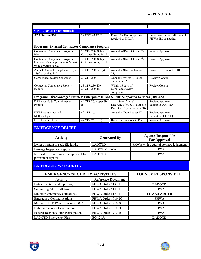| <b>CIVIL RIGHTS (continued)</b>                                                            |                                              |                                                                                 |                                                       |  |  |  |
|--------------------------------------------------------------------------------------------|----------------------------------------------|---------------------------------------------------------------------------------|-------------------------------------------------------|--|--|--|
| <b>ADA/Section 504</b>                                                                     | 29 USC, 42 USC                               | Forward ADA complaints<br>received to FHWA.                                     | Investigate and coordinate with<br>FHWA HQ as needed. |  |  |  |
| Program: External Contractor Compliance Program                                            |                                              |                                                                                 |                                                       |  |  |  |
| Contractor Compliance Program<br>Plan                                                      | 23 CFR 230, Subpart<br>C, Appendix A, Part I | Annually-(Due October $1st$ )                                                   | Review/Approve                                        |  |  |  |
| Contractor Compliance Program<br>Updates w/accomplishments & next<br>yr goal w/time tables | 23 CFR 230, Subpart<br>C, Appendix A, Part I | Annually-(Due October $1st$ )                                                   | Review/Approve                                        |  |  |  |
| Annual Contract Compliance Report<br>1392 w/backup inf.                                    | 23 CFR 230.121 (a)                           | Annually-(Due September<br>25)                                                  | Review/File Submit to HQ.                             |  |  |  |
| <b>Compliance Review Schedules</b>                                                         | 23 CFR 230                                   | Annually by Oct 1. Based<br>on Federal FY.                                      | Review/Concur                                         |  |  |  |
| <b>Contractor Compliance Review</b><br>Reports                                             | 23 CFR 230.409<br>23 CFR 230.413             | Within 15 days of<br>compliance review<br>completion.                           | Review/Concur                                         |  |  |  |
| Program: Disadvantaged Business Enterprises (DBE) & DBE Supportive Services (DBE/SS)       |                                              |                                                                                 |                                                       |  |  |  |
| DBE Awards & Commitments<br>Reports                                                        | 49 CFR 26, Appendix<br>B                     | Semi-Annual<br>Due June $1st$ (Oct 1– Mar 31)<br>Due Dec $1st$ (Apr 1– Sept 30) | Review/Approve<br>Submit to DOT/HQ                    |  |  |  |
| DBE Program Goals &<br>Methodology                                                         | 49 CFR 26.41                                 | Annually (Due August $1st$ )                                                    | Review/Approve<br>Submit to DOT/HQ                    |  |  |  |
| <b>DBE</b> Program Plan                                                                    | 49 CFR 26.21 (b)                             | Based on Revisions to Plan                                                      | Review/Approve                                        |  |  |  |
|                                                                                            |                                              |                                                                                 |                                                       |  |  |  |

## **EMERGENCY RELIEF**

| <b>Activity</b>                        | <b>Generated By</b> | <b>Agency Responsible</b><br><b>For Approval</b> |
|----------------------------------------|---------------------|--------------------------------------------------|
| Letter of intent to seek ER funds.     | <b>LADOTD</b>       | FHWA with Letter of Acknowledgement              |
| Damage Inspection Reports              | LADOTD/FHWA         | <b>FHWA</b>                                      |
| Request for Environmental approval for | <b>LADOTD</b>       | <b>FHWA</b>                                      |
| permanent repairs.                     |                     |                                                  |

### **EMERGENCY/SECURITY**

| <b>EMERGENCY/SECURITY ACTIVITIES</b> | <b>AGENCY RESPONSIBLE</b> |                    |
|--------------------------------------|---------------------------|--------------------|
| Activity                             | Reference Document        |                    |
| Data collecting and reporting        | FHWA Order 5181.1         | <b>LADOTD</b>      |
| Submitting Alert Bulletins           | FHWA Order 5181.1         | <b>FHWA</b>        |
| Maintain emergency contact list      | FHWA Order 5181.1         | <b>FHWA/LADOTD</b> |
| <b>Emergency Communications</b>      | FHWA Order 1910.2C        | <b>FHWA</b>        |
| Maintain the FHWA Division COOP      | FHWA Order 1910.2C        | <b>FHWA</b>        |
| National Security Coordination       | FHWA Order 1910.2C        | <b>FHWA</b>        |
| Federal Response Plan Participation  | FHWA Order 1910.2C        | <b>FHWA</b>        |
| LADOTD Emergency Plan                | EO 12656                  | <b>LADOTD</b>      |